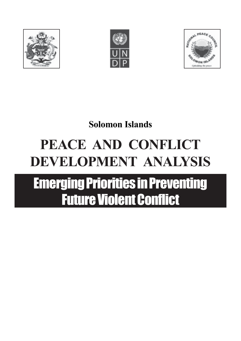





## **Solomon Islands**

# **PEACE AND CONFLICT DEVELOPMENT ANALYSIS**

# Emerging Priorities in Preventing Future Violent Conflict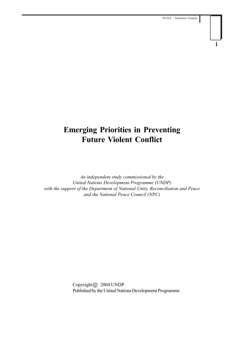## **i**

## **Emerging Priorities in Preventing Future Violent Conflict**

*An independent study commissioned by the United Nations Development Programme (UNDP) with the support of the Department of National Unity, Reconciliation and Peace and the National Peace Council (NPC)*

> Copyright C 2004 UNDP Published by the United Nations Development Programme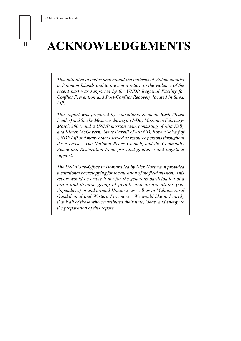## **ACKNOWLEDGEMENTS**

*This initiative to better understand the patterns of violent conflict in Solomon Islands and to prevent a return to the violence of the recent past was supported by the UNDP Regional Facility for Conflict Prevention and Post-Conflict Recovery located in Suva, Fiji.*

*This report was prepared by consultants Kenneth Bush (Team Leader) and Sue Le Mesurier during a 17-Day Mission in February-March 2004, and a UNDP mission team consisting of Mia Kelly and Kieren McGovern. Steve Darvill of AusAID, Robert Scharf of UNDP Fiji and many others served as resource persons throughout the exercise. The National Peace Council, and the Community Peace and Restoration Fund provided guidance and logistical support.*

*The UNDP sub-Office in Honiara led by Nick Hartmann provided institutional backstopping for the duration of the field mission. This report would be empty if not for the generous participation of a large and diverse group of people and organizations (see Appendices) in and around Honiara, as well as in Malaita, rural Guadalcanal and Western Provinces. We would like to heartily thank all of those who contributed their time, ideas, and energy to the preparation of this report.*

**ii**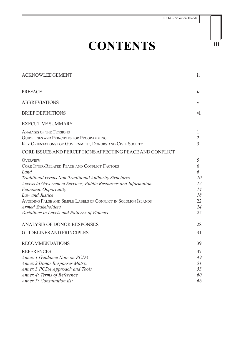## **CONTENTS**

| <b>ACKNOWLEDGEMENT</b>                                                                                                                                                                                                                                                                                                                                                                                    | ii                                                    |
|-----------------------------------------------------------------------------------------------------------------------------------------------------------------------------------------------------------------------------------------------------------------------------------------------------------------------------------------------------------------------------------------------------------|-------------------------------------------------------|
| <b>PREFACE</b>                                                                                                                                                                                                                                                                                                                                                                                            | $\mathbf{N}$                                          |
| <b>ABBREVIATIONS</b>                                                                                                                                                                                                                                                                                                                                                                                      | V                                                     |
| <b>BRIEF DEFINITIONS</b>                                                                                                                                                                                                                                                                                                                                                                                  | vii                                                   |
| <b>EXECUTIVE SUMMARY</b>                                                                                                                                                                                                                                                                                                                                                                                  |                                                       |
| <b>ANALYSIS OF THE TENSIONS</b><br>GUIDELINES AND PRINCIPLES FOR PROGRAMMING<br>KEY ORIENTATIONS FOR GOVERNMENT, DONORS AND CIVIL SOCIETY                                                                                                                                                                                                                                                                 | 1<br>$\overline{2}$<br>$\overline{3}$                 |
| CORE ISSUES AND PERCEPTIONS AFFECTING PEACE AND CONFLICT                                                                                                                                                                                                                                                                                                                                                  |                                                       |
| <b>OVERVIEW</b><br>CORE INTER-RELATED PEACE AND CONFLICT FACTORS<br>Land<br>Traditional versus Non-Traditional Authority Structures<br>Access to Government Services, Public Resources and Information<br><b>Economic Opportunity</b><br>Law and Justice<br>AVOIDING FALSE AND SIMPLE LABELS OF CONFLICT IN SOLOMON ISLANDS<br><b>Armed Stakeholders</b><br>Variations in Levels and Patterns of Violence | 5<br>6<br>6<br>10<br>12<br>14<br>18<br>22<br>24<br>25 |
| <b>ANALYSIS OF DONOR RESPONSES</b>                                                                                                                                                                                                                                                                                                                                                                        | 28                                                    |
| <b>GUIDELINES AND PRINCIPLES</b>                                                                                                                                                                                                                                                                                                                                                                          | 31                                                    |
| <b>RECOMMENDATIONS</b>                                                                                                                                                                                                                                                                                                                                                                                    | 39                                                    |
| <b>REFERENCES</b><br>Annex 1 Guidance Note on PCDA<br><b>Annex 2 Donor Responses Matrix</b><br>Annex 3 PCDA Approach and Tools<br>Annex 4: Terms of Reference                                                                                                                                                                                                                                             | 47<br>49<br>51<br>53<br>60                            |
| Annex 5: Consultation list                                                                                                                                                                                                                                                                                                                                                                                | 66                                                    |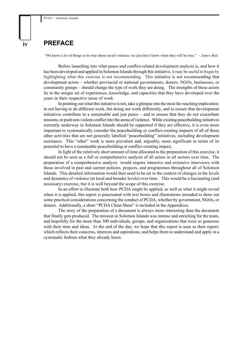### **PREFACE**

"We know a lot of things to be true about social violence; we just don't know when they will be true." - *James Rule*

Before launching into what peace and conflict-related development analysis is, and how it has been developed and applied in Solomon Islands through this initiative, it may be useful to begin by highlighting what this exercise is not recommending. This initiative is not recommending that development actors – whether provincial or national governments, donors, NGOs, businesses, or community groups – should change the type of work they are doing. The strengths of these actors lie in the unique set of experiences, knowledge, and capacities that they have developed over the years in their respective areas of work.

In pointing out what this initiative is not, take a glimpse into the most far-reaching implication: in not having to do different work, but doing our work differently, and to ensure that development initiatives contribute to a sustainable and just peace – and to ensure that they do not exacerbate tensions, or push non-violent conflict into the arena of violence. While existing peacebuilding initiatives currently underway in Solomon Islands should be supported if they are effective, it is even more important to systematically consider the peacebuilding or conflict-creating impacts of all of those other activities that are not generally labelled "peacebuilding" initiatives, including development assistance. This "other" work is more prevalent and, arguably, more significant in terms of its potential to have a sustainable peacebuilding or conflict-creating impact.

In light of the relatively short amount of time allocated to the preparation of this exercise, it should not be seen as a full or comprehensive analysis of all actors in all sectors over time. The preparation of a comprehensive analysis would require intensive and extensive interviews with those involved in past and current policies, projects, and programmes throughout all of Solomon Islands. This detailed information would then need to be set in the context of changes in the levels and dynamics of violence (at local and broader levels) over time. This would be a fascinating (and necessary) exercise, but it is well beyond the scope of this exercise.

In an effort to illustrate both how PCDA might be applied, as well as what it might reveal when it is applied, this report is punctuated with text boxes and illustrations intended to draw out some practical considerations concerning the conduct of PCDA, whether by government, NGOs, or donors. Additionally, a short "PCDA Cheat Sheet" is included in the Appendices.

The story of the preparation of a document is always more interesting than the document that finally gets produced. The mission in Solomon Islands was intense and enriching for the team, and hopefully for the more than 300 individuals, groups, and organizations that were so generous with their time and ideas. At the end of the day, we hope that this report is seen as their report; which reflects their concerns, interests and aspirations; and helps them to understand and apply in a systematic fashion what they already know.

**iv**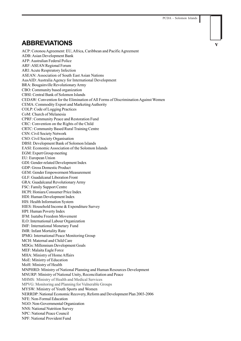## **ABBREVIATIONS v**

ACP: Cotonou Agreement: EU, Africa, Caribbean and Pacific Agreement ADB: Asian Development Bank AFP: Australian Federal Police ARF: ASEAN Regional Forum ARI: Acute Respiratory Infection ASEAN: Association of South East Asian Nations AusAID: Australia Agency for International Development BRA: Bougainville Revolutionary Army CBO: Community based organization CBSI: Central Bank of Solomon Islands CEDAW: Convention for the Elimination of All Forms of Discrimination Against Women CEMA: Commodity Export and Marketing Authority COLP: Code of Logging Practices CoM: Church of Melanesia CPRF: Community Peace and Restoration Fund CRC: Convention on the Rights of the Child CRTC: Community Based Rural Training Centre CSN: Civil Society Network CSO: Civil Society Organisation DBSI: Development Bank of Solomon Islands EASI: Economic Association of the Solomon Islands EGM: Expert Group meeting EU: European Union GDI: Gender-related Development Index GDP: Gross Domestic Product GEM: Gender Empowerment Measurement GLF: Guadalcanal Liberation Front GRA: Guadalcanal Revolutionary Army FSC: Family Support Centre HCPI: Honiara Consumer Price Index HDI: Human Development Index HIS: Health Information System HIES: Household Income & Expenditure Survey HPI: Human Poverty Index IFM: Isatabu Freedom Movement ILO: International Labour Organization IMF: International Monetary Fund IMR: Infant Mortality Rate IPMG: International Peace Monitoring Group MCH: Maternal and Child Care MDGs: Millennium Development Goals MEF: Malaita Eagle Force MHA: Ministry of Home Affairs MoE: Ministry of Education MoH: Ministry of Health MNPHRD: Ministry of National Planning and Human Resources Development MNURP: Ministry of National Unity, Reconciliation and Peace MHMS: Ministry of Health and Medical Services MPVG: Monitoring and Planning for Vulnerable Groups MYSW: Ministry of Youth Sports and Women NERRDP: National Economic Recovery, Reform and Development Plan 2003-2006 NFE: Non-Formal Education NGO: Non-Governmental Organization NNS: National Nutrition Survey NPC: National Peace Council NPF: National Provident Fund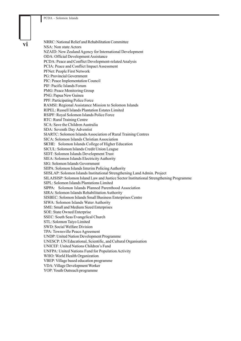**vi**

NRRC: National Relief and Rehabilitation Committee NSA: Non state Actors NZAID: New Zealand Agency for International Development ODA: Official Development Assistance PCDA: Peace and Conflict Development-related Analysis PCIA: Peace and Conflict Impact Assessment PFNet: People First Network PG: Provincial Government PIC: Peace Implementation Council PIF: Pacific Islands Forum PMG: Peace Monitoring Group PNG: Papua New Guinea PPF: Participating Police Force RAMSI: Regional Assistance Mission to Solomon Islands RIPEL: Russell Islands Plantation Estates Limited RSIPF: Royal Solomon Islands Police Force RTC: Rural Training Centre SCA: Save the Children Australia SDA: Seventh Day Adventist SIARTC: Solomon Islands Association of Rural Training Centres SICA: Solomon Islands Christian Association SICHE: Solomon Islands College of Higher Education SICUL: Solomon Islands Credit Union League SIDT: Solomon Islands Development Trust SIEA: Solomon Islands Electricity Authority SIG: Solomon Islands Government SIIPA: Solomon Islands Interim Policing Authority SIISLAP: Solomon Islands Institutional Strengthening Land Admin. Project SILAJSISP: Solomon Island Law and Justice Sector Institutional Strengthening Programme SIPL: Solomon Islands Plantations Limited SIPPA: Solomon Islands Planned Parenthood Association SIRA: Solomon Islands Rehabilitation Authority SISBEC: Solomon Islands Small Business Enterprises Centre SIWA: Solomon Islands Water Authority SME: Small and Medium Sized Enterprises SOE: State Owned Enterprise SSEC: South Seas Evangelical Church STL: Solomon Taiyo Limited SWD: Social Welfare Division TPA: Townsville Peace Agreement UNDP: United Nation Development Programme UNESCP: UN Educational, Scientific, and Cultural Organisation UNICEF: United Nations Children's Fund UNFPA: United Nations Fund for Population Activity WHO: World Health Organization VBEP: Village based education programme VDA: Village Development Worker

YOP: Youth Outreach programme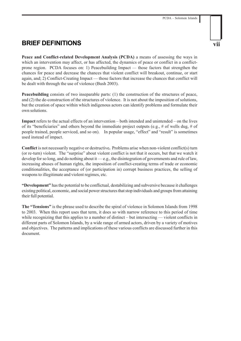## **BRIEF DEFINITIONS**

**Peace and Conflict-related Development Analysis (PCDA)** a means of assessing the ways in which an intervention may affect, or has affected, the dynamics of peace or conflict in a conflictprone region. PCDA focuses on: 1) Peacebuilding Impact *—* those factors that strengthen the chances for peace and decrease the chances that violent conflict will breakout, continue, or start again, and; 2) Conflict-Creating Impact — those factors that increase the chances that conflict will be dealt with through the use of violence (Bush 2003).

**Peacebuilding** consists of two inseparable parts: (1) the construction of the structures of peace, and (2) the de-construction of the structures of violence. It is not about the imposition of solutions, but the creation of space within which indigenous actors can identify problems and formulate their own solutions.

**Impact** refers to the actual effects of an intervention – both intended and unintended – on the lives of its "beneficiaries" and others beyond the immediate project outputs (e.g., # of wells dug, # of people trained, people serviced, and so on). In popular usage, "effect" and "result" is sometimes used instead of impact.

**Conflict** is not necessarily negative or destructive**.** Problems arise when non-violent conflict(s) turn (or re-turn) violent. The "surprise" about violent conflict is not that it occurs, but that we watch it develop for so long, and do nothing about it — e.g., the disintegration of governments and rule of law, increasing abuses of human rights, the imposition of conflict-creating terms of trade or economic conditionalities, the acceptance of (or participation in) corrupt business practices, the selling of weapons to illegitimate and violent regimes, etc.

**"Development"** has the potential to be conflictual, destabilizing and subversive because it challenges existing political, economic, and social power structures that stop individuals and groups from attaining their full potential.

**The "Tensions"** is the phrase used to describe the spiral of violence in Solomon Islands from 1998 to 2003. When this report uses that term, it does so with narrow reference to this period of time while recognizing that this applies to a number of distinct – but intersecting — violent conflicts in different parts of Solomon Islands, by a wide range of armed actors, driven by a variety of motives and objectives. The patterns and implications of these various conflicts are discussed further in this document.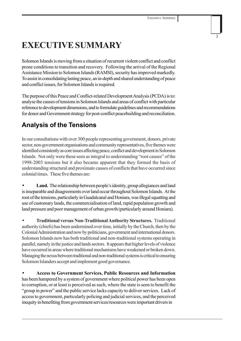## **EXECUTIVE SUMMARY**

Solomon Islands is moving from a situation of recurrent violent conflict and conflict prone conditions to transition and recovery. Following the arrival of the Regional Assistance Mission to Solomon Islands (RAMSI), security has improved markedly. To assist in consolidating lasting peace, an in-depth and shared understanding of peace and conflict issues, for Solomon Islands is required.

The purpose of this Peace and Conflict-related Development Analysis (PCDA) is to: analyse the causes of tensions in Solomon Islands and areas of conflict with particular reference to development dimensions, and to formulate guidelines and recommendations for donor and Government strategy for post-conflict peacebuilding and reconciliation.

## **Analysis of the Tensions**

In our consultations with over 300 people representing government, donors, private sector, non-government organisations and community representatives, five themes were identified consistently as core issues affecting peace, conflict and development in Solomon Islands. Not only were these seen as integral to understanding "root causes" of the 1998-2003 tensions but it also became apparent that they formed the basis of understanding structural and proximate causes of conflicts that have occurred since colonial times. These five themes are:

Land. The relationship between people's identity, group allegiances and land is inseparable and disagreements over land occur throughout Solomon Islands. At the root of the tensions, particularly in Guadalcanal and Honiara, was illegal squatting and use of customary lands, the commercialisation of land, rapid population growth and land pressure and poor management of urban growth (particularly around Honiara).

• **Traditional versus Non-Traditional Authority Structures.** Traditional authority (chiefs) has been undermined over time, initially by the Church, then by the Colonial Administration and now by politicians, government and international donors. Solomon Islands now has both traditional and non-traditional systems operating in parallel, namely in the justice and lands sectors. It appears that higher levels of violence have occurred in areas where traditional mechanisms have weakened or broken down. Managing the nexus between traditional and non-traditional systems is critical to ensuring Solomon Islanders accept and implement good governance.

• **Access to Government Services, Public Resources and Information** has been hampered by a system of government where political power has been open to corruption, or at least is perceived as such, where the state is seen to benefit the "group in power" and the public service lacks capacity to deliver services. Lack of access to government, particularly policing and judicial services, and the perceived inequity in benefiting from government services/resources were important drivers in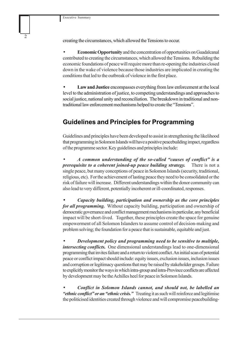creating the circumstances, which allowed the Tensions to occur.

• **Economic Opportunity** and the concentration of opportunities on Guadalcanal contributed to creating the circumstances, which allowed the Tensions. Rebuilding the economic foundations of peace will require more than re-opening the industries closed down in the wake of violence because those industries are implicated in creating the conditions that led to the outbreak of violence in the first place.

• **Law and Justice** encompasses everything from law enforcement at the local level to the administration of justice, to competing understandings and approaches to social justice, national unity and reconciliation. The breakdown in traditional and nontraditional law enforcement mechanisms helped to create the "Tensions".

## **Guidelines and Principles for Programming**

Guidelines and principles have been developed to assist in strengthening the likelihood that programming in Solomon Islands will have a positive peacebuilding impact, regardless of the programme sector. Key guidelines and principles include:

• *A common understanding of the so-called "causes of conflict" is a prerequisite to a coherent joined-up peace building strategy.*There is not a single peace, but many conceptions of peace in Solomon Islands (security, traditional, religious, etc). For the achievement of lasting peace they need to be consolidated or the risk of failure will increase. Different understandings within the donor community can also lead to very different, potentially incoherent or ill-coordinated, responses.

• *Capacity building, participation and ownership as the core principles for all programming.* Without capacity building, participation and ownership of democratic governance and conflict management mechanisms in particular, any beneficial impact will be short-lived. Together, these principles create the space for genuine empowerment of all Solomon Islanders to assume control of decision-making and problem solving; the foundation for a peace that is sustainable, equitable and just.

• *Development policy and programming need to be sensitive to multiple, intersecting conflicts.* One dimensional understandings lead to one-dimensional programming that invites failure and a return to violent conflict. An initial scan of potential peace or conflict impact should include: equity issues, exclusion issues, inclusion issues and corruption or legitimacy questions that may be raised by stakeholder groups. Failure to explicitly monitor the ways in which intra-group and intra-Province conflicts are affected by development may be the Achilles heel for peace in Solomon Islands.

• *Conflict in Solomon Islands cannot, and should not, be labelled an "ethnic conflict" or an "ethnic crisis."* Treating it as such will reinforce and legitimise the politicised identities created through violence and will compromise peacebuilding-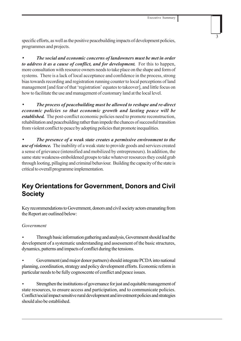specific efforts, as well as the positive peacebuilding impacts of development policies, programmes and projects.

• *The social and economic concerns of landowners must be met in order to address it as a cause of conflict, and for development.* For this to happen, more consultation with resource owners needs to take place on the shape and form of systems. There is a lack of local acceptance and confidence in the process, strong bias towards recording and registration running counter to local perceptions of land management [and fear of that 'registration' equates to takeover], and little focus on how to facilitate the use and management of customary land at the local level.

• *The process of peacebuilding must be allowed to reshape and re-direct economic policies so that economic growth and lasting peace will be established.* The post-conflict economic policies need to promote reconstruction, rehabilitation and peacebuilding rather than impede the chances of successful transition from violent conflict to peace by adopting policies that promote inequalities.

• *The presence of a weak state creates a permissive environment to the use of violence.* The inability of a weak state to provide goods and services created a sense of grievance (intensified and mobilized by entrepreneurs). In addition, the same state weakness-emboldened groups to take whatever resources they could grab through looting, pillaging and criminal behaviour. Building the capacity of the state is critical to overall programme implementation.

## **Key Orientations for Government, Donors and Civil Society**

Key recommendations to Government, donors and civil society actors emanating from the Report are outlined below:

#### *Government*

• Through basic information gathering and analysis, Government should lead the development of a systematic understanding and assessment of the basic structures, dynamics, patterns and impacts of conflict during the tensions.

• Government(and major donor partners) should integrate PCDA into national planning, coordination, strategy and policy development efforts. Economic reform in particular needs to be fully cognoscente of conflict and peace issues.

Strengthen the institutions of governance for just and equitable management of state resources, to ensure access and participation, and to communicate policies. Conflict/social impact sensitive rural development and investment policies and strategies should also be established.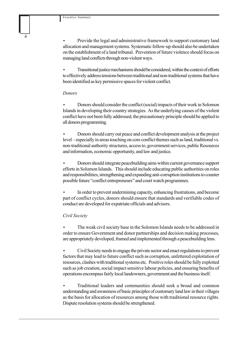• Provide the legal and administrative framework to support customary land allocation and management systems. Systematic follow-up should also be undertaken on the establishment of a land tribunal. Prevention of future violence should focus on managing land conflicts through non-violent ways.

• Transitional justice mechanisms should be considered, within the context of efforts to effectively address tensions between traditional and non-traditional systems that have been identified as key permissive spaces for violent conflict.

#### *Donors*

• Donors should consider the conflict (social) impacts of their work in Solomon Islands in developing their country strategies. As the underlying causes of the violent conflict have not been fully addressed, the precautionary principle should be applied to all donors programming.

• Donors should carry out peace and conflict development analysis at the project level – especially in areas touching on core conflict themes such as land, traditional vs. non-traditional authority structures, access to, government services, public Resources and information, economic opportunity, and law and justice.

• Donors should integrate peacebuilding aims within current governance support efforts in Solomon Islands. This should include educating public authorities on roles and responsibilities, strengthening and expanding anti-corruption institutions to counter possible future "conflict entrepreneurs" and court watch programmes.

• In order to prevent undermining capacity, enhancing frustrations, and become part of conflict cycles, donors should ensure that standards and verifiable codes of conduct are developed for expatriate officials and advisors.

#### *Civil Society*

• The weak civil society base in the Solomon Islands needs to be addressed in order to ensure Government and donor partnerships and decision making processes, are appropriately developed, framed and implemented through a peacebuilding lens.

• Civil Society needs to engage the private sector and enact regulations to prevent factors that may lead to future conflict such as corruption, unfettered exploitation of resources, clashes with traditional systems etc. Positive roles should be fully exploited such as job creation, social impact sensitive labour policies, and ensuring benefits of operations encompass fairly local landowners, government and the business itself.

• Traditional leaders and communities should seek a broad and common understanding and awareness of basic principles of customary land law in their villages as the basis for allocation of resources among those with traditional resource rights. Dispute resolution systems should be strengthened.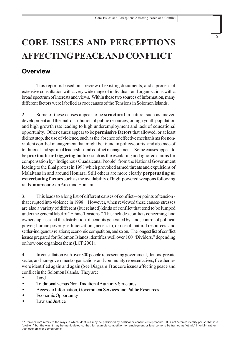## **CORE ISSUES AND PERCEPTIONS AFFECTING PEACE AND CONFLICT**

## **Overview**

1. This report is based on a review of existing documents, and a process of extensive consultation with a very wide range of individuals and organizations with a broad spectrum of interests and views. Within these two sources of information, many different factors were labelled as root causes of the Tensions in Solomon Islands.

2. Some of these causes appear to be **structural** in nature, such as uneven development and the mal-distribution of public resources, or high youth population and high growth rate leading to high underemployment and lack of educational opportunity. Other causes appear to be **permissive factors** that allowed, or at least did not stop, the use of violence, such as the absence of effective mechanisms for nonviolent conflict management that might be found in police/courts, and absence of traditional and spiritual leadership and conflict management. Some causes appear to be **proximate or triggering factors** such as the escalating and ignored claims for compensation by "Indigenous Guadalcanal People" from the National Government leading to the final protest in 1998 which provoked armed threats and expulsions of Malaitans in and around Honiara. Still others are more clearly **perpetuating or exacerbating factors** such as the availability of high-powered weapons following raids on armouries in Auki and Honiara.

3. This leads to a long list of different causes of conflict – or points of tension that erupted into violence in 1998. However, when reviewed these causes/ stresses are also a variety of different (but related) kinds of conflict that tend to be lumped under the general label of "Ethnic Tensions." This includes conflicts concerning land ownership, use and the distribution of benefits generated by land; control of political power; human poverty; ethnicization<sup>1</sup>, access to, or use of, natural resources; and settler-indigenous relations; economic competition, and so on. The longest list of conflict issues prepared for Solomon Islands identifies well over 100 "Dividers," depending on how one organizes them (LCP 2001).

4. In consultation with over 300 people representing government, donors, private sector, and non-government organizations and community representatives, five themes were identified again and again (See Diagram 1) as core issues affecting peace and conflict in the Solomon Islands. They are:

- Land
- Traditional versus Non-Traditional Authority Structures
- Access to Information, Government Services and Public Resources
- Economic Opportunity
- Law and Justice

<sup>1 &</sup>quot;Ethnicization" refers to the ways in which identities may be politicised by political or conflict entrepreneurs. It is not "ethnic" identity per se that is a "problem" but the way it may be manipulated so that, for example competition for employment or land come to be framed as "ethnic" in origin, rather than economic or demographic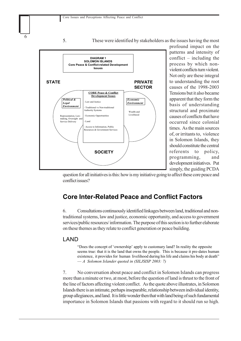



profound impact on the patterns and intensity of conflict – including the process by which nonviolent conflicts turn violent. Not only are these integral to understanding the root causes of the 1998-2003 Tensions but it also became apparent that they form the basis of understanding structural and proximate causes of conflicts that have occurred since colonial times. As the main sources of, or irritants to, violence in Solomon Islands, they should constitute the central referents to policy, programming, and development initiatives. Put simply, the guiding PCDA

question for all initiatives is this: how is my initiative going to affect these core peace and conflict issues?

## **Core Inter-Related Peace and Conflict Factors**

6. Consultations continuously identified linkages between land, traditional and nontraditional systems, law and justice, economic opportunity, and access to government services/public resources/ information. The purpose of this section is to further elaborate on these themes as they relate to conflict generation or peace building.

### LAND

"Does the concept of 'ownership' apply to customary land? In reality the opposite seems true: that it is the land that owns the people. This is because it pre-dates human existence, it provides for human livelihood during his life and claims his body at death" — *A Solomon Islander quoted in (SILJSISP 2003: 7)*

7. No conversation about peace and conflict in Solomon Islands can progress more than a minute or two, at most, before the question of land is thrust to the front of the line of factors affecting violent conflict. As the quote above illustrates, in Solomon Islands there is an intimate, perhaps inseparable, relationship between individual identity, group allegiances, and land. It is little wonder then that with land being of such fundamental importance in Solomon Islands that passions with regard to it should run so high.

6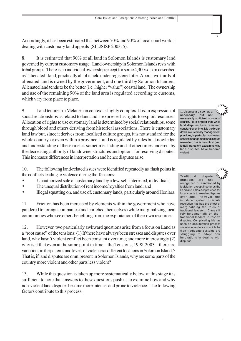Accordingly, it has been estimated that between 70% and 90% of local court work is dealing with customary land appeals (SILJSISP 2003: 5).

8. It is estimated that 90% of all land in Solomon Islands is customary land governed by current customary usage. Land ownership in Solomon Islands rests with tribal groups. There is no individual ownership except for some 4,300 sq. km described as "alienated" land, practically all of it held under registered title. About two thirds of alienated land is owned by the government, and one third by Solomon Islanders. Alienated land tends to be the better (i.e., higher "value") coastal land. The ownership and use of the remaining 90% of the land area is regulated according to customs, which vary from place to place.

9. Land tenure in a Melanesian context is highly complex. It is an expression of social relationships as related to land and is expressed as rights to exploit resources. Allocation of rights to use customary land is determined by social relationships, some through blood and others deriving from historical associations. There is customary land law but, since it derives from localised culture groups, it is not standard for the whole country, or even within a province. Land is regulated by rules but knowledge and understanding of these rules is sometimes fading and at other times undercut by the decreasing authority of landowner structures and options for resolving disputes. This increases differences in interpretation and hence disputes arise.

10. The following land-related issues were identified repeatedly as flash points in the conflicts leading to violence during the Tensions:

- Unauthorized sale of customary land by a few, self-interested, individuals;
- The unequal distribution of rent income/royalties from land; and
- Illegal squatting on, and use of, customary lands, particularly around Honiara.

11. Friction has been increased by elements within the government who have pandered to foreign companies (and enriched themselves) while marginalizing local communities who see others benefiting from the exploitation of their own resources.

12. However, two particularly awkward questions arise from a focus on Land as a "root cause" of the tensions: (1) If there have always been stresses and disputes over land, why hasn't violent conflict been constant over time; and more interestingly (2) why is it that even at the same point in time – the Tensions, 1998-2003 – there are variations in the patterns and levels of violence at different locations in Solomon Islands? That is, if land disputes are omnipresent in Solomon Islands, why are some parts of the country more violent and other parts less violent?

13. While this question is taken up more systematically below, at this stage it is sufficient to note that answers to these questions push us to examine how and why non-violent land disputes became more intense, and prone to violence. The following factors contribute to this process.

… disputes are seen as a necessary, but not necessarily sufficient, source of conflict. It is argued that while land disputes have remained constant over time, it is the break down in customary management practices, in particular non-violent conflict management and dispute resolution, that is the critical (and lethal) ingredient explaining why land disputes have become violent.



7

Traditional dispute<br>practices are not practices are recognized or sanctioned by legislation except insofar as the Land and Titles Act provides for local courts to resolve disputes over land. However, this introduced system of dispute resolution has had the effect of marginalising the roles of traditional leaders. Clans still rely fundamentally on their traditional leaders to resolve disputes. Complicating this has been an acculturation process since independence in which the clan traditional systems are struggling to adopt new innovations in dealing with disputes.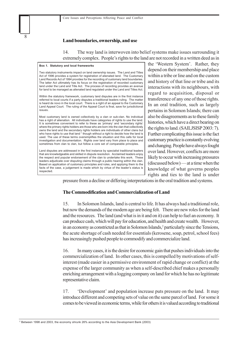#### **Land boundaries, ownership, and use**

8

14. The way land is interwoven into belief systems make issues surrounding it extremely complex. People's rights to the land are not recorded in a written deed as in

| Box 1. Statutory and local frameworks                                                                                                                                                                                                                                                                                                                                                                                                                                                                                                                                                                                                                                                                                                                                                     |  |  |
|-------------------------------------------------------------------------------------------------------------------------------------------------------------------------------------------------------------------------------------------------------------------------------------------------------------------------------------------------------------------------------------------------------------------------------------------------------------------------------------------------------------------------------------------------------------------------------------------------------------------------------------------------------------------------------------------------------------------------------------------------------------------------------------------|--|--|
| Two statutory instruments impact on land ownership issues. The Land and Titles<br>Act of 1996 provides a system for registration of alienated land. The Customary<br>Land Records Act of 1994 provides for the recording of customary land boundaries.<br>The latter Act ultimately has its focus on the registration of recorded customary<br>land under the Land and Title Act. The process of recording provides an avenue<br>for land to be managed as alienated land regulated under the Land and Titles Act.                                                                                                                                                                                                                                                                        |  |  |
| Within the statutory framework, customary land disputes are in the first instance<br>referred to local courts if a party disputes a traditional leaders ruling. The matter<br>is heard de novo in the local court. There is a right of an appeal to the Customary<br>Land Appeal Court. The ruling of the Appeal Court is final, save for jurisdictional<br>issues.                                                                                                                                                                                                                                                                                                                                                                                                                       |  |  |
| Most customary land is owned collectively by a clan or sub-clan. No individual<br>has a right of alienation. All individuals have categories of rights to use the land.<br>It is sometimes convenient to refer to these as 'primary' and 'secondary rights'<br>where the primary rights holders are those who are born into the clan that collectively<br>owns the land and the secondary rights holders are individuals of other clans but<br>who have rights to use that land "though without a right to decide how the land is<br>used. The use of these terms oversimplifies the situation and this calls for local<br>investigation and documentation. Rights over land vary from place to place and<br>sometimes from clan to clan, but follow a core set of comparable principles. |  |  |
| Land disputes are addressed in the first instance by specialist traditional leaders<br>that are knowledgeable and skilled in dispute resolution. Acclaimed leaders enjoy<br>the respect and popular endorsement of the clan to undertake this work. These<br>leaders adjudicate over disputing claims through a public hearing within the clan.<br>Based on application of customary principles and rules, and applying them to the<br>facts of the case, a judgement is made which by virtue of the leader's status is<br>respected.                                                                                                                                                                                                                                                     |  |  |

the 'Western System'. Rather, they depend on their membership and place within a tribe or line and on the custom and history of that line or tribe and its interactions with its neighbours, with regard to acquisition, disposal or transference of any one of those rights. In an oral tradition, such as largely pertains in Solomon Islands; there can also be disagreements as to these family histories, which have a direct bearing on the rights to land. (SAILJSISP 2003: 7). Further complicating this issue is the fact customary practice is constantly evolving and changing. People have always fought over land. However, conflicts are more likely to occur with increasing pressures (discussed below) — at a time when the knowledge of what governs peoples rights and ties to the land is under

pressure from a decline or differing interpretations in the oral tradition and systems.

#### **The Commodification and Commercialization of Land**

15. In Solomon Islands, land is central to life. It has always had a traditional role, but now the demands of the modern age are being felt. There are new roles for the land and the resources. The land (and what is in it and on it) can help to fuel an economy. It can produce cash, which will pay for education, and health and create wealth. However, in an economy as constricted as that in Solomon Islands,<sup>2</sup> particularly since the Tensions, the acute shortage of cash needed for essentials (kerosene, soap, petrol, school fees) has increasingly pushed people to commodify and commercialize land.

16. In many cases, it is the desire for economic gain that pushes individuals into the commercialization of land. In other cases, this is compelled by motivations of selfinterest (made easier in a permissive environment of rapid change or conflict) at the expense of the larger community as when a self-described chief makes a personally enriching arrangement with a logging company on land for which he has no legitimate representative claim.

17. 'Development' and population increase puts pressure on the land. It may introduce different and competing sets of value on the same parcel of land. For some it comes to be viewed in economic terms, while for others it is valued according to traditional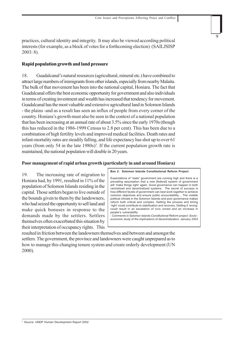practices, cultural identity and integrity. It may also be viewed according political interests (for example, as a block of votes for a forthcoming election) (SAILJSISP 2003: 8).

#### **Rapid population growth and land pressure**

18. Guadalcanal's natural resources (agricultural, mineral etc.) have combined to attract large numbers of immigrants from other islands, especially from nearby Malaita. The bulk of that movement has been into the national capital, Honiara. The fact that Guadalcanal offers the best economic opportunity for government and also individuals in terms of creating investment and wealth has increased that tendency for movement. Guadalcanal has the most valuable and extensive agricultural land in Solomon Islands - the plains -and as a result has seen an influx of people from every corner of the country. Honiara's growth must also be seen in the context of a national population that has been increasing at an annual rate of about 3.5% since the early 1970s (though this has reduced in the 1986-1999 Census to 2.8 per cent). This has been due to a combination of high fertility levels and improved medical facilities. Death rates and infant-mortality rates are steadily falling, and life expectancy has shot up to over 61 years (from only 54 in the late 1980s)<sup>3</sup>. If the current population growth rate is maintained, the national population will double in 20 years.

#### **Poor management of rapid urban growth (particularly in and around Honiara)**

19. The increasing rate of migration to Honiara had, by 1991, resulted in 11% of the population of Solomon Islands residing in the capital. Those settlers began to live outside of the bounds given to them by the landowners, who had seized the opportunity to sell land and make quick bonuses in response to the demands made by the settlers. Settlers themselves often exacerbated this situation by their interpretation of occupancy rights. This

**Box 2: Solomon Islands Constitutional Reform Project**

Expectations of "state" government are running high and there is a prevailing assumption that a new [federal] system of government will 'make things right' again. Good governance can happen in both centralized and decentralized systems. The secret of success is how *different* levels of government can best work together to achieve common objectives and ensure public accountability… The volatile political climate in the Solomon Islands and poor governance makes reform both critical and complex. Getting the process and timing 'right' could contribute to stabilization and recovery. Getting it 'wrong' could result in an escalation of civic unrest and an increase in people's vulnerability

*- Comments in Solomon Islands Constitutional Reform project: Socio– economic study of the implications of decentralization. January 2003*

resulted in friction between the landowners themselves and between and amongst the settlers. The government, the province and landowners were caught unprepared as to how to manage this changing tenure system and create orderly development (UN 2000).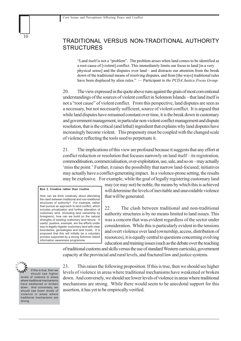### TRADITIONAL VERSUS NON-TRADITIONAL AUTHORITY **STRUCTURES**

"Land itself is not a "problem". The problem arises when land comes to be identified as a root cause of [violent] conflict. This immediately limits our focus to land [in a very physical sense] and the disputes over land – and distracts our attention from the break down of the traditional means of resolving disputes, and from [the ways] traditional rules have been displaced by alien rules." — Participant *in the PCDA Justice Focus Group.*

20. The view expressed in the quote above runs against the grain of most conventional understandings of the sources of violent conflict in Solomon Islands – that land itself is not a "root cause" of violent conflict. From this perspective, land disputes are seen as a necessary, but not necessarily sufficient, source of violent conflict. It is argued that while land disputes have remained constant over time, it is the break down in customary and government management, in particular non-violent conflict management and dispute resolution, that is the critical (and lethal) ingredient that explains why land disputes have increasingly become violent. This propensity must be coupled with the changed scale of violence reflecting the tools used to perpetuate it.

21. The implications of this view are profound because it suggests that any effort at conflict reduction or resolution that focuses narrowly on land itself – its registration, commoditisation, commercialisation, over-exploitation, use, sale, and so on – may actually 'miss the point.' Further, it raises the possibility that narrow land-focused; initiatives may actually have a conflict-generating impact. In a violence-prone setting, the results may be explosive. For example, while the goal of legally registering customary land

How can we think creatively about alleviating the clash between traditional and non-traditional structures of authority? For example, rather than pursue an approach to land conflict, which includes privatization and further alienation of customary land, (including land ownership by foreigners), how can we build on the natural strengths of existing customary land tenure. A useful, positive, example, are the efforts under way to legally register customary land with clear boundaries, genealogies and land trusts. It is proposed that this will initially be a voluntary process supported by a strong Solomon Island information awareness programme

**Box 3. Creative rather than routine**

may (or may not) be noble, the means by which this is achieved will determine the levels of inevitable and unavoidable violence that will be generated.

22. The clash between traditional and non-traditional authority structures is by no means limited to land issues. This was a concern that was evident regardless of the sector under consideration. While this is particularly evident in the tensions and overt violence over land (ownership, access, distribution of resources), it is equally central to questions concerning evolving education and training issues (such as the debate over the teaching

of traditional customs and skills versus the use of standard Western curricula), government capacity at the provincial and rural levels, and fractured law and justice systems.

If this is true, then we should see higher levels of violence in areas where traditional mechanisms have weakened or broken down. And conversely, we should see lower levels of violence in areas where traditional mechanisms are strong.

10

23. This raises the following proposition: If this is true, then we should see higher levels of violence in areas where traditional mechanisms have weakened or broken down. And conversely, we should see lower levels of violence in areas where traditional mechanisms are strong. While there would seem to be anecdotal support for this assertion, it has yet to be empirically verified.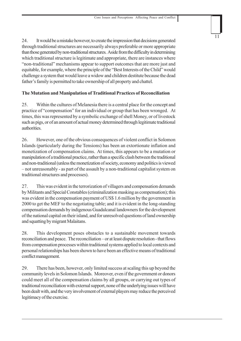24. It would be a mistake however, to create the impression that decisions generated through traditional structures are necessarily always preferable or more appropriate than those generated by non-traditional structures. Aside from the difficulty in determining which traditional structure is legitimate and appropriate, there are instances where "non-traditional" mechanisms appear to support outcomes that are more just and equitable, for example, where the principle of the "Best Interests of the Child" would challenge a system that would leave a widow and children destitute because the dead father's family is permitted to take ownership of all property and chattel.

#### **The Mutation and Manipulation of Traditional Practices of Reconciliation**

25. Within the cultures of Melanesia there is a central place for the concept and practice of "compensation" for an individual or group that has been wronged. At times, this was represented by a symbolic exchange of shell Money, or of livestock such as pigs, or of an amount of actual money determined through legitimate traditional authorities.

26. However, one of the obvious consequences of violent conflict in Solomon Islands (particularly during the Tensions) has been an extortionate inflation and monetization of compensation claims. At times, this appears to be a mutation or manipulation of a traditional practice, rather than a specific clash between the traditional and non-traditional (unless the monetization of society, economy and politics is viewed – not unreasonably - as part of the assault by a non-traditional capitalist system on traditional structures and processes).

27. This was evident in the terrorization of villagers and compensation demands by Militants and Special Constables (criminalization masking as compensation); this was evident in the compensation payment of US\$ 1.6 million by the government in 2000 to get the MEF to the negotiating table; and it is evident in the long-standing compensation demands by indigenous Guadalcanal landowners for the development of the national capital on their island, and for unresolved questions of land ownership and squatting by migrant Malaitans.

28. This development poses obstacles to a sustainable movement towards reconciliation and peace. The reconciliation – or at least dispute resolution - that flows from compensation processes within traditional systems applied to local contexts and personal relationships has been shown to have been an effective means of traditional conflict management.

29. There has been, however, only limited success at scaling this up beyond the community levels in Solomon Islands. Moreover, even if the government or donors could meet all of the compensation claims by all groups, or carrying out types of traditional reconciliation with external support, none of the underlying issues will have been dealt with, and the very involvement of external players may reduce the perceived legitimacy of the exercise.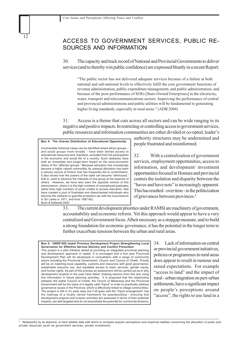### ACCESS TO GOVERNMENT SERVICES, PUBLIC RE-SOURCES AND INFORMATION

30. The capacity and track record of National and Provincial Governments to deliver services (and to thereby win public confidence) are expressed bluntly in a recent Report:

"The public sector has not delivered adequate services because of a failure at both national and sub-national levels to effectively fulfil the core government functions of revenue administration, public expenditure management, and public administration, and because of the poor performance of SOEs [State-Owned Enterprises] in the electricity, water, transport and telecommunications sectors. Improving the performance of central and provincial administrations and public utilities will be fundamental to generating higher living standards, especially in rural areas." (ADB 2004)

31. Access is a theme that cuts across all sectors and can be wide ranging in its negative and positive impacts. In restricting or controlling access to government services, public resources and information communities are either divided or co-opted, leader's

**Box 4: The Uneven Distribution of Educational Opportunity** Innumerable historical cases can be identified where ethnic groups – and social groups more broadly - have been denied access to educational resources and, therefore, excluded from full participation in the economic and social life of a country. Such obstacles have both an immediate and longer-term impact on the socio-economic status of the "affected groups." Because education has increasingly become a highly valued commodity, its unequal allocation has been a serious source of friction that has frequently led to confrontation. It also shows how the powers of the state can become "ethnicized," that is, used to advance the interests of one group at the expense of others. However, we have also seen the opposite version of this phenomenon, where it is the high numbers of unemployed graduates rather than high numbers of youth unable to access education, that have created a pool of frustrated and disenchanted individuals who become the militants or guerrilla protestors (as with the insurrections in Sri Lanka in 1971, and from 1987-90). Bush & Saltarelli 2000

authority structures may be undermined and people frustrated and misinformed.

32. With a centralization of government services, employment opportunities, access to information, and development/ investment opportunities focused in Honiara and provincial centres the isolation and disparity between the "haves and have nots" is increasingly apparent. This has resulted - over time - in the politicization of grievances between provinces.4

33. The current development priorities under RAMSI are machinery of government, accountability and economic reform. Yet this approach would appear to have a very centralized and Government focus. Albeit necessary as a stopgap measure, and to build a strong foundation for economic governance, it has the potential in the longer term to further exacerbate tensions between the urban and rural areas.

**Box 5: UNDP-SIG Isabel Province Development Project Strengthening Local Governance for Effective Service Delivery and Conflict Prevention** This project is a pilot initiative aimed at providing an integrated provincial planning and development approach in Isabel. It is envisaged that a five year Provincial Development Plan will be developed in consultation with a range of community actors including the Provincial Government, Church and Council of Chiefs. Priority will be on matching local capability, customs and resources with good governance, sustainable resource use, and equitable access to basic services, gender equity, and human rights. As part of this process an assessment will be carried out as to why development projects in the past have failed, drawing lessons from this and using this information in future planning activities. It is proposed that the relationship between the Isabel Council of Chiefs, the Church of Melanesia and the Provincial Government will be the basis of a legally valid "tripod" in order to practically address governance issues in the Province, which is effectively linked to village communities. The project is still in it's early days but if all goes well the "tripod arrangement" has the makings of a locally owned framework for peacebuilding - ensuring that development projects and investor activities are assessed in terms of their potential impacts, are well targeted and do not exacerbate the potential for community tensions.

34. Lack of information on central or provincial government initiatives, policies or programmes in rural areas does appear to result in rumour and raised expectations. For example "access to land" and the impact of rural - urban migration on peri-urban settlements, have a significant impact on people's perceptions around "access", the rights to use land in a

Noteworthy by its absence, is hard reliable data with which to compare popular perceptions and empirical realities concerning the allocation of public and private resources (such as government services, private investment).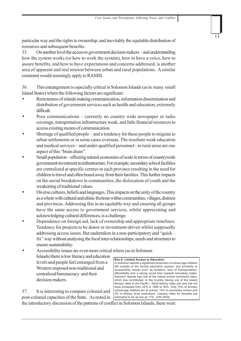particular way and the rights to ownership, and inevitably the equitable distribution of resources and subsequent benefits.

35. On another level the access to government decision makers – and understanding how the system works (or how to work the system), how to have a voice, how to assure benefits, and how to have expectations and concerns addressed, is another area of apparent and real tension between urban and rural populations. A similar comment would seemingly apply to RAMSI.

36. This estrangement is especially critical in Solomon Islands (as in many small Island States) where the following factors are significant:

- Remoteness of islands making communication, information dissemination and distribution of government services such as health and education, extremely difficult.
- Poor communications currently no country wide newspaper or radio coverage, transportation infrastructure weak, and little financial resources to access existing means of communication.
- Shortage of qualified people and a tendency for these people to migrate to urban settlements or in some cases overseas. The resultant weak education and medical services – and under-qualified personnel - in rural areas are one aspect of this "brain drain".
- Small population affecting natural economies of scale in terms of countrywide government investment in infrastructure. For example, secondary school facilities are centralized at specific centres in each province resulting in the need for children to travel and often board away from their families. This further impacts on the social breakdown in communities, the dislocation of youth and the weakening of traditional values.
- Diverse cultures, beliefs and languages. This impacts on the unity of the country as a whole with cultural and ethnic frictions within communities, villages, districts and provinces. Addressing this in an equitable way and ensuring all groups have the same access to government services, whilst appreciating and acknowledging cultural differences, is a challenge.
- Dependence on foreign aid, lack of ownership and appropriate timelines. Tendency for projects to be donor or investment-driven whilst supposedly addressing access issues. But undertaken in a non-participatory and "quick – fix" way without analysing the local inter-relationships, needs and structures to ensure sustainability.
- Accessibility issues are even more critical where (as in Solomon Islands) there is low literacy and education levels and people feel estranged from a Western imposed non-traditional and centralized bureaucracy and their decision makers.

37. It is interesting to compare colonial and post-colonial capacities of the State. As noted in

#### **Box 6: Limited Access to Education**

In Solomon Islands a significant proportion of school age children fall outside of the formal education system, due primarily to accessibility issues such as isolation, lack of transportation, affordability and a strong social bias towards educating males. Solomon Islands has one of the lowest school enrolment rates, which has contributed, to the country having one of the lowest literacy rates in the Pacific.<sup>1</sup> Adult literacy rates are very low but have increased from 22% in 1992 to 30%. Only 75% of primary school-age children are at school, 14% in secondary school and 5% in tertiary level institutions. Literacy rates for females are estimated to be as low as 17%. *(UN 2000)*

the introductory discussion of the patterns of conflict in Solomon Islands, there were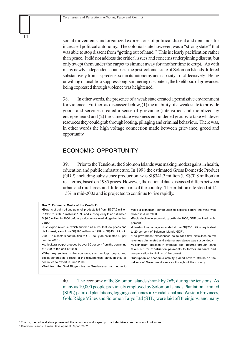social movements and organized expressions of political dissent and demands for increased political autonomy. The colonial state however, was a "strong state" that was able to stop dissent from "getting out of hand." This is clearly pacification rather than peace. It did not address the critical issues and concerns underpinning dissent, but only swept them under the carpet to simmer away for another time to erupt. As with many newly independent countries, the post-colonial state of Solomon Islands differed substantively from its predecessor in its autonomy and capacity to act decisively. Being unwilling or unable to suppress long-simmering discontent, the likelihood of grievances being expressed through violence was heightened.

38. In other words, the presence of a weak state created a permissive environment for violence. Further, as discussed below, (1) the inability of a weak state to provide goods and services created a sense of grievance (intensified and mobilized by entrepreneurs) and (2) the same state weakness emboldened groups to take whatever resources they could grab through looting, pillaging and criminal behaviour. There was, in other words the high voltage connection made between grievance, greed and opportunity.

#### ECONOMIC OPPORTUNITY

39. Prior to the Tensions, the Solomon Islands was making modest gains in health, education and public infrastructure. In 1998 the estimated Gross Domestic Product (GDP), including subsistence production, was SI\$341.3 million (US\$70.8 million) in real terms, based on 1985 prices. However, the national data discussed differs between urban and rural areas and different parts of the country. The inflation rate stood at 14 - 15% in mid-2002 and is projected to continue to rise rapidly.

| Box 7: Economic Costs of the Conflict <sup>6.</sup>                    |                                                                      |
|------------------------------------------------------------------------|----------------------------------------------------------------------|
| . Exports of palm oil and palm oil products fell from SI\$97.9 million | make a significant contribution to exports before the mine was       |
| in 1998 to SI\$65.1 million in 1999 and subsequently to an estimated   | closed in June 2000.                                                 |
| SI\$6.5 million in 2000 before production ceased altogether in that    | • Rapid decline in economic growth - in 2000, GDP declined by 14     |
| year.                                                                  | percent.                                                             |
| •Fish export revenue, which suffered as a result of low prices and     | •Infrastructure damage estimated at over SI\$250 million (equivalent |
| civil unrest, sank from SI\$195 million in 1999 to SI\$45 million in   | to 20 per cent of Solomon Islands GDP).                              |
| 2000. This sectors contribution to GDP fell y an estimated 42 per      | •The government experienced acute cash flow difficulties as tax      |
| cent in $2000.$                                                        | revenues plummeted and external assistance was suspended.            |
| •Agricultural output dropped by over 50 per cent from the beginning    | •A significant increase in overseas debt incurred through loans      |
| of 1999 to the end of $2000$                                           | taken out for repatriation payments to former militants and          |
| . Other key sectors in the economy, such as logs, copra, and           | compensation to victims of the unrest.                               |
| cocoa suffered as a result of the disturbances, although they all      | .Disruption of economic activity placed severe strains on the        |
| continued to export in June 2000.                                      | delivery of Government services throughout the country.              |
| .Gold from the Gold Ridge mine on Guadalcanal had begun to             |                                                                      |

40. The economy of the Solomon Islands shrank by 26% during the tensions. As many as 10,000 people previously employed by Solomon Islands Plantation Limited (SIPL) palm oil plantations, logging companies in Guadalcanal and Western Provinces, Gold Ridge Mines and Solomon Taiyo Ltd (STL) were laid off their jobs, and many

5 That is, the colonial state possessed the autonomy and capacity to act decisively, and to control outcomes.

6 Solomon Islands Human Development Report 2002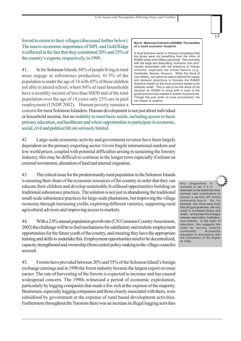forced to return to their villages (discussed further below). The macro-economic importance of SIPL and Gold Ridge is reflected in the fact that they constituted 20% and 25% of the country's exports, respectively, in 1999.

41. In the Solomon Islands, 84% of people living in rural areas engage in subsistence production; 41.5% of the population is under the age of 14 with 45% of these children not able to attend school, where 84% of rural households have a monthly income of less than SI\$50 and of the total population over the age of 14 years only 23% are in paid employment (UNDP 2002). Human poverty remains a

#### **Box 8: Welcome Criticism of RAMSI: The benefits of a small economic footprint**

A local business owner in Honiara complained that his shops were not benefiting from the influx of RAMSI police and military personnel. This contrasts with the large and dislocating "economic foot print" usually associated with the presence of foreign missions, especially the United Nations (e.g. Cambodia, Bosnia, Kosovo). While the flood of non-military, non-police ex-pats is blamed for supply and demand distortions in Honiara the RAMSI distortive impact on the local economy seems to be relatively small. This is said to be the result of the decision by RAMSI to bring with it most of the goods and services needed to sustain its personnel. Though this puts limits on local procurement, the net impact is positive.

concern for most Solomon Islanders. Human development is not just about individual or household income, but an inability to meet basic needs, including access to basic primary education, and healthcare and where opportunities to participate in economic, social, civil and political life are seriously limited.

42 Large-scale economic activity and government revenue have been largely dependent on the primary exporting sector. Given fragile international markets and low world prices, coupled with potential difficulties arising in sustaining the forestry industry, this may be difficult to continue in the longer term especially if reliant on external investment, alienation of land and internal migration.

43. The critical issue for the predominantly rural population in the Solomon Islands is ensuring their share of the economic resources of the country in order that they can educate their children and develop sustainable livelihood opportunities building on traditional subsistence practices. The solution is not just in abandoning the traditional small-scale subsistence practices for large-scale plantations, but improving the village economy through increasing yields, exploring different varieties, supporting rural agricultural advisors and improving access to markets.

44. With a 2.8% annual population growth rate (UN Common Country Assessment, 2002) the challenge will be to find mechanisms for satisfactory and realistic employment opportunities for the future youth of the country, and ensuring they have the appropriate training and skills to undertake this. Employment opportunities need to be decentralized, capacity strengthened and ownership (from central policy making to the village councils) assured.

45. Forests have provided between 20% and 35% of the Solomon Island's foreign exchange earnings and in 1990 the forest industry became the largest export revenue earner. The rate of harvesting of the forests is expected to increase and has caused widespread concern. The 1990s witnessed a period of economic exploitation, particularly by logging companies that made a few rich at the expense of the majority. Businesses, especially logging companies and those closely associated with them, were subsidised by government at the expense of rural based development activities. Furthermore throughout the Tensions there was an increase in illegal logging activities



Any programme is doomed to fail if it is premised on the belief that even nominal cash contributions to access a service will entice community buy-in. So, for example, any move away from free drug programmes, will only result in increased illness and death – and grease the linkages between deprivation, frustration, and violence. In the realm of education, this suggests the need for moving towards<br>universally accessible accessible education in accordance with the Convention of the Rights of Child.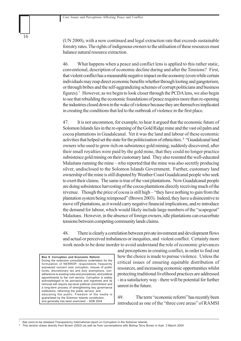(UN 2000), with a now continued and legal extraction rate that exceeds sustainable forestry rates.The rights of indigenous owners to the utilisation of these resources must balance natural resource extraction.

46. What happens when a peace and conflict lens is applied to this rather static, conventional, description of economic decline during and after the Tensions?First, that violent conflict has a measurable negative impact on the economy (even while certain individuals may reap direct economic benefits whether through looting and gangsterism, or through bribes and the self-aggrandizing schemes of corrupt politicians and business figures).<sup>7</sup> However, as we begin to look closer through the PCDA lens, we also begin to see that rebuilding the economic foundations of peace requires more than re-opening the industries closed down in the wake of violence because they are themselves implicated in creating the conditions that led to the outbreak of violence in the first place.

47. It is not uncommon, for example, to hear it argued that the economic future of Solomon Islands lies in the re-opening of the Gold Ridge mine and the vast oil palm and cocoa plantations in Guadalcanal. Yet it was the land and labour of these economic activities that helped set the state for the politicisation of ethnicities. 8 "Guadalcanal land owners who used to grow rich on subsistence gold mining, suddenly discovered, after their small royalties were paid by the gold mine, that they could no longer practice subsistence gold mining on their customary land. They also resented the well-educated Malaitans running the mine – who reported that the mine was also secretly producing silver, undisclosed to the Solomon Islands Government. Further, customary land ownership of the mine is still disputed by Weather Coast Guadalcanal people who seek to exert their claims. The same is true of the vast plantations. Now Guadalcanal people are doing subsistence harvesting of the cocoa plantations directly receiving much of the revenue. Though the price of cocoa is still high – "they have nothing to gain from the plantation system being reimposed" (Brown 2003). Indeed, they have a disincentive to move off plantations, as it would carry negative financial implications, and re-introduce the demand for labour, which would likely include large numbers of the "scapegoat" Malaitans. However, in the absence of foreign owners, idle plantations can exacerbate tensions between competing community lands claims.

48. There is clearly a correlation between private investment and development flows and actual or perceived imbalances or inequities, and violent conflict. Certainly more work needs to be done inorder to avoid understand the role of economic grievances

**Box 9. Corruption and Economic Reform** During the extensive consultations undertaken for the formulation of NERRDP, respondents frequently expressed concern over corruption, misuse of public funds, discretionary tax and duty exemptions, nonadherence to existing rules and procedures, and political appointments to the civil service. Corruption is widely acknowledged to be pervasive and ingrained and its removal will require top-level political commitment and a long-term process of strengthening key governance institutions, reforming the public service, and educating the public. Freedom of the media is guaranteed by the Solomon Islands constitution, and generally has been exercised. - ADB 2004

and perceptions in creating conflict, in order to find out how the choice is made to pursue violence. Unless the critical issues of ensuring equitable distribution of resources, and increasing economic opportunities whilst protecting traditional livelihood practices are addressed - in a satisfactory way - there will be potential for further unrest in the future.

49. The term "economic reform" has recently been introduced as one of the "three core areas" of RAMSI

See soon-to-be released Transparency International report on Corruption in the Solomon Islands.

<sup>8</sup> This section draws directly from Brown (2003) as well as from conversations with Bishop Terry Brown in Auki. 3 March 2004.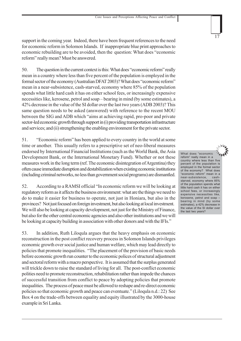support in the coming year. Indeed, there have been frequent references to the need for economic reform in Solomon Islands. If inappropriate blue print approaches to economic rebuilding are to be avoided, then the question: What does "economic reform" really mean? Must be answered.

50. The question in the current context is this: What does "economic reform" really mean in a country where less than five percent of the population is employed in the formal sector of the economy (Australian DFAT 2003)? What does "economic reform" mean in a near-subsistence, cash-starved, economy where 85% of the population spends what little hard cash it has on either school fees, or increasingly expensive necessities like, kerosene, petrol and soap – bearing in mind (by some estimates), a 42% decrease in the value of the SI dollar over the last two years (ADB 2003)? This same question needs to be asked (answered) with reference to the recent MOU between the SIG and ADB which "aims at achieving rapid, pro-poor and private sector-led economic growth through support in (i) providing transportation infrastructure and services; and (ii) strengthening the enabling environment for the private sector.

51. "Economic reform" has been applied to every country in the world at some time or another. This usually refers to a prescriptive set of neo-liberal measures endorsed by International Financial Institutions (such as the World Bank, the Asia Development Bank, or the International Monetary Fund). Whether or not these measures work in the long term (ref. The economic disintegration of Argentina) they often cause immediate disruption and destabilization when existing economic institutions (including criminal networks, no less than government social programs) are dismantled.

52. According to a RAMSI official "In economic reform we will be looking at regulatory reform as it affects the business environment: what are the things we need to do to make it easier for business to operate, not just in Honiara, but also in the provinces? Not just focused on foreign investment, but also looking at local investment. We will also be looking at capacity development, not just for the Ministry of Finance, but also for the other central economic agencies and also other institutions and we will be looking at capacity building in association with other donors and with the IFIs."

53. In addition, Ruth Liloqula argues that the heavy emphasis on economic reconstruction in the post conflict recovery process in Solomon Islands privileges economic growth over social justice and human welfare, which may lead directly to policies that promote inequalities. "The placement of the provision of basic needs before economic growth run counter to the economic polices of structural adjustment and sectoral reform with a macro perspective. It is assumed that the surplus generated will trickle down to raise the standard of living for all. The post-conflict economic polities need to promote reconstruction, rehabilitation rather than impede the chances of successful transition from conflict to peace by adopting policies that promote inequalities. The process of peace must be allowed to reshape and re-direct economic policies so that economic growth and peace can eventuate." (Liloqula n.d.: 22) See Box 4 on the trade-offs between equality and equity illustrated by the 3000-house example in Sri Lanka.

What does "economic reform" really mean in a country where less than five percent of the population is employed in the formal sector of the economy? What does "economic reform" mean in a near-subsistence, cashstarved, economy where 85% of the population spends what little hard cash it has on either school fees, or increasingly expensive necessities like, kerosene, petrol and soap – bearing in mind (by some estimates), a 42% decrease in the value of the SI dollar over the last two years?

17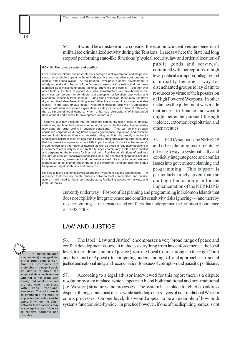54. It would be a mistake not to consider the economic incentives and benefits of militarised criminalized activity during the Tensions. In areas where the State had long stopped performing state-like functions (physical security, law and order, allocation of

#### **BOX 10: The private sector and conflict**

Local and international business interests, foreign direct investment, and the private sector as a whole appear to have both positive and negative contributions to conflict and peace cycles. At the national level private sector development is widely understood to be part of the "access to resources" question that has been identified as a major contributing factor to grievance and conflict. Together with other factors, the lack of opportunity, jobs, infrastructure, and livelihoods in the provinces can be seen to contribute to a perception of isolation, deprivation and alienation, especially from Honiara. During times of tension, these resource flows dry up or divert elsewhere, limiting even further the amount of resources available locally. In the past, private sector investment focused largely on Guadalcanal coupled with natural resource exploitation is widely perceived to benefit "others" to the detriment of local owners, which enhances perceptions of imbalanced development and access to development opportunity.

Though it is widely believed that the business community has a stake in stability, certain segments of the business community, in particular the extractive industries may generate larger profits in unstable conditions. They can do this through corruption perpetuated during times of weak governance, regulation, and resource ownership rights (conditions such as exist during conflicts), by directly or indirectly funding political processes, by legally and illegally bringing in external labor (ensuring that the benefits of operations have little impact locally). "Conflict entrepreneurs", including local and international interests as well as those in regulatory positions in Government are widely believed by the business community itself to have fuelled and perpetuated the tensions for financial gain. Positive contributions of business include: job creation, sensitive labor policies, ensuring benefits of operations includes local landowners, government and the business itself. As an actor local business leaders can affect change, reach the ears of government, and can use their status to speak out against abuses and problems.

Policies to move economic development and investment beyond Guadalcanal — in a manner that does not create tensions between local communities and outside actors — will need to focus on infrastructure, facilitating access to markets, and land use policy.

public goods and services), combined with perceptions of high level political corruption, pillaging and criminality became a way for disenchanted groups to lay claim to resources by virtue of their possession of High Powered Weapons. In other instances the judgement was made that access to finance and wealth might better be pursued through violence, extortion, exploitation and other avenues.

55. PCDA supports the NERRDP and other planning instruments by offering a way to systematically and explicitly integrate peace and conflict issues into government planning and programming. This support is particularly timely given that the drafting of an action plan for the implementation of the NERRDP is

currently under way. Post-conflict planning and programming in Solomon Islands that does not explicitly integrate peace and conflict sensitivity risks ignoring — and thereby risks re-igniting — the tensions and conflicts that underpinned the eruption of violence of 1998-2003.

#### LAW AND JUSTICE



18

inappropriate) to suggest that either traditional or nontradition structures are preferable — though it would be useful to have the empirical data to determine whether or not areas with strong traditional structures are less violent than those with weak traditional structures. The point here, is to emphasize the need to appreciate (and anticipate) the ways in which the clash between these systems may encourage the use of violence to resolve conflicts and disputes.

56. The label "Law and Justice" encompasses a very broad range of peace and conflict development issues. It includes everything from law enforcement at the local level, to the administration of justice (from the Local Courts through to the High Court and the Court of Appeal), to competing understandings of, and approaches to, social justice and national unity and reconciliation, to issues of corruption and parasitic politicians.

57. According to a legal advisor interviewed for this report there is a dispute resolution system in place, which appears to blend both traditional and non-traditional (i.e. Western) structures and processes. The system has a place for chiefs to address disputes through traditional means while including others layers of non-traditional Western courts processes. On one level, this would appear to be an example of how both systems function side-by-side. In practice however, if one of the disputing parties is not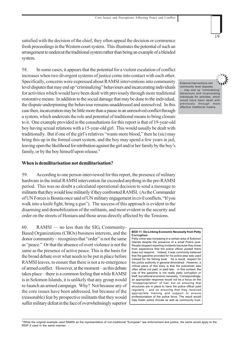satisfied with the decision of the chief, they often appeal the decision or commence fresh proceedings in the Western court system. This illustrates the potential of such an arrangement to undercut the traditional system rather than being an example of a blended system.

58. In some cases, it appears that the potential for a violent escalation of conflict increases when two divergent systems of justice come into contact with each other. Specifically, concerns were expressed about RAMSI interventions into community level disputes that may end up "criminalizing" behaviours and incarcerating individuals for activities which would have been dealt with previously through more traditional restorative means. In addition to the social damage that may be done to the individual, the dispute underpinning the behaviour remains unaddressed and unresolved. In this case then, incarceration may be little more than a pause in an unresolved conflict through a system, which undercuts the role and potential of traditional means to bring closure to it. One example provided in the consultations for this report is that of 19-year-old boy having sexual relations with a 15-year-old girl. This would usually be dealt with traditionally. But if one of the girl's relatives "wants more blood," then he (sic) may bring this up in the formal court system, and the boy may spend a few years in jail, leaving open the likelihood for retribution against the girl and/or her family by the boy's family, or by the boy himself upon release.<sup>9</sup>

#### **When is demilitarisation not demilitarisation?**

59. According to one person interviewed for this report, the presence of military hardware in the initial RAMSI intervention far exceeded anything in the pre-RAMSI period. This was no doubt a calculated operational decision to send a message to militants that they would lose militarily if they confronted RAMSI. (As the Commander of UN Forces is Bosnia once said of UN military engagement in civil conflicts, "If you walk into a knife fight, bring a gun"). The success of this approach is evident in the disarming and demobilization of the militants, and most evident in the security and order on the streets of Honiara and those areas directly affected by the Tensions.

60. RAMSI — no less than the SIG, Community-Based Organizations (CBOs) business interests, and the donor community – recognizes that "order" is not the same as "peace." Or that the absence of overt violence is not the same as the presence of active peace. This is the basis for the broad debate over what needs to be put in place before RAMSI leaves, to ensure that there is not a re-emergence of armed conflict. However, at the moment – as this debate takes place – there is a common feeling that while RAMSI is in Solomon Islands, it is unlikely that any group would re-launch an armed campaign. Why? Not because any of the core issues have been addressed, but because of the (reasonable) fear by prospective militants that they would suffer military defeat in the face of overwhelmingly superior External interventions into community level disputes … may end up "criminalizing" behaviours and incarcerating individuals for activities, which would have been dealt with previously through more effective traditional means.

19

#### **BOX 11: De-Linking Economic Necessity from Petty Corruption**

Petty crime was increasing in a certain area of Solomon Islands despite the presence of a small Police post. People stopped reporting incidents because they knew from experience that the police officer posted there does not respond. Indeed, it was commonly believed that the gasoline provided for his police jeep was used instead for his fishing boat. As a result, respect for the police authority in general diminished. However, a critical piece of this story is that the policeman was often either not paid, or paid late. In this context, the use of the gasoline is not really petty corruption or theft, but rational economic necessity. Correspondingly, an appropriate response would not be a focus on the "misappropriation" of fuel, but on ensuring that structures are in place to have the police officer paid regularly – and on ensuring that they received appropriate training and support to ensure professionalism of the police force. The result would help foster police morale as well as community trust.

9 While the original example used RAMSI as the representative of non-traditional "European" law enforcement and justice, the same would apply to the RSIP if used in the same manner.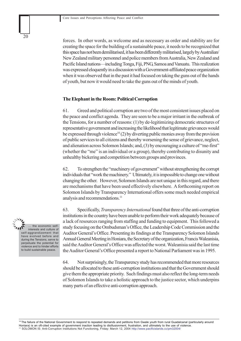forces. In other words, as welcome and as necessary as order and stability are for creating the space for the building of a sustainable peace, it needs to be recognized that this space has not been demilitarised, it has been differently militarised, largely by Australian/ New Zealand military personnel and police members from Australia, New Zealand and Pacific Island nations—including Tonga, Fiji, PNG, Samoa and Vanuatu. This realization was expressed eloquently in a discussion with a Government-affiliated peace organization when it was observed that in the past it had focused on taking the guns out of the hands of youth, but now it would need to take the guns out of the minds of youth.

#### **The Elephant in the Room: Political Corruption**

61. Greed and political corruption are two of the most consistent issues placed on the peace and conflict agenda. They are seen to be a major irritant in the outbreak of the Tensions, for a number of reasons: (1) by de-legitimizing democratic structures of representative government and increasing the likelihood that legitimate grievances would be expressed through violence<sup>10</sup> (2) by diverting public monies away from the provision of public services to all citizens and thereby worsening the sense of grievance, neglect, and alienation across Solomon Islands; and, (3) by encouraging a culture of "me-first" (whether the "me" is an individual or a group), thereby contributing to disunity and unhealthy bickering and competition between groups and provinces.

62. To strengthen the "machinery of government" without strengthening the corrupt individuals that "work the machinery." Ultimately, it is impossible to change one without changing the other. However, Solomon Islands are not unique in this regard, and there are mechanisms that have been used effectively elsewhere. A forthcoming report on Solomon Islands by Transparency International offers some much needed empirical analysis and recommendations.<sup>11</sup>

63. Specifically, *Transparency International* found that three of the anti-corruption institutions in the country have been unable to perform their work adequately because of a lack of resources ranging from staffing and funding to equipment. This followed a study focusing on the Ombudsman's Office, the Leadership Code Commission and the Auditor General's Office. Presenting its findings at the Transparency Solomon Islands Annual General Meeting in Honiara, the Secretary of the organization, Francis Waleanisia, said the Auditor General's Office was affected the worst. Waleanisia said the last time the Auditor General's Office presented a report to National Parliament was in 1995.

64. Not surprisingly, the Transparency study has recommended that more resources should be allocated to these anti-corruption institutions and that the Government should give them the appropriate priority. Such findings must also reflect the long-term needs of Solomon Islands to take a holistic approach to the justice sector, which underpins many parts of an effective anti-corruption approach.

the economic selfinterests and culture of self-aggrandizement that have evolved before and during the Tensions, serve to perpetuate the potential for violence and to hinder efforts to build sustainable peace.

20

<sup>10</sup> The failure of the National Government to respond to repeated demands and petitions from Gwale youth from rural Guadalcanal (particularly around Honiara) is an oft-cited example of government inaction leading to disillusionment, frustration, and ultimately to the use of violence. 11 SOLOMON IS: Anti-Corruption Institutions Not Functioning, Friday: March 12, 2004 http://www.pacificislands.cc/pm32004/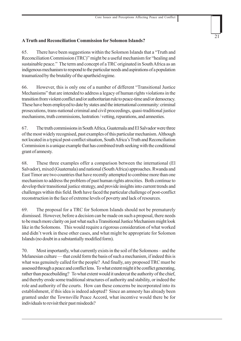#### **A Truth and Reconciliation Commission for Solomon Islands?**

65. There have been suggestions within the Solomon Islands that a "Truth and Reconciliation Commission (TRC)" might be a useful mechanism for "healing and sustainable peace." The term and concept of a TRC originated in South Africa as an indigenous mechanism to respond to the particular needs and aspirations of a population traumatized by the brutality of the apartheid regime.

66. However, this is only one of a number of different "Transitional Justice Mechanisms" that are intended to address a legacy of human rights violations in the transition from violent conflict and/or authoritarian rule to peace-time and/or democracy. These have been employed to date by states and the international community: criminal prosecutions, trans-national criminal and civil proceedings, quasi-traditional justice mechanisms, truth commissions, lustration / vetting, reparations, and amnesties.

67. The truth commissions in South Africa, Guatemala and El Salvador were three of the most widely recognised, past examples of this particular mechanism. Although not located in a typical post-conflict situation, South Africa's Truth and Reconciliation Commission is a unique example that has combined truth seeking with the conditional grant of amnesty.

68. These three examples offer a comparison between the international (El Salvador), mixed (Guatemala) and national (South Africa) approaches. Rwanda and East Timor are two countries that have recently attempted to combine more than one mechanism to address the problem of past human rights atrocities. Both continue to develop their transitional justice strategy, and provide insights into current trends and challenges within this field. Both have faced the particular challenge of post-conflict reconstruction in the face of extreme levels of poverty and lack of resources.

69. The proposal for a TRC for Solomon Islands should not be prematurely dismissed. However, before a decision can be made on such a proposal, there needs to be much more clarity on just what such a Transitional Justice Mechanism might look like in the Solomons. This would require a rigorous consideration of what worked and didn't work in these other cases, and what might be appropriate for Solomon Islands (no doubt in a substantially modified form).

70. Most importantly, what currently exists in the soil of the Solomons – and the Melanesian culture — that could form the basis of such a mechanism, if indeed this is what was genuinely called for the people? And finally, any proposed TRC must be assessed through a peace and conflict lens. To what extent might it be conflict generating, rather than peacebuilding? To what extent would it undercut the authority of the chief, and thereby erode some traditional structures of authority and stability, or indeed the role and authority of the courts. How can these concerns be incorporated into its establishment, if this idea is indeed adopted? Since an amnesty has already been granted under the Townsville Peace Accord, what incentive would there be for individuals to revisit their past misdeeds?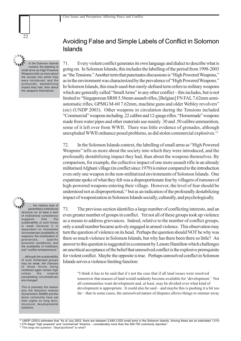In the Solomon Islands context, the labelling of

22

small arms as High Powered Weapons tells us more about the society into which they were introduced, and the profoundly destabilizing impact they had, than about the weapons themselves



.. the relative lack of paramilitary institutional structure (or at least a lack of institutional consistency) suggests that the sustainability of such forces is weak because it is dependent on immediate circumstances (availability of weapons, the mobilization of grievances, specific economic conditions), and the availability of mobilizers and "conflict entrepreneurs."

… although the sustainability of such militarised groups may be weak, the chances of these forces being mobilized again remain high unless the original precipitating circumstances are changed.

This is precisely the reason why the Solomon Islands Government, RAMSI and the donor community have set their sights on long term, structural, developmental solutions.

## Avoiding False and Simple Labels of Conflict in Solomon Islands

71. Every violent conflict generates its own language and dialect to describe what is going on. In Solomon Islands, this includes the labelling of the period from 1998-2003 as "the Tensions." Another term that punctuates discussions is "High Powered Weapons," as in the environment was characterized by the prevalence of "High Powered Weapons." In Solomon Islands, this much-used-but-rarely-defined term refers to military weapons which are generally called "Small Arms" in any other conflict – this includes, but is not limited to "Singaporean SR88 5.56mm assault rifles, [Belgian] FN FAL 7.62mm semiautomatic rifles, GPMG M-60 7.62mm, machine guns and older Webley revolvers" (sic) (UNDP 2003). Other weapons in circulation during the Tensions included "Commercial" weapons including .22 calibre and 12-gauge rifles. "Homemade" weapons made from water pipes and other materials use mainly .30 and .50 calibre ammunition, some of it left over from WWII. There was little evidence of grenades, although unexploded WWII ordnance posed problems, as did stolen commercial explosives.12

72. In the Solomon Islands context, the labelling of small arms as "High Powered Weapons" tells us more about the society into which they were introduced, and the profoundly destabilizing impact they had, than about the weapons themselves. By comparison, for example, the collective impact of one more assault rifle in an already militarised Afghani village (in conflict since 1979) is minor compared to the introduction even only one weapon in the non-militarized environments of Solomon Islands. One expatriate spoke of what they felt was a disproportionate fear by villagers of rumours of high-powered weapons entering their village. However, the level of fear should be understood not as disproportional,<sup>13</sup> but as an indication of the profoundly destabilizing impact of weaponization in Solomon Islands socially, culturally, and psychologically.

73. The previous section identifies a large number of conflicting interests, and an even greater number of groups in conflict. Yet not all of these groups took up violence as a means to address grievances. Indeed, relative to the number of conflict groups, only a small number became actively engaged in armed violence. This observation may turn the question of violence on its head. Perhaps the question should NOT be why was there so much violence in Solomon Islands, but why has there been there so little? An answer to this question is suggested in a comment by Lenore Hamilton which challenges an uncritical acceptance of the belief that unresolved conflict is the explosive prerequisite for violent conflict. Maybe the opposite is true. Perhaps unresolved conflict in Solomon Islands serves a violence-limiting function:

"I think it has to be said that it's not the case that if all land issues were resolved tomorrow that masses of land would suddenly become available for 'development.' Not all communities want development and, at least, may be divided over what kind of development is appropriate. It could also be said – and maybe this is pushing it a bit too far – that in some cases, the unresolved nature of disputes allows things to simmer away

<sup>13</sup> This begs the question: "disproportional" to what?

<sup>12</sup> UNDP (2003) estimates that "As of July 2003, there are between 2,640-3,520 small arms in the Solomon Islands. Among these are an estimated 1,010-

<sup>1,270</sup> illegal "high powered" and "commercial" firearms – considerably more than the 500-700 commonly reported."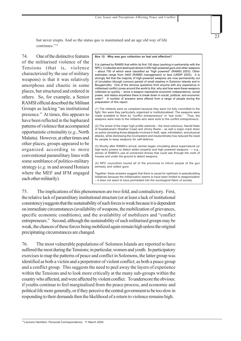but never erupts. And so the status quo is maintained and an age old way of life continues."14

74. One of the distinctive features of the militarised violence of the Tensions (that is, violence characterized by the use of military weapons) is that it was relatively amorphous and chaotic in some places, but structured and ordered in others. So, for example, a Senior RAMSI official described the Militant Groups as lacking "an institutional presence." At times, this appears to have been reflected in the haphazard patterns of violence that accompanied opportunistic criminality (*e.g.*, North Malaita). However, at other times and other places, groups appeared to be organized according to more conventional paramilitary lines with some semblance of politico-military strategy (*e.g.* in and around Honiara where the MEF and IFM engaged each other militarily).

#### **Box 12: Why was gun collection so fast and effective?**

It is claimed by RAMSI that within its first 100 days (working in partnership with the NPC), it collected and destroyed almost 4,000 high-powered guns and other weapons – about 700 of which were classified as "high powered" (RAMSI 2003). Other estimates range from 3400 (RAMSI management) or less (UNDP 2003). It is strongly felt that the majority of high-powered weapons are now permanently out of circulation (though rumours persist of small stashes in Solomon Islands and in Bougainville). One of the obvious questions from anyone with any experience in militarised conflict zones around the world is this: why and how were these weapons collected so quickly – since a weapon represents economic independence, social power, and status anywhere there is break down in social, political, and economic order? A number of answers were offered from a range of people during the preparation of this report.

23

(1) The militants were so compliant because they were not fully committed to the fight. Nor were they particularly organized or institutionalised. The weapons were made available to them by "conflict entrepreneurs" or "war lords." Thus, the weapons were tools to the militants who were tools to the conflict entrepreneurs.

(2) The arrest of the major high profile warlords – the most notorious, Harold Keke of Guadalcanal's Weather Coast and Jimmy Rasta – as well a major crack down on police (arresting those allegedly involved in theft, rape, intimidation, and physical attacks, while dismissing the incompetent and insubordinate) has reduced the need for people to keep weapons for self-defence.

(3) Shortly after RAMSI's arrival, stories began circulating about supernatural (or high tech) powers to detect stolen property and high powered weapons — e.g., stories of RAMSI's use of unmanned drones that could see through the roofs of houses and under the ground to detect weapons.

(4) NPC councillors toured all of the provinces to inform people of the gun amnesty and collect guns

Together, these answers suggest that there is cause for optimism in peacebuilding initiatives because the militarization seems to have been limited to weaponization – *it does not seem to have permeated into the sociological fabric of society.*

75. The implications of this phenomenon are two-fold, and contradictory. First, the relative lack of paramilitary institutional structure (or at least a lack of institutional consistency) suggests that the sustainability of such forces is weak because it is dependent on immediate circumstances (availability of weapons, the mobilization of grievances, specific economic conditions), and the availability of mobilizers and "conflict entrepreneurs." Second, although the sustainability of such militarised groups may be weak, the chances of these forces being mobilized again remain high unless the original precipitating circumstances are changed.

76. The most vulnerable populations of Solomon Islands are reported to have suffered the most during the Tensions; in particular, women and youth. In participatory exercises to map the patterns of peace and conflict in Solomons, the latter group was identified as both a victim and a perpetrator of violent conflict; as both a peace group and a conflict group. This suggests the need to peel away the layers of experience within the Tensions and to look more critically at the many sub-groups within the country who affected, and were affected by violent conflict. To underscore the obvious: if youths continue to feel marginalised from the peace process, and economic and political life more generally, or if they perceive the central government to be too slow in responding to their demands then the likelihood of a return to violence remains high.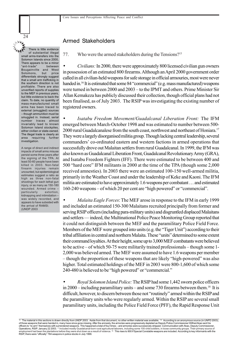of substantial illegal small arms-transfers into the Solomon Islands since 2000**.** There appears to be a minor "ant-trade" between Bougainville and West Solomons, but price differentials strongly suggest that a small arm trafficking in the southern direction is not profitable. There are also unverified reports of supplies to the MEF in previous years, but little evidence to back the claim. To date, no quantity of mass-manufactured small arms has been traced to external (smuggled) sources – though ammunition must be smuggled in. Instead, serial number traces almost invariably lead to known Solomon Island stockpiles either civilian or state-owned. The illegal trade is clearly an area requiring further investigation.

There is little evidence

24

A range of direct and indirect impacts of small arms misuse persist some three years after the signing of the TPA. At least 50-60 people have been killed in 2003. Non-fatal firearm injuries remain uncounted, but epidemiological estimates suggest a ratio as high as three non-fatal shootings for each lethal gun injury, or as many as 150-180 wounded. Armed crime -<br>particularly extortion, particularly kidnapping and intimidation – was widely recorded, and appears to have subsided with the arrival of RAMSI. (UNDP 2003

#### Armed Stakeholders

77. Who were the armed stakeholders during the Tensions?15

• *Civilians:* In 2000, there were approximately 800 licensed civilian gun owners in possession of an estimated 800 firearms. Although an April 2000 government order called in all civilian-held weapons for safe storage in official armouries, most were never handed in.<sup>16</sup> It is estimated that some 84 "commercial" (e.g. mass manufactured) weapons were turned in between 2000 and 2003 – to the IPMT and others. Prime Minister Sir Allan Kemakeza has publicly discussed their collection, though official plans had not been finalised, as of July 2003. The RSIP was investigating the existing number of registered owners.

• *Isatabu Freedom Movement/Guadalcanal Liberation Front:* The IFM emerged between March-October 1998 and was estimated to number between 500- 2000 rural Guadalcanalese from the south coast, northwest and northeast of Honiara.<sup>17</sup> They were a largely disorganised militia group. Though lacking central leadership, several commanders' co-ordinated eastern and western factions in armed operations that successfully drove out Malaitan settlers from rural Guadalcanal. In 1999, the IFM was also known as Guadalcanal Liberation Front, Guadalcanal Revolutionary Army (GRA), and Isatabu Freedom Fighters (IFF). There were estimated to be between 400 and 500 "hard core" IFM militants in 2000 at the time of the TPA (though some 2,000 received amnesties). In 2003 there were an estimated 100-150 well-armed militia, primarily in the Weather Coast and under the leadership of Keke and Kaoni. The IFM militia are estimated to have approximately 1.6 weapons per combatant … and estimated 160-240 weapons – of which 20 per cent are "high powered" or "commercial".

• *Malaita Eagle Forces*: The MEF arose in response to the IFM in early 1999 and included an estimated 150-300 Malaitans recruited principally from former and serving RSIP officers (including para-military units) and disgruntled displaced Malaitans and settlers — indeed, the Multinational Police Peace Monitoring Group reported that it could not distinguish between the MEF and the paramilitary Police Field Force. Members of the MEF were grouped into units (e.g. the "Tiger Unit") according to their tribal affiliation in central and northern Malaita. These "units" determined to some extent their command loyalties. At their height, some up to 3,000 MEF combatants were believed to be active – of which 50-75 were militarily trained professionals – though some 1- 2,000 was believed armed. The MEF were assumed to have 1.6 weapons per member – though the proportion of these weapons that are likely "high-powered" was also higher. Total estimated holdings of the MEF in 2003 were 800-1,600 of which some 240-480 is believed to be "high powered" or "commercial."

• *Royal Solomon Island Police:* The RSIP had some 1,442 sworn police officers in 2000 – including paramilitary units – and some 730 firearms between them.<sup>18</sup> It is difficult, however, to discern between those not "routinely" armed within the RSIP and the paramilitary units who were regularly armed. Within the RSIP are several small paramilitary units, including the Police Field Force (PFF), the Rapid Response Unit

<sup>15</sup> The material in this sections is drawn directly from UNDP 2003. Aside from that document, no other written material was available. <sup>16</sup> According to an anonymous source (in UNPD 2003), of those weapons that were handed in, many have since gone missing. After the amnesty, the armories were progressively depleted as Deputy Police Commissioner Wilfred Akao sent his officers to "re-arm" themselves with surrendered weapons. This happened a total of four times – and armories were successively stripped. Communication with Akao, Deputy Commissioner,<br>Operations, RSIP. January 22 2003. 17 I employment had been the plantations before they were shut down as a result of violence.<sup>18</sup> This rises to 900 if Special Constable weapons are included. According to key informants with the RSIP, there were "officially" 784 weapons in police stocks in July 1999.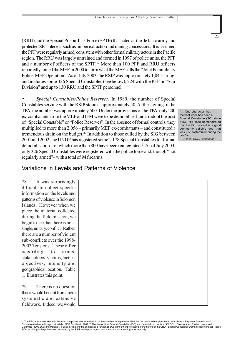(RRU) and the Special Prison Task Force (SPTF) that acted as the de facto army and protected SIG interests such as timber extraction and mining concessions. It is assumed the PFF were regularly armed, consistent with other formal military actors in the Pacific region. The RRU was largely untrained and formed in 1997 of police units, the PFF and a number of officers of the SPTF.19 More than 100 PFF and RRU officers reportedly joined the MEF in 2000 to form what the MEF calls the "Joint Paramilitary Police-MEF Operation". As of July 2003, the RSIP was approximately 1,045 strong, and includes some 326 Special Constables (see below), 224 with the PFF or "Star Division" and up to 130 RRU and the SPTF personnel.

• *Special Constables/Police Reserves:* In 1989, the number of Special Constables serving with the RSIP stood at approximately 50. At the signing of the TPA, the number was approximately 500. Under the provisions of the TPA, only 200 ex-combatants from the MEF and IFM were to be demobilised and to adopt the post of "Special Constable" or "Police Reserves". In the absence of formal controls, they multiplied to more than 2,056 – primarily MEF ex-combatants – and constituted a tremendous drain on the budget.<sup>20</sup> In addition to those culled by the SIG between 2001 and 2002, the UNDP has registered some 1,178 Special Constables for formal demobilisation – of which more than 800 have been reintegrated.<sup>21</sup> As of July 2003, only 326 Special Constables were registered with the police force and, though "not regularly armed"– with a total of 94 firearms.

... One character that I met last week had been a Special Constable (SC) since 1967. His case demonstrated that the SC concept is a good community-policing ideal that was just bastardized during the conflict. — *A local UNDP consultant*

25

Variations in Levels and Patterns of Violence

78. It was surprisingly difficult to collect specific information on the levels and patterns of violence in Solomon Islands. However when we piece the material collected during the field mission, we begin to see that there is not a single, unitary, conflict. Rather, there are a number of violent sub-conflicts over the 1998- 2003 Tensions. These differ according to armed stakeholders, victims, tactics, objectives, intensity and geographical location. Table 1. illustrates this point.

79. There is no question that it would benefit from more systematic and extensive fieldwork. Indeed, we would



<sup>&</sup>lt;sup>19</sup> The RRU was to be disbanded following complaints about their lack of professionalism in September 1999, but the police reform plans never took place. <sup>20</sup> Payments for the Special<br>Constables ballooned to approximately Goldridge - (202 SCs) and Malaita (71 SCs). It is planned to demobilize a further 25 SCs in the other provinces before the end of the UNDP Special Constables Demobilisation project. Those<br>SCs remaining in the police are ma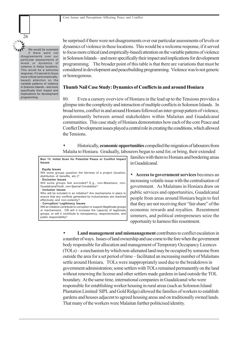

be surprised if there were not disagreements over our particular assessments of levels or dynamics of violence in these locations. This would be a welcome response, if it served to focus more critical (and empirically-based) attention on the variable patterns of violence in Solomon Islands – and more specifically their impact and implications for development programming. The broader point of this table is that there are variations that must be considered in development and peacebuilding programming. Violence was/is not generic or homogenous.

#### **Thumb Nail Case Study: Dynamics of Conflicts in and around Honiara**

80. Even a cursory overview of Honiara in the lead up to the Tensions provides a glimpse into the complexity and interaction of multiple conflicts in Solomon Islands. In broad terms, conflict in and around Honiara followed an inter-group pattern of violence, predominantly between armed stakeholders within Malaitan and Guadalcanal communities. This case study of Honiara demonstrates how each of the core Peace and Conflict Development issues played a central role in creating the conditions, which allowed the Tensions.

• Historically, **economic opportunities** compelled the migration of labourers from Malaita to Honiara. Gradually, labourers began to send for, or bring, their extended

**Box 13. Initial Scan for Potential Peace or Conflict Impact Issues**

· **Equity Issues**

Will some groups question the fairness of a project (location distribution of benefits, etc.)? **· Exclusion Issues**

Will some groups feel excluded? E.g., non-Malaitans, non-GuadalcanalYouth, non-Special Constables?

**· Inclusion Issues**

Who will be included in an initiative? Are mechanisms in place to ensure that any conflicts generated by inclusiveness are resolved effectively and non-violently? **· Corruption/ Legitimacy Issues**

Will an initiative contribute to corruption or support illegitimate groups or mechanisms. OR will it increase the capacity of legitimate groups, or will it contribute to transparency, responsiveness, and public responsibility?

families with them to Honiara and bordering areas in Guadalcanal.

• **Access to government services** becomes an increasing volatile issue with the centralisation of government. As Malaitans in Honiara draw on public services and opportunities, Guadalcanal people from areas around Honiara begin to feel that they are not receiving their "fair share" of the economic rewards and royalties. Resentment simmers, and political entrepreneurs seize the opportunity to harness this resentment.

• **Land management and mismanagement** contributes to conflict escalation in a number of ways. Issues of land ownership and use come to the fore when the government body responsible for allocation and management of Temporary Occupancy Licences (TOLs) – a mechanism by which non-alienated land may be occupied by someone from outside the area for a set period of time – facilitated an increasing number of Malaitans settle around Honiara. TOLs were inappropriately used due to the breakdown in government administration; some settlers with TOLs remained permanently on the land without renewing the license and other settlers made gardens in land outside the TOL boundary. At the same time, international companies in Guadalcanal who were responsible for establishing worker housing in rural areas (such as Solomon Island Plantation Limited/ SIPL and Gold Ridge) allowed the families of workers to establish gardens and houses adjacent to agreed housing areas and on traditionally owned lands. That many of the workers were Malaitan further politicised identity.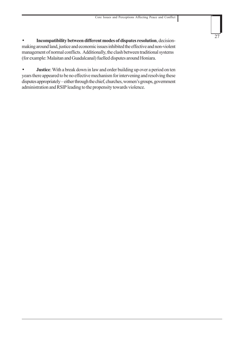• **Incompatibility between different modes of disputes resolution**, decisionmaking around land, justice and economic issues inhibited the effective and non-violent management of normal conflicts. Additionally, the clash between traditional systems (for example: Malaitan and Guadalcanal) fuelled disputes around Honiara.

**Justice**: With a break down in law and order building up over a period on ten years there appeared to be no effective mechanism for intervening and resolving these disputes appropriately – either through the chief, churches, women's groups, government administration and RSIP leading to the propensity towards violence.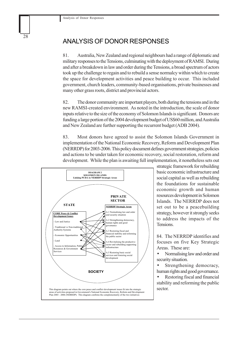## ANALYSIS OF DONOR RESPONSES

81. Australia, New Zealand and regional neighbours had a range of diplomatic and military responses to the Tensions, culminating with the deployment of RAMSI. During and after a breakdown in law and order during the Tensions, a broad spectrum of actors took up the challenge to regain and to rebuild a sense normalcy within which to create the space for development activities and peace building to occur. This included government, church leaders, community-based organisations, private businesses and many other grass roots, district and provincial actors.

82. The donor community are important players, both during the tensions and in the new RAMSI-created environment. As noted in the introduction, the scale of donor inputs relative to the size of the economy of Solomon Islands is significant. Donors are funding a large portion of the 2004 development budget of US\$60 million, and Australia and New Zealand are further supporting the recurrent budget (ADB 2004).

83. Most donors have agreed to assist the Solomon Islands Government in implementation of the National Economic Recovery, Reform and Development Plan (NERRDP) for 2003-2006. This policy document defines government strategies, policies and actions to be under taken for economic recovery, social restoration, reform and development. While the plan is awaiting full implementation, it nonetheless sets out



strategic framework for rebuilding basic economic infrastructure and social capital as well as rebuilding the foundations for sustainable economic growth and human resources development in Solomon Islands. The NERRDP does not set out to be a peacebuilding strategy, however it strongly seeks to address the impacts of the Tensions.

84. The NERRDP identifies and focuses on five Key Strategic Areas. These are:

• Normalising law and order and security situation.

Strengthening democracy, human rights and good governance.

• Restoring fiscal and financial stability and reforming the public sector.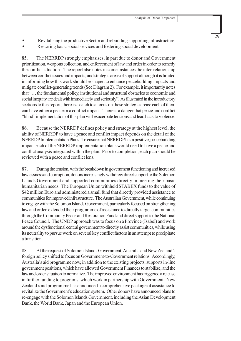• Restoring basic social services and fostering social development.

85. The NERRDP strongly emphasises, in part due to donor and Government prioritization, weapons collection, and enforcement of law and order in order to remedy the conflict situation. The report also notes in some instances the inter-relationship between conflict issues and impacts, and strategic areas of support although it is limited in informing how this work should be shaped to enhance peacebuilding impacts and mitigate conflict-generating trends (See Diagram 2). For example, it importantly notes that "… the fundamental policy, institutional and structural obstacles to economic and social inequity are dealt with immediately and seriously". As illustrated in the introductory sections to this report, there is a catch to a focus on these strategic areas: each of them can have either a peace or a conflict impact. There is a danger that peace and conflict "blind" implementation of this plan will exacerbate tensions and lead back to violence.

86. Because the NERRDP defines policy and strategy at the highest level, the ability of NERRDP to have a peace and conflict impact depends on the detail of the NERRDP Implementation Plans. To ensure that NERRDP has a positive, peacebuilding impact each of the NERRDP implementation plans would need to have a peace and conflict analysis integrated within the plan. Prior to completion, each plan should be reviewed with a peace and conflict lens.

87. During the tension, with the breakdown in government functioning and increased lawlessness and corruption, donors increasingly withdrew direct support to the Solomon Islands Government and supported communities directly in meeting their basic humanitarian needs. The European Union withheld STABEX funds to the value of \$42 million Euro and administered a small fund that directly provided assistance to communities for improved infrastructure. The Australian Government, while continuing to engage with the Solomon Islands Government, particularly focused on strengthening law and order, extended their programme of assistance to directly target communities through the Community Peace and Restoration Fund and direct support to the National Peace Council. The UNDP approach was to focus on a Province (Isabel) and work around the dysfunctional central government to directly assist communities, while using its neutrality to pursue work on several key conflict factors in an attempt to precipitate a transition.

88. At the request of Solomon Islands Government, Australia and New Zealand's foreign policy shifted to focus on Government-to-Government relations. Accordingly, Australia's aid programme now, in addition to the existing projects, supports in-line government positions, which have allowed Government Finances to stabilize, and the law and order situation to normalize. The improved environment has triggered a release in further funding to programs, which work in partnership with Government. New Zealand's aid programme has announced a comprehensive package of assistance to revitalize the Government's education system. Other donors have announced plans to re-engage with the Solomon Islands Government, including the Asian Development Bank, the World Bank, Japan and the European Union.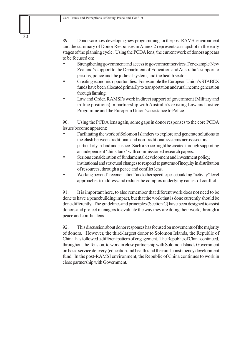89. Donors are now developing new programming for the post-RAMSI environment and the summary of Donor Responses in Annex 2 represents a snapshot in the early stages of the planning cycle. Using the PCDA lens, the current work of donors appears to be focused on:

- Strengthening government and access to government services. For example New Zealand's support to the Department of Education and Australia's support to prisons, police and the judicial system, and the health sector.
- Creating economic opportunities. For example the European Union's STABEX funds have been allocated primarily to transportation and rural income generation through farming.
- Law and Order. RAMSI's work in direct support of government (Military and in-line positions) in partnership with Australia's existing Law and Justice Programme and the European Union's assistance to Police.

90. Using the PCDA lens again, some gaps in donor responses to the core PCDA issues become apparent:

- Facilitating the work of Solomon Islanders to explore and generate solutions to the clash between traditional and non-traditional systems across sectors, particularly in land and justice. Such a space might be created through supporting an independent 'think tank' with commissioned research papers.
- Serious consideration of fundamental development and investment policy, institutional and structural changes to respond to patterns of inequity in distribution of resources, through a peace and conflict lens.
- Working beyond "reconciliation" and other specific peacebuilding "activity" level approaches to address and reduce the complex underlying causes of conflict.

91. It is important here, to also remember that diferent work does not need to be done to have a peacebuilding impact, but that the work that is done currently should be done differently. The guidelines and principles (Section C) have been designed to assist donors and project managers to evaluate the way they are doing their work, through a peace and conflict lens.

92. This discussion about donor responses has focused on movements of the majority of donors. However, the third-largest donor to Solomon Islands, the Republic of China, has followed a different pattern of engagement. The Republic of China continued, throughout the Tension, to work in close partnership with Solomon Islands Government on basic service delivery (education and health) and the rural constituency development fund. In the post-RAMSI environment, the Republic of China continues to work in close partnership with Government.

30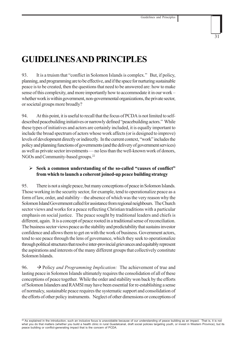# **GUIDELINES AND PRINCIPLES**

93. It is a truism that "conflict in Solomon Islands is complex." But, if policy, planning, and programming are to be effective, and if the space for nurturing sustainable peace is to be created, then the questions that need to be answered are: how to make sense of this complexity, and more importantly how to accommodate it in our work – whether work is within government, non-governmental organizations, the private sector, or societal groups more broadly?

94. At this point, it is useful to recall that the focus of PCDA is not limited to selfdescribed peacebuilding initiatives or narrowly defined "peacebuilding actors." While these types of initiatives and actors are certainly included, it is equally important to include the broad spectrum of actors whose work affects (or is designed to improve) levels of development directly or indirectly. In the current context, "work" includes the policy and planning functions of governments (and the delivery of government services) as well as private sector investments — no less than the well-known work of donors, NGOs and Community-based groups.22

## ¾ **Seek a common understanding of the so-called "causes of conflict" from which to launch a coherent joined-up peace building strategy**

95. There is not a single peace, but many conceptions of peace in Solomon Islands. Those working in the security sector, for example, tend to operationalize peace as a form of law, order, and stability – the absence of which was the very reason why the Solomon Island Government called for assistance from regional neighbours. The Church sector views and works for a peace reflecting Christian traditions with a particular emphasis on social justice. The peace sought by traditional leaders and chiefs is different, again. It is a concept of peace rooted in a traditional sense of reconciliation. The business sector views peace as the stability and predictability that sustains investor confidence and allows them to get on with the work of business. Government actors, tend to see peace through the lens of governance, which they seek to operationalize through political structures that resolve inter-provincial grievances and equitably represent the aspirations and interests of the many different groups that collectively constitute Solomon Islands.

96.  $\rightarrow$  Policy *and Programming Implication:* The achievement of true and lasting peace in Solomon Islands ultimately requires the consolidation of all of these conceptions of peace together. While the order and stability won back by the efforts of Solomon Islanders and RAMSI may have been essential for re-establishing a sense of normalcy, sustainable peace requires the systematic support and consolidation of the efforts of other policy instruments. Neglect of other dimensions or conceptions of

 $\frac{22}{2}$  As explained in the introduction, such an inclusive focus is unavoidable because of our understanding of peace building as an impact. That is, it is not what you do that matters (whether you build a health clinic in rural Guadalcanal, draft social policies targeting youth, or invest in Western Province), but its peace building or conflict-generating impact that is the concern of PCDA.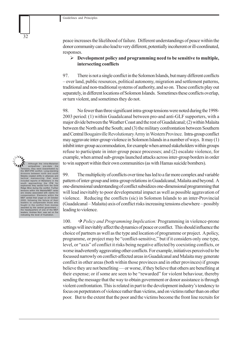peace increases the likelihood of failure. Different understandings of peace within the donor community can also lead to very different, potentially incoherent or ill-coordinated, responses.

## ¾ **Development policy and programming need to be sensitive to multiple, intersecting conflicts**

97. There is not a single conflict in the Solomon Islands, but many different conflicts – over land, public resources, political autonomy, migration and settlement patterns, traditional and non-traditional systems of authority, and so on. These conflicts play out separately, in different locations of Solomon Islands. Sometimes these conflicts overlap, or turn violent, and sometimes they do not.

98. No fewer than three significant intra-group tensions were noted during the 1998- 2003 period: (1) within Guadalcanal between pro-and anti-GLF supporters, with a major divide between the Weather Coast and the rest of Guadalcanal; (2) within Malaita between the North and the South; and (3) the military confrontation between Southern and Central Bougainville Revolutionary Army in Western Province. Intra-group conflict may aggravate inter-group violence in Solomon Islands in a number of ways. It may (1) inhibit inter-group accommodation, for example when armed stakeholders within groups refuse to participate in inter-group peace processes; and (2) escalate violence, for example, when armed sub-groups launched attacks across inter-group borders in order to win support within their own communities (as with Hamas suicide bombers).

99. The multiplicity of conflicts over time has led to a far more complex and variable pattern of inter-group and intra-group relations in Guadalcanal, Malaita and beyond. A one-dimensional understanding of conflict subsidizes one-dimensional programming that will lead inevitably to poor developmental impact as well as possible aggravation of violence. Reducing the conflicts (sic) in Solomon Islands to an inter-Provincial (Guadalcanal – Malaita) axis of conflict risks increasing tensions elsewhere – possibly leading to violence.

100.  $\rightarrow$  *Policy and Programming Implication:* Programming in violence-prone settings will inevitably affect the dynamics of peace or conflict. This should influence the choice of partners as well as the type and location of programme or project. A policy, programme, or project may be "conflict-sensitive," but if it considers only one type, level, or "axis" of conflict it risks being negative affected by coexisting conflicts, or worse inadvertently aggravating other conflicts. For example, initiatives perceived to be focussed narrowly on conflict-affected areas in Guadalcanal and Malaita may generate conflict in other areas (both within those provinces and in other provinces) if groups believe they are not benefiting — or worse, if they believe that others are benefiting at their expense; or if some are seen to be "rewarded" for violent behaviour, thereby sending the message that the way to obtain government or donor assistance is through violent confrontation. This is related in part to the development industry's tendency to focus on perpetrators of violence rather than victims, and on victims rather than on other poor. But to the extent that the poor and the victims become the front line recruits for

Although the intra-Malaitan<br>antipathies pre-date the<br>antipathies pre-date the<br>the MEF/IFM conflict. Long-standing<br>divisions between north and south<br>divisions between north and south<br>that cated shifts in allinces and<br>tactic fought in the conflict from monies awarded by the central government – the headquarters of one of the MEF leaders, Andrew Nori, was set on fire indicating the level of frustration.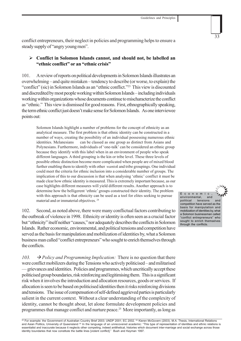conflict entrepreneurs, their neglect in policies and programming helps to ensure a steady supply of "angry young men".

## ¾ **Conflict in Solomon Islands cannot, and should not, be labelled an "ethnic conflict" or an "ethnic crisis"**

101. A review of reports on political developments in Solomon Islands illustrates an overwhelming – and quite mistaken – tendency to describe (or worse, to explain) the "conflict" (sic) in Solomon Islands as an "ethnic conflict."23 This view is discounted and discredited by most people working within Solomon Islands – including individuals working within organizations whose documents continue to mischaracterize the conflict as "ethnic." This view is dismissed for good reasons. First, ethnographically speaking, the term ethnic conflict just doesn't make sense for Solomon Islands. As one interviewee points out:

Solomon Islands highlight a number of problems for the concept of ethnicity as an analytical measure. The first problem is that ethnic identity can be constructed in a number of ways, creating the possibility of an individual possessing numerous ethnic identities. Melanesians can be classed as one group as distinct from Asians and Polynesians. Furthermore, individuals of 'one-talk' can be considered an ethnic group because they identify with this label when in an environment of people who speak different languages. A third grouping is the kin or tribe level. These three levels of possible ethnic distinction become more complicated when people are of mixed blood further enabling them to identify with other *wantok* and tribe groupings. One individual could meet the criteria for ethnic inclusion into a considerable number of groups. The implication of this to our discussion is that when analysing 'ethnic' conflict it must be made clear how ethnic identity is measured. This is extremely important because, as our case highlights different measures will yield different results. Another approach is to determine how the belligerent 'ethnic' groups constructed their identity. The problem with this approach is that ethnicity can be used as a tool for elites seeking to pursue material and or immaterial objectives. 24

102. Second, as noted above, there were many conflictual factors contributing to the outbreak of violence in 1998. Ethnicity or identity is often seen as a crucial factor but "ethnicity" itself neither "causes," nor adequately describes the conflicts in Solomon Islands. Rather economic, environmental, and political tensions and competition have served as the basis for manipulation and mobilization of identities by, what a Solomon business man called "conflict entrepreneurs" who sought to enrich themselves through the conflicts.

103.  $\rightarrow$  *Policy and Programming Implication:* There is no question that there were conflict mobilizers during the Tensions who actively politicised – and militarised — grievances and identities. Policies and programmes, which uncritically accept these politicised group boundaries, risk reinforcing and legitimising them. This is a significant risk when it involves the introduction and allocation resources, goods or services. If allocation is seen to be based on politicised identities then it risks reinforcing divisions and tensions. The issue of compensation of self-defined aggrieved parties is particularly salient in the current context. Without a clear understanding of the complexity of identity, cannot be thought about, let alone formulate development policies and programmes that manage conflict and nurture peace.25 More importantly, as long as

33

environmental, and political tensions and competition have served as the basis for manipulation and mobilization of identities by, what a Solomon businessman called "conflict entrepreneurs" who sought to enrich themselves through the conflicts.

Economic,

 $^{23}$  For example: the Government of Australian Country Brief 2003; UNDP 2001; EC 2002.  $^{24}$  Kieren McGovern (2003). M.A. Thesis, International Relations and Asian Politics, University of Queensland <sup>25</sup> In the language of an unrecovered academic: "This type of representation of identities and ethnic relations is essentialist and inaccurate because it neglects other competing, indeed antithetical, histories which document inter-marriage and social exchange across those identity boundaries that now constitute the battle lines [violent conflict]." Bush and Keyman 1997.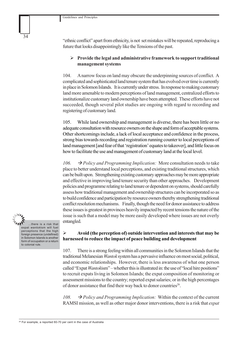"ethnic conflict" apart from ethnicity, is not set mistakes will be repeated, reproducing a future that looks disappointingly like the Tensions of the past.

## ¾ **Provide the legal and administrative framework to support traditional management systems**

104. A narrow focus on land may obscure the underpinning sources of conflict. A complicated and sophisticated land tenure system that has evolved over time is currently in place in Solomon Islands. It is currently under stress. In response to making customary land more amenable to modern perceptions of land management, centralized efforts to institutionalize customary land ownership have been attempted. These efforts have not succeeded, though several pilot studies are ongoing with regard to recording and registering of customary land.

105. While land ownership and management is diverse, there has been little or no adequate consultation with resource owners on the shape and form of acceptable systems. Other shortcomings include, a lack of local acceptance and confidence in the process, strong bias towards recording and registration running counter to local perceptions of land management [and fear of that 'registration' equates to takeover], and little focus on how to facilitate the use and management of customary land at the local level.

106.  $\rightarrow$  *Policy and Programming Implication:* More consultation needs to take place to better understand local perceptions, and existing traditional structures, which can be built upon. Strengthening existing customary approaches may be more appropriate and effective in improving land tenure security than other approaches. Development policies and programme relating to land tenure or dependent on systems, should carefully assess how traditional management and ownership structures can be incorporated so as to build confidence and participation by resource owners thereby strengthening traditional conflict resolution mechanisms. Finally, though the need for donor assistance to address these issues is greatest in provinces heavily impacted by recent tensions the nature of the issue is such that a model may be more easily developed where issues are not overly entangled.

…there is a risk that expat *wantok*ism will fuel perceptions that the high foreign presence (undefined) in Solomon Islands is another form of occupation or a return to colonial rule.

34

## ¾ **Avoid (the perception of) outside intervention and interests that may be harnessed to reduce the impact of peace building and development**

107. There is a strong feeling within all communities in the Solomon Islands that the traditional Melanesian *Wantok* system has a pervasive influence on most social, political, and economic relationships. However, there is less awareness of what one person called "Expat *Wantok*ism" – whether this is illustrated in: the use of "local hire positions" to recruit expats living in Solomon Islands; the expat composition of monitoring or assessment missions to the country; reported expat salaries; or in the high percentages of donor assistance that find their way back to donor countries<sup>26</sup>.

108.  $\rightarrow$  *Policy and Programming Implication:* Within the context of the current RAMSI mission, as well as other major donor interventions, there is a risk that *expat*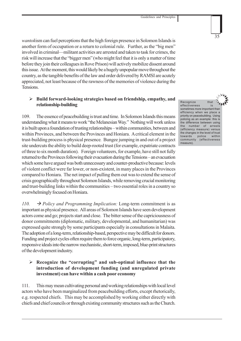*wantok*ism can fuel perceptions that the high foreign presence in Solomon Islands is another form of occupation or a return to colonial rule. Further, as the "big men" involved in criminal—militant activities are arrested and taken to task for crimes, the risk will increase that the "bigger men" (who might feel that it is only a matter of time before they join their colleagues in Rove Prison) will actively mobilize dissent around this issue. At the moment, this would likely be a hugely unpopular move throughout the country, as the tangible benefits of the law and order delivered by RAMSI are acutely appreciated, not least because of the rawness of the memories of violence during the **Tensions** 

## ¾ **Build forward-looking strategies based on friendship, empathy, and relationship-building**

109. The essence of peacebuilding is trust and time. In Solomon Islands this means understanding what it means to work "the Melanesian Way." Nothing will work unless it is built upon a foundation of trusting relationships – within communities, between and within Provinces, and between the Provinces and Honiara. A critical element in the trust-building process is physical presence*.* Bungee jumping in and out of a project site undercuts the ability to build deep-rooted trust (for example, expatriate contracts of three to six month duration). Foreign volunteers, for example, have still not fully returned to the Provinces following their evacuation during the Tensions – an evacuation which some have argued was both unnecessary and counter-productive because: levels of violent conflict were far lower, or non-existent, in many places in the Provinces compared to Honiara. The net impact of pulling them out was to extend the sense of crisis geographically throughout Solomon Islands, while removing crucial monitoring and trust-building links within the communities – two essential roles in a country so overwhelmingly focused on Honiara.

110.  $\rightarrow$  *Policy and Programming Implication:* Long-term commitment is as important as physical presence. All areas of Solomon Islands have seen development actors come and go; projects start and close. The bitter sense of the capriciousness of donor commitments (diplomatic, military, developmental, and humanitarian) was expressed quite strongly by some participants especially in consultations in Malaita. The adoption of a long-term, relationship-based, perspective may be difficult for donors. Funding and project cycles often require them to force organic, long-term, participatory, responsive ideals into the narrow mechanistic, short-term, imposed, blue-print structures of the development industry.

## ¾ **Recognize the "corrupting" and sub-optimal influence that the introduction of development funding (and unregulated private investment) can have within a cash poor economy**

111. This may mean cultivating personal and working relationships with local level actors who have been marginalized from peacebuilding efforts, except rhetorically, e.g. respected chiefs. This may be accomplished by working either directly with chiefs and chief councils or through existing community structures such as the Church.

Recognize that effectiveness is sometimes more important than efficiency when we place a priority on peacebuilding. Using policing as an example: this is the difference between using the number of arrests (efficiency measure) versus the changes in the level of trust towards police within community (effectiveness measure).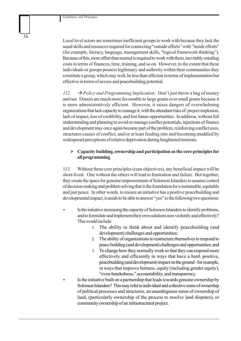Local level actors are sometimes inefficient groups to work with because they lack the usual skills and resources required for connecting "outside efforts" with "inside efforts" (for example, literacy, language, management skills, "logical framework thinking"). Because of this, more effort than normal is required to work with them, inevitably entailing costs in terms of finances, time, training, and so on. However, to the extent that these individuals or groups possess legitimacy and authority within their communities they constitute a group, which may well, be less than efficient in terms of implementation but effective in terms of access and peacebuilding potential.

112.  $\rightarrow$  *Policy and Programming Implication:* Don't just throw a bag of money and run. Donors are much more favourable to large grants over small grants because it is more administratively efficient. However, it raises dangers of overwhelming organizations that lack capacity to manage it, with the attendant risks of: project implosion, lack of impact, loss of credibility, and lost future opportunities. In addition, without full understanding and planning to avoid or manage conflict potentials, injections of finance and development may once again become part of the problem, reinforcing conflict axes, structures causes of conflict, and/or at least feeding into and becoming muddied by widespread perceptions of relative deprivation during heightened tensions.

## ¾ **Capacity building, ownership and participation as the core principles for all programming**

113. Without these core principles (cum objectives), any beneficial impact will be short-lived. One without the others will lead to frustration and failure. But together, they create the space for genuine empowerment of Solomon Islanders to assume control of decision-making and problem solving that is the foundation for a sustainable, equitable and just peace. In other words, to ensure an initiative has a positive peacebuilding and developmental impact, it needs to be able to answer "yes" to the following two questions:

- Is the initiative increasing the capacity of Solomon Islanders to identify problems, and to formulate and implement their own solutions non-violently and effectively? This would include:
	- 1. The ability to think about and identify peacebuilding (and development) challenges and opportunities;
	- 2. The ability of organizations to restructure themselves to respond to peace building (and development) challenges and opportunities; and
	- 3. To change how they normally work so that they can respond more effectively and efficiently in ways that have a hard, positive, peacebuilding (and development) impact on the ground - for example, in ways that improve fairness, equity (including gender equity), "even-handedness," accountability, and transparency.
- Is the initiative built on a partnership that leads towards genuine ownership by Solomon Islanders?This may refer to individual and collective sense of ownership of political processes and structures, an unambiguous sense of ownership of land, (particularly ownership of the process to resolve land disputes), or community ownership of an infrastructural project.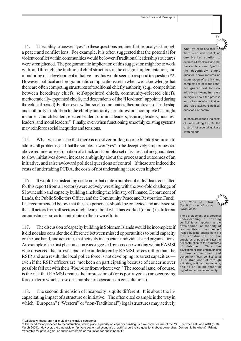114. The ability to answer "yes" to these questions requires further analysis through a peace and conflict lens. For example, it is often suggested that the potential for violent conflict within communities would be lower if traditional leadership structures were strengthened. The programmatic implication of this suggestion might be to work with, and through, the traditional chief structures in the design, implementation, and monitoring of a development initiative – as this would seem to respond to question #2. However, political and programmatic complications set in when we acknowledge that there are often competing structures of traditional chiefly authority (e.g., competition between hereditary chiefs, self-appointed chiefs, community-selected chiefs, meritocratically-appointed chiefs, and descendents of the "Headmen" appointed during the colonial period). Further, even within small communities, there are layers of leadership and authority in addition to the chiefly authority structures: an incomplete list might include: Church leaders, elected leaders, criminal leaders, aspiring leaders, business leaders, and moral leaders.27 Finally, even when functioning smoothly existing systems may reinforce social inequities and tensions.

115. What we soon see that there is no silver bullet; no one blanket solution to address all problems; and that the simple answer "yes" to the deceptively simple question above requires an examination of a thick and complex set of issues that are guaranteed to slow initiatives down, increase ambiguity about the process and outcomes of an initiative, and raise awkward political questions of control. If these are indeed the costs of undertaking PCDA, the costs of not undertaking it are even higher.<sup>28</sup>

116. It would be misleading not to note that quite a number of individuals consulted for this report (from all sectors) were actively wrestling with the two-fold challenge of SI ownership and capacity building (including the Ministry of Finance, Department of Lands, the Public Solicitors Office, and the Community Peace and Restoration Fund). It is recommended below that these experiences should be collected and analysed so that all actors from all sectors might learn about what has worked (or not) in different circumstances so as to contribute to their own efforts.

117. The discussion of capacity building in Solomon Islands would be incomplete if it did not also consider the difference between missed opportunities to build capacity on the one hand, and activities that actively incapacitate individuals and organizations. An example of the first phenomenon was suggested by someone working within RAMSI who observed that arrests tend to be undertaken by RAMSI forces rather than the RSIP, and as a result, the local police force is not developing its arrest capacities even if the RSIP officers are "not keen on participating because of concerns over possible fall out with their *Wantok* or from where ever." The second issue, of course, is the risk that RAMSI creates the impression of (or is portrayed as) an occupying force (a term which arose on a number of occasions in consultations).

118. The second dimension of incapacity is quite different. It is about the incapacitating impact of a structure or initiative. The often cited example is the way in which "European" ("Western" or "non-Traditional") legal structures may actively 37

 If these are indeed the costs of undertaking PCDA, the costs of not undertaking it are even higher.

*The Need to "Own Conflict" as much as to "Own Peace"*

The development of a personal understanding of "owning conflict" is as important as the development of capacity of communities to "own peace." Peace building entails both (1) the construction of the structures of peace and (2) the deconstruction of the structures of violence. Thus, the development of an understanding of how communities and government "own conflict" (that is, sustain conflict through attitudes, actions, non-actions, and so on) is an essential ingredient to peace and unity.

 $7_{\AA}$ What we soon see that there is no silver bullet; no one blanket solution to address all problems; and that the simple answer "yes" to the deceptively simple question above requires an examination of a thick and complex set of issues that are guaranteed to slow initiatives down, increase ambiguity about the process and outcomes of an initiative, and raise awkward political questions of control.

 $27$  Obviously, these are not mutually exclusive categories.

<sup>&</sup>lt;sup>28</sup> The need for approaches to reconstruction, which place a priority on capacity building, is a welcome feature of the MOU between SIG and ADB (6-18 March 2004). However, the emphasis on "private sector-led economic growth" should raise questions about ownership. Ownership by whom? Private ownership for private gain, or public ownership or regulation for public benefit?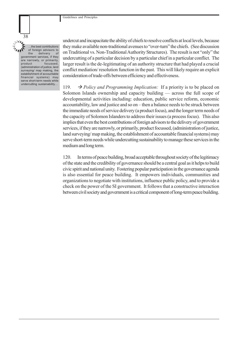Guidelines and Principles

…the best contributions of foreign advisors to the delivery of government services, if they are narrowly, or primarily,<br>product focussed, focussed (administration of justice, land surveying/ map making, the establishment of accountable financial systems) may serve short-term needs while undercutting sustainability…

38

undercut and incapacitate the ability of chiefs to resolve conflicts at local levels, because they make available non-traditional avenues to "over-turn" the chiefs. (See discussion on Traditional vs. Non-Traditional Authority Structures). The result is not "only" the undercutting of a particular decision by a particular chief in a particular conflict. The larger result is the de-legitimating of an authority structure that had played a crucial conflict mediation/ resolution function in the past. This will likely require an explicit consideration of trade-offs between efficiency and effectiveness.

119.  $\rightarrow$  *Policy and Programming Implication:* If a priority is to be placed on Solomon Islands ownership and capacity building — across the full scope of developmental activities including: education, public service reform, economic accountability, law and justice and so on – then a balance needs to be struck between the immediate needs of service delivery (a product focus), and the longer term needs of the capacity of Solomon Islanders to address their issues (a process focus). This also implies that even the best contributions of foreign advisors to the delivery of government services, if they are narrowly, or primarily, product focussed, (administration of justice, land surveying/ map making, the establishment of accountable financial systems) may serve short-term needs while undercutting sustainability to manage these services in the medium and long term.

120. In terms of peace building, broad acceptable throughout society of the legitimacy of the state and the credibility of governance should be a central goal as it helps to build civic spirit and national unity. Fostering popular participation in the governance agenda is also essential for peace building. It empowers individuals, communities and organizations to negotiate with institutions, influence public policy, and to provide a check on the power of the SI government. It follows that a constructive interaction between civil society and government is a critical component of long-term peace building.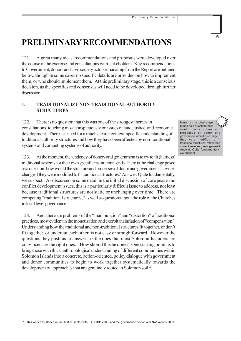# **PRELIMINARY RECOMMENDATIONS**

121. A great many ideas, recommendations and proposals were developed over the course of the exercise and consultations with stakeholders. Key recommendations to Government, donors and civil society actors emanating from the Report are outlined below, though in some cases no specific details are provided on how to implement them, or who should implement them. At this preliminary stage, this is a conscious decision, as the specifics and consensus will need to be developed through further discussion.

## **1. TRADITIONALIZE NON-TRADITIONAL AUTHORITY STRUCTURES**

122. There is no question that this was one of the strongest themes in consultations, touching most conspicuously on issues of land, justice, and economic development. There is a need for a much clearer context-specific understanding of traditional authority structures and how they have been affected by non-traditional systems and competing systems of authority.

123. At the moment, the tendency of donors and government is to try to fit (harness) traditional systems for their own specific institutional ends. Here is the challenge posed as a question: how would the structure and processes of donor and government activities change if they were modified to fit traditional structures? Answer: Quite fundamentally, we suspect. As discussed in some detail in the initial discussion of core peace and conflict development issues, this is a particularly difficult issue to address, not least because traditional structures are not static or unchanging over time. There are competing "traditional structures," as well as questions about the role of the Churches in local level governance.

124. And, there are problems of the "manipulation" and "distortion" of traditional practices, most evident in the monetization and exorbitant inflation of "compensation." Understanding how the traditional and non-traditional structures fit together, or don't fit together, or undercut each other, is not easy or straightforward. However the questions they push us to answer are the ones that most Solomon Islanders are convinced are the right ones. How should this be done? One starting point, is to bring those with thick anthropological understanding of different communities within Solomon Islands into a concrete, action-oriented, policy dialogue with government and donor communities to begin to work together systematically towards the development of approaches that are genuinely rooted in Solomon soil.<sup>29</sup>

Here is the challenge posed as a question: how would the structure and processes of donor and government activities change if they were modified to fit traditional structures, rather then current, reversed, arrangement? Answer: Quite fundamentally, we suspect.

39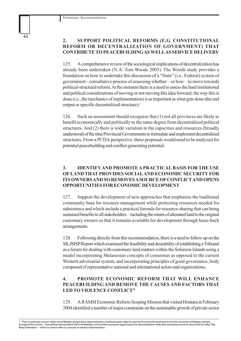## **2. SUPPORT POLITICAL REFORMS (E.G. CONSTITUTIONAL REFORM OR DECENTRALIZATION OF GOVERNMENT) THAT CONTRIBUTE TO PEACEBUILDING AS WELL AS SERVICE DELIVERY**

125. A comprehensive review of the sociological implications of decentralization has already been undertaken (N.A/ Tom Woods 2003). The Woods study provides a foundation on how to undertake this discussion of a "State" (i.e., Federal) system of government - consultative process of assessing whether – or how – to move towards political-structural reform. At the moment there is a need to assess the hard institutional and political considerations of moving or not moving this idea forward; the way this is done (i.e., the mechanics of implementation) is as important as what gets done (the end output or specific decentralized structure).1

126. Such an assessment should recognize that (1) not all provinces are likely to benefit economically and politically to the same degree from decentralized political structures. And (2) there is wide variation in the capacities and resources (broadly understood) of the nine Provincial Governments to formulate and implement decentralized structures. From a PCDA perspective, these proposals would need to be analyzed for potential peacebuilding and conflict-generating potential.

## **3. IDENTIFY AND PROMOTE A PRACTICAL BASIS FOR THE USE OF LAND THAT PROVIDES SOCIAL AND ECONOMIC SECURITY FOR ITS OWNERS AND SO REMOVES A SOURCE OF CONFLICT AND OPENS OPPORTUNITIES FOR ECONOMIC DEVELOPMENT**

127. Support the development of new approaches that emphasise the traditional community base for resource management while protecting resources needed for subsistence and which include a practical formula for resource-sharing that can bring sustained benefits to all stakeholders – including the return of alienated land to the original customary owners so that it remains available for development through lease-back arrangements.

128. Following directly from this recommendation, there is a need to follow up on the SILJSISP Report which examined the feasibility and desirability of establishing a Tribunal as a forum for dealing with customary land matters within the Solomon Islands using a model incorporating Melanesian concepts of consensus as opposed to the current Western adversarial system, and incorporating principles of good governance, body composed of representative national and international actors and organizations.

## **4. PROMOTE ECONOMIC REFORM THAT WILL ENHANCE PEACEBUILDING AND REMOVE THE CAUSES AND FACTORS THAT LED TO VIOLENCE CONFLICT31**

129. A RAMSI Economic Reform Scoping Mission that visited Honiara in February 2004 identified a number of major constraints on the sustainable growth of private sector

<sup>30</sup> There is particular concern within some Malaitan groups that a decentralization of political power might be used by Provincial Governments to limit the movement of Malaitan workers throughout the country. One political representative within the Malaitan communities expressed vague support for decentralization while also expressing concerns about what he called "Big<br>Bang Federalism" – which he used to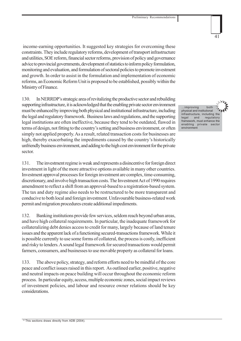income-earning opportunities. It suggested key strategies for overcoming these constraints. They include regulatory reforms, development of transport infrastructure and utilities, SOE reform, financial sector reforms, provision of policy and governance advice to provincial governments, development of statistics to inform policy formulation, monitoring and evaluation, and formulation of sectoral policies to promote investment and growth. In order to assist in the formulation and implementation of economic reforms, an Economic Reform Unit is proposed to be established, possibly within the Ministry of Finance.

130. In NERRDP's strategic area of revitalizing the productive sector and rebuilding supporting infrastructure, it is acknowledged that the enabling private sector environment must be enhanced by improving both physical and institutional infrastructure, including the legal and regulatory framework. Business laws and regulations, and the supporting legal institutions are often ineffective, because they tend to be outdated, flawed in terms of design, not fitting to the country's setting and business environment, or often simply not applied properly. As a result, related transaction costs for businesses are high, thereby exacerbating the impediments caused by the country's historically unfriendly business environment, and adding to the high cost environment for the private sector.

131. The investment regime is weak and represents a disincentive for foreign direct investment in light of the more attractive options available in many other countries. Investment approval processes for foreign investment are complex, time-consuming, discretionary, and involve high transaction costs. The Investment Act of 1990 requires amendment to reflect a shift from an approval-based to a registration-based system. The tax and duty regime also needs to be restructured to be more transparent and conducive to both local and foreign investment. Unfavourable business-related work permit and migration procedures create additional impediments.

132. Banking institutions provide few services, seldom reach beyond urban areas, and have high collateral requirements. In particular, the inadequate framework for collateralizing debt denies access to credit for many, largely because of land tenure issues and the apparent lack of a functioning secured-transactions framework. While it is possible currently to use some forms of collateral, the process is costly, inefficient and risky to lenders. A sound legal framework for secured transactions would permit farmers, consumers, and businesses to use movable property as collateral for loans.

133. The above policy, strategy, and reform efforts need to be mindful of the core peace and conflict issues raised in this report. As outlined earlier, positive, negative and neutral impacts on peace building will occur throughout the economic reform process. In particular equity, access, multiple economic zones, social impact reviews of investment policies, and labour and resource owner relations should be key considerations.

…improving both physical and institutional infrastructure, including the legal and regulatory framework, must enhance the enabling private sector environment

41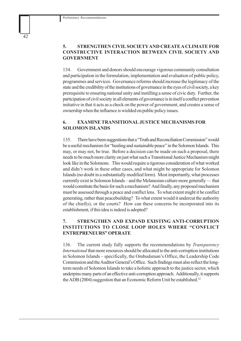## **5. STRENGTHEN CIVIL SOCIETY AND CREATE A CLIMATE FOR CONSTRUCTIVE INTERACTION BETWEEN CIVIL SOCIETY AND GOVERNMENT**

134. Government and donors should encourage vigorous community consultation and participation in the formulation, implementation and evaluation of public policy, programmes and services. Governance reforms should increase the legitimacy of the state and the credibility of the institutions of governance in the eyes of civil society, a key prerequisite to ensuring national unity and instilling a sense of civic duty. Further, the participation of civil society in all elements of governance is in itself a conflict prevention initiative in that it acts as a check on the power of government, and creates a sense of ownership when the influence is wielded on public policy issues.

## **6. EXAMINE TRANSITIONAL JUSTICE MECHANISMS FOR SOLOMON ISLANDS**

135. There have been suggestions that a "Truth and Reconciliation Commission" would be a useful mechanism for "healing and sustainable peace" in the Solomon Islands. This may, or may not, be true. Before a decision can be made on such a proposal, there needs to be much more clarity on just what such a Transitional Justice Mechanism might look like in the Solomons. This would require a rigorous consideration of what worked and didn't work in these other cases, and what might be appropriate for Solomon Islands (no doubt in a substantially modified form). Most importantly, what processes currently exist in Solomon Islands – and the Melanesian culture more generally — that would constitute the basis for such a mechanism? And finally, any proposed mechanism must be assessed through a peace and conflict lens. To what extent might it be conflict generating, rather than peacebuilding? To what extent would it undercut the authority of the chief(s), or the courts? How can these concerns be incorporated into its establishment, if this idea is indeed is adopted?

## **7. STRENGTHEN AND EXPAND EXISTING ANTI-CORRUPTION INSTITUTIONS TO CLOSE LOOP HOLES WHERE "CONFLICT ENTREPRENEURS" OPERATE**

136. The current study fully supports the recommendations by *Transparency International* that more resources should be allocated to the anti-corruption institutions in Solomon Islands – specifically, the Ombudsman's Office, the Leadership Code Commission and the Auditor General's Office. Such findings must also reflect the longterm needs of Solomon Islands to take a holistic approach to the justice sector, which underpins many parts of an effective anti-corruption approach. Additionally, it supports the ADB (2004) suggestion that an Economic Reform Unit be established.<sup>32</sup>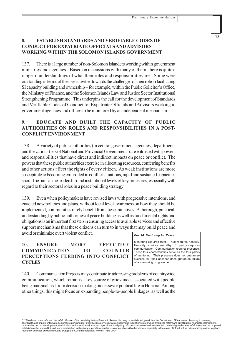## **8. ESTABLISH STANDARDS AND VERIFIABLE CODES OF CONDUCT FOR EXPATRIATE OFFICIALS AND ADVISORS WORKING WITHIN THE SOLOMON ISLANDS GOVERNMENT**

137. There is a large number of non-Solomon Islanders working within government ministries and agencies. Based on discussions with many of them, there is quite a range of understandings of what their roles and responsibilities are. Some were outstanding in terms of their sensitivities towards the challenges of their role in facilitating SI capacity building and ownership – for example, within the Public Solicitor's Office, the Ministry of Finance, and the Solomon Islands Law and Justice Sector Institutional Strengthening Programme. This underpins the call for the development of Standards and Verifiable Codes of Conduct for Expatriate Officials and Advisors working in government agencies and offices to be monitored by an independent mechanism.

## **9. EDUCATE AND BUILT THE CAPACITY OF PUBLIC AUTHORITIES ON ROLES AND RESPONSIBILITIES IN A POST-CONFLICT ENVIRONMENT**

138. A variety of public authorities (in central government agencies, departments and the various tiers of National and Provincial Governments) are entrusted with powers and responsibilities that have direct and indirect impacts on peace or conflict. The powers that these public authorities exercise in allocating resources, conferring benefits and other actions affect the rights of every citizen. As weak institutions are more susceptible to becoming embroiled in conflict situations, rapid and sustained capacities should be built at the leadership and institutional levels of key ministries, especially with regard to their sectoral roles in a peace building strategy

139. Even when policymakers have revised laws with progressive intentions, and enacted new policies and plans, without local level awareness on how they should be implemented, communities rarely benefit from these initiatives. A thorough, practical, understanding by public authorities of peace building as well as fundamental rights and obligations is an important first step in ensuring access to available services and effective support mechanisms that these citizens can turn to in ways that may build peace and avoid or minimize overt violent conflict.

## **10. ENSURE MORE EFFECTIVE COMMUNICATION TO COUNTER PERCEPTIONS FEEDING INTO CONFLICT CYCLES**

### *Box 14. Mentoring for Peace*

Mentoring requires trust. Trust requires honesty. Honesty requires empathy. Empathy requires communication. Communication requires presence. These four characteristics serve as the four pillars of mentoring. Their presence does not guarantee success, but their absence does guarantee failure of a mentoring programme.

140. Communication Projects may contribute to addressing problems of countrywide communication, which remains a key source of grievance, associated with people being marginalised from decision-making processes or political life in Honiara. Among other things, this might focus on expanding people-to-people linkages, as well as the

32 "The Government informed the [ADB] Mission of the possibility that an Economic Reform Unit may be established, possibly at the Department of Finance and Treasury, to oversee coordinate, and implement private sector regulatory reforms; infrastructure service provision policy and regulation; state owned enterprise reform and privatization; financial sector reforms;<br>provincial economic developmen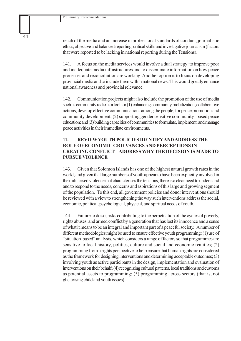reach of the media and an increase in professional standards of conduct, journalistic ethics, objective and balanced reporting, critical skills and investigative journalism (factors that were reported to be lacking in national reporting during the Tensions).

141. A focus on the media services would involve a dual strategy: to improve poor and inadequate media infrastructures and to disseminate information on how peace processes and reconciliation are working. Another option is to focus on developing provincial media and to include them within national news. This would greatly enhance national awareness and provincial relevance.

142. Communication projects might also include the promotion of the use of media such as community radio as a tool for (1) enhancing community mobilization, collaborative actions, develop effective communications among the people, for peace promotion and community development; (2) supporting gender sensitive community- based peace education; and (3) building capacities of communities to formulate, implement, and manage peace activities in their immediate environments.

## **11. REVIEW YOUTH POLICIES IDENTIFY AND ADDRESS THE ROLE OF ECONOMIC GRIEVANCES AND PERCEPTIONS IN CREATING CONFLICT – ADDRESS WHY THE DECISION IS MADE TO PURSUE VIOLENCE**

143. Given that Solomon Islands has one of the highest natural growth rates in the world, and given that large numbers of youth appear to have been explicitly involved in the militarised violence that characterises the tensions, there is a clear need to understand and to respond to the needs, concerns and aspirations of this large and growing segment of the population. To this end, all government policies and donor interventions should be reviewed with a view to strengthening the way such interventions address the social, economic, political, psychological, physical, and spiritual needs of youth.

144. Failure to do so, risks contributing to the perpetuation of the cycles of poverty, rights abuses, and armed conflict by a generation that has lost its innocence and a sense of what it means to be an integral and important part of a peaceful society. A number of different methodologies might be used to ensure effective youth programming: (1) use of "situation-based" analysis, which considers a range of factors so that programmes are sensitive to local history, politics, culture and social and economic realities; (2) programming from a rights perspective to help ensure that human rights are considered as the framework for designing interventions and determining acceptable outcomes; (3) involving youth as active participants in the design, implementation and evaluation of interventions on their behalf; (4) recognizing cultural patterns, local traditions and customs as potential assets to programming; (5) programming across sectors (that is, not ghettoising child and youth issues).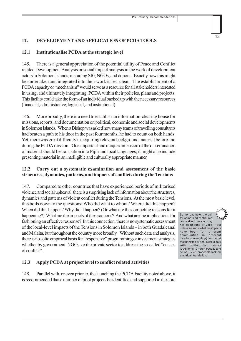## **12. DEVELOPMENT AND APPLICATION OF PCDA TOOLS**

## **12.1 Institutionalise PCDA at the strategic level**

145. There is a general appreciation of the potential utility of Peace and Conflict related Development Analysis or social impact analysis in the work of development actors in Solomon Islands, including SIG, NGOs, and donors. Exactly how this might be undertaken and integrated into their work is less clear. The establishment of a PCDA capacity or "mechanism" would serve as a resource for all stakeholders interested in using, and ultimately integrating, PCDA within their policies, plans and projects. This facility could take the form of an individual backed up with the necessary resources (financial, administrative, logistical, and institutional).

146. More broadly, there is a need to establish an information-clearing house for missions, reports, and documentation on political, economic and social developments in Solomon Islands. When a Bishop was asked how many teams of travelling consultants had beaten a path to his door in the past four months, he had to count on both hands. Yet, there was great difficulty in acquiring relevant background material before and during the PCDA mission. One important and unique dimension of the dissemination of material should be translation into Pijin and local languages; it might also include presenting material in an intelligible and culturally appropriate manner.

## **12.2 Carry out a systematic examination and assessment of the basic structures, dynamics, patterns, and impacts of conflicts during the Tensions**

147. Compared to other countries that have experienced periods of militarised violence and social upheaval, there is a surprising lack of information about the structures, dynamics and patterns of violent conflict during the Tensions. At the most basic level, this boils down to the questions: Who did what to whom? Where did this happen? When did this happen? Why did it happen? (Or what are the competing reasons for it happening?) What are the impacts of these actions? And what are the implications for fashioning an effective response? In this connection, there is no systematic assessment of the local-level impacts of the Tensions in Solomon Islands – in both Guadalcanal and Malaita, but throughout the country more broadly. Without such data and analysis, there is no solid empirical basis for "responsive" programming or investment strategies whether by government, NGOs, or the private sector to address the so-called "causes of conflict".

## **12.3 Apply PCDA at project level to conflict related activities**

148. Parallel with, or even prior to, the launching the PCDA Facility noted above, it is recommended that a number of pilot projects be identified and supported in the core

So, for example, the call for some kind of "trauma counselling" may or may not be needed or valid – but unless we know what the impacts have been (on different communities in different locations over time) and what mechanisms current exist to deal with post-conflict issues (traditional, Church-based, and so on), such proposals lack an empirical foundation.

45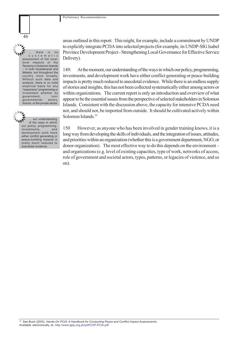

there is no systematic assessment of the locallevel impacts of the Tensions in Solomon Islands – in both Guadalcanal and Malaita, but throughout the country more broadly. Without such data and analysis, there is no solid empirical basis for any "responsive" programming or investment whether by government, nongovernmental actors, donors, or the private sector.

**AMY** MAT our understanding of the ways in which our policy, programming, investments, and development work have either conflict generating or peace-building impacts is pretty much reduced to anecdotal evidence.

areas outlined in this report. This might, for example, include a commitment by UNDP to explicitly integrate PCDA into selected projects (for example, its UNDP-SIG Isabel Province Development Project - Strengthening Local Governance for Effective Service Delivery).

149. At the moment, our understanding of the ways in which our policy, programming, investments, and development work have either conflict generating or peace-building impacts is pretty much reduced to anecdotal evidence. While there is an endless supply of stories and insights, this has not been collected systematically either among actors or within organizations. The current report is only an introduction and overview of what appear to be the essential issues from the perspective of selected stakeholders in Solomon Islands. Consistent with the discussion above, the capacity for intensive PCDA need not, and should not, be imported from outside. It should be cultivated actively within Solomon Islands.<sup>33</sup>

150 However, as anyone who has been involved in gender training knows, it is a long way from developing the skills of individuals, and the integration of issues, attitudes, and priorities within an organization (whether this is a government department, NGO, or donor organization). The most effective way to do this depends on the environment – and organizations (e.g. level of existing capacities, type of work, networks of access, role of government and societal actors, types, patterns, or legacies of violence, and so on).

33 See Bush (2003). *Hands-On PCIA: A Handbook for Conducting Peace and Conflict Impact Assessments*. Available electronically at: http://www.lgsp.org.ph/pdf/COP-PCIA.pdf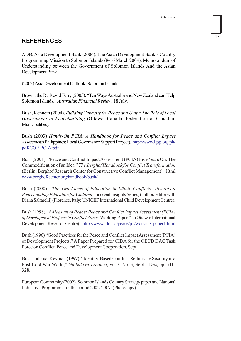## REFERENCES

ADB/ Asia Development Bank (2004). The Asian Development Bank's Country Programming Mission to Solomon Islands (8-16 March 2004). Memorandum of Understanding between the Government of Solomon Islands And the Asian Development Bank

(2003) Asia Development Outlook: Solomon Islands.

Brown, the Rt. Rev'd Terry (2003). "Ten Ways Australia and New Zealand can Help Solomon Islands," *Australian Financial Review*, 18 July.

Bush, Kenneth (2004). *Building Capacity for Peace and Unity: The Role of Local Government in Peacebuilding* (Ottawa, Canada: Federation of Canadian Municipalities).

Bush (2003) *Hands-On PCIA: A Handbook for Peace and Conflict Impact Assessment* (Philippines: Local Governance Support Project). http://www.lgsp.org.ph/ pdf/COP-PCIA.pdf

Bush (2001). "Peace and Conflict Impact Assessment (PCIA) Five Years On: The Commodification of an Idea," *The Berghof Handbook for Conflict Transformation* (Berlin: Berghof Research Center for Constructive Conflict Management). Html www.berghof-center.org/handbook/bush/

Bush (2000). *The Two Faces of Education in Ethnic Conflicts: Towards a Peacebuilding Education for Children*, Innocent Insights Series, (author/ editor with Diana Saltarelli) (Florence, Italy: UNICEF International Child Development Centre).

Bush (1998). *A Measure of Peace: Peace and Conflict Impact Assessment (PCIA) of Development Projects in Conflict Zones*, Working Paper #1, (Ottawa: International Development Research Centre). http://www.idrc.ca/peace/p1/working\_paper1.html

Bush (1996) "Good Practices for the Peace and Conflict Impact Assessment (PCIA) of Development Projects," A Paper Prepared for CIDA for the OECD DAC Task Force on Conflict, Peace and Development Cooperation. Sept.

Bush and Fuat Keyman (1997). "Identity-Based Conflict: Rethinking Security in a Post-Cold War World," *Global Governance*, Vol 3, No. 3, Sept – Dec, pp. 311- 328.

European Community (2002). Solomon Islands Country Strategy paper and National Indicative Programme for the period 2002-2007. (Photocopy)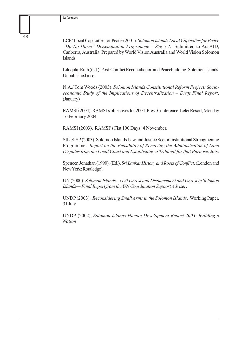LCP/ Local Capacities for Peace (2001). *Solomon Islands Local Capacities for Peace "Do No Harm" Dissemination Programme – Stage 2*. Submitted to AusAID, Canberra, Australia. Prepared by World Vision Australia and World Vision Solomon Islands

Liloqula, Ruth (n.d.). Post-Conflict Reconciliation and Peacebuilding, Solomon Islands. Unpublished msc.

N.A./ Tom Woods (2003). *Solomon Islands Constitutional Reform Project: Socioeconomic Study of the Implications of Decentralization – Draft Final Report*. (January)

RAMSI (2004). RAMSI's objectives for 2004. Press Conference. Lelei Resort, Monday 16 February 2004

RAMSI (2003). RAMSI's Fist 100 Days! 4 November.

SILJSISP (2003). Solomon Islands Law and Justice Sector Institutional Strengthening Programme. *Report on the Feasibility of Removing the Administration of Land Disputes from the Local Court and Establishing a Tribunal for that Purpose*. July.

Spencer, Jonathan (1990). (Ed.), *Sri Lanka: History and Roots of Conflict*. (London and New York: Routledge).

UN (2000). *Solomon Islands – civil Unrest and Displacement and Unrest in Solomon Islands— Final Report from the UN Coordination Support Adviser*.

UNDP (2003). *Reconsidering Small Arms in the Solomon Islands*. Working Paper. 31 July.

UNDP (2002). *Solomon Islands Human Development Report 2003: Building a Nation*

48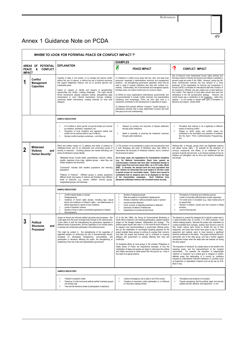References

## Annex 1 Guidance Note on PCDA

| WHERE TO LOOK FOR POTENTIAL PEACE OR CONFLICT IMPACT ?'            |                                                                        |                                                                                                                                                                                                                                                                                                                                                                                                                                                                                                                                                                                                                                                                                                                                                                                        |                                                                                                                                                                                                                                                                                                                                                                                                                                                                                                                                                                                                                                                                                                                                                                                                                                                                                                                                                                                           |                                                                                                                                                                                                                                                                                                                                                                                                                                                                                                                                                                                                                                                                                                                                                                                                                                                                                                                                                                                                                                                                                                                                                                                                             |  |  |  |
|--------------------------------------------------------------------|------------------------------------------------------------------------|----------------------------------------------------------------------------------------------------------------------------------------------------------------------------------------------------------------------------------------------------------------------------------------------------------------------------------------------------------------------------------------------------------------------------------------------------------------------------------------------------------------------------------------------------------------------------------------------------------------------------------------------------------------------------------------------------------------------------------------------------------------------------------------|-------------------------------------------------------------------------------------------------------------------------------------------------------------------------------------------------------------------------------------------------------------------------------------------------------------------------------------------------------------------------------------------------------------------------------------------------------------------------------------------------------------------------------------------------------------------------------------------------------------------------------------------------------------------------------------------------------------------------------------------------------------------------------------------------------------------------------------------------------------------------------------------------------------------------------------------------------------------------------------------|-------------------------------------------------------------------------------------------------------------------------------------------------------------------------------------------------------------------------------------------------------------------------------------------------------------------------------------------------------------------------------------------------------------------------------------------------------------------------------------------------------------------------------------------------------------------------------------------------------------------------------------------------------------------------------------------------------------------------------------------------------------------------------------------------------------------------------------------------------------------------------------------------------------------------------------------------------------------------------------------------------------------------------------------------------------------------------------------------------------------------------------------------------------------------------------------------------------|--|--|--|
|                                                                    |                                                                        |                                                                                                                                                                                                                                                                                                                                                                                                                                                                                                                                                                                                                                                                                                                                                                                        | <b>EXAMPLES</b>                                                                                                                                                                                                                                                                                                                                                                                                                                                                                                                                                                                                                                                                                                                                                                                                                                                                                                                                                                           |                                                                                                                                                                                                                                                                                                                                                                                                                                                                                                                                                                                                                                                                                                                                                                                                                                                                                                                                                                                                                                                                                                                                                                                                             |  |  |  |
| <b>PEACE</b><br><b>IMPACT</b>                                      | AREAS OF POTENTIAL<br>&<br><b>CONFLICT</b>                             | <b>EXPLANATION</b>                                                                                                                                                                                                                                                                                                                                                                                                                                                                                                                                                                                                                                                                                                                                                                     | ø<br><b>PEACE IMPACT</b>                                                                                                                                                                                                                                                                                                                                                                                                                                                                                                                                                                                                                                                                                                                                                                                                                                                                                                                                                                  | P<br><b>CONFLICT IMPACT</b>                                                                                                                                                                                                                                                                                                                                                                                                                                                                                                                                                                                                                                                                                                                                                                                                                                                                                                                                                                                                                                                                                                                                                                                 |  |  |  |
| <b>Conflict</b><br>1<br>Management<br><b>Capacities</b>            |                                                                        | Capacity of state or civil society: (1) to manage and resolve conflict<br>without the use of violence, or without the use of authority structures<br>that support illegitimate violence; and (2) to promote genuine and<br>sustainable peace<br>Impact on capacity to identify and respond to peacebuilding<br>opportunities and conflict -creating challenges. This might include<br>formal mechanisms (dispute resolution boards; strengthening legal<br>mechanisms) or more informal mechanisms (low-key meetings,<br>community leader interventions, creating channels for local level<br>dialogue).                                                                                                                                                                               | (1) Initiatives in conflict prone areas that hire, train, and keep local<br>personnel- especially in administrative, technical, and management<br>positions - are strengthening governance capacities, which may be<br>used in state & societal institutions that deal with conflicts non-<br>violently. Unfortunately, this is the technical and managerial capacity<br>that flees when non-violent conflict turns (or re-turns) violent.<br>(2) Efforts by many organizations (international, governmental, and<br>non-governmental) to include conflict resolution and peacebuilding<br>workshops (and increasingly, PCIA) into their daily work is a<br>substantive contribution to the development of capacities for peace.<br>(3) Initiatives that maintain effective "outreach," "public dialogue," or<br>participatory activities help to keep stakeholders involved and build<br>inter-group trust and understanding.                                                            | One of Kosovo's most experienced human rights activists who<br>had been trained in Norway and Geneva had helped to establish a<br>women's legal aid center in the 1990s. However, during the UN-<br>driven reconstruction exercise she was reduced to a "local<br>employee" of the Organisation for Security and Cooperation in<br>Europe (OSCE) to translate for international staff with a fraction of<br>her experience. Officially, she was unable even to take testimony<br>from victims. This reservoir of local talent should have been the<br>centerpiece of the UN reconstruction strategy. However, the<br>overall impact was a contribution to the incapacity -- rather than<br>capacity -- of civil society to rebuild itself upon a foundation of<br>tolerance and respect. (Guest 2000)                                                                                                                                                                                                                                                                                                                                                                                                       |  |  |  |
|                                                                    |                                                                        | <b>SAMPLE INDICATORS*</b>                                                                                                                                                                                                                                                                                                                                                                                                                                                                                                                                                                                                                                                                                                                                                              |                                                                                                                                                                                                                                                                                                                                                                                                                                                                                                                                                                                                                                                                                                                                                                                                                                                                                                                                                                                           |                                                                                                                                                                                                                                                                                                                                                                                                                                                                                                                                                                                                                                                                                                                                                                                                                                                                                                                                                                                                                                                                                                                                                                                                             |  |  |  |
|                                                                    |                                                                        | # of conflicts in which gov'tal/ non-gov'tal bodies are involved<br>3<br>as mediators, facilitators, negotiators, etc.<br>Perception of local mediators and aggrieved parties that<br>3<br>conflict can be resolved without use of violence<br>Number conflict resolution workshops - and follow-up<br>3                                                                                                                                                                                                                                                                                                                                                                                                                                                                               | 3<br>Respect for process and outcomes of dispute settlement<br>through public institutions<br>Belief in possibility of receiving fair treatment/ outcomes<br>3<br>through public institutions                                                                                                                                                                                                                                                                                                                                                                                                                                                                                                                                                                                                                                                                                                                                                                                             | Perception that violence is not a legitimate or effective<br>3<br>means of resolving conflict<br>Degree to which peace and conflict issues are<br>3<br>considered in the formulation and operation of initiatives<br>('Do No Harm," PCIA, Conflict-Sensitive Programming,<br>etc)                                                                                                                                                                                                                                                                                                                                                                                                                                                                                                                                                                                                                                                                                                                                                                                                                                                                                                                           |  |  |  |
| Militarized<br>2<br>Violence<br>and<br>Human Security <sup>1</sup> |                                                                        | Direct and indirect impact on (1) patterns and levels of violence by<br>militarised forces; and (2) an individual's and community's sense of<br>security or insecurity -- including physical and mental well-being and<br>sense of individual or group identity.<br>"Militarised forces" include rebels, paramilitaries, warlords, militias,<br>bandits, organized crime rings, vigilante groups - when they use<br>military weapons and structures.<br>"Community" includes both resident populations and returning<br>populations<br>"Patterns of Violence": Different groups in society experience<br>different levels (and types) of violence and therefore have different<br>levels of insecurity, e.g., women, children, minority groups,<br>marginalized groups, and returnees. | (1) The inclusion of ex-combatants in peace and reconstruction work<br>in both Nicaragua and parts of Mindanao were clear efforts to<br>"deconstruct the structures of militarized violence" and to "construct<br>the structures of peace."<br>(2) In many cases, the negotiations for humanitarian ceasefires<br>(e.g., for National Immunization Days) have opened up<br>communication channels that have later contributed directly to<br>longer cease fires and even peace talks-as in Sri Lanka. (Bush<br>2000). In Somalia, the demand from the local population that<br>their children be immunized led local leaders to de-mine roads<br>to permit access for vaccination teams. Orders were issued to<br>combatants that no weapons were to be displayed on the days<br>of the immunization campaigns. Such initiatives have<br>dampened militarized violence and increased human security.                                                                                      | Working with, or through, groups which use illegitimate violence<br>and abuse human rights - for example for the protection of<br>convoys, compounds, and offices, or as middlemen for the<br>provision of goods and services- is an obvious example of how an<br>initiative can strengthen rule by force and violence (threatened<br>and actual).                                                                                                                                                                                                                                                                                                                                                                                                                                                                                                                                                                                                                                                                                                                                                                                                                                                          |  |  |  |
|                                                                    |                                                                        | <b>SAMPLE INDICATORS*</b>                                                                                                                                                                                                                                                                                                                                                                                                                                                                                                                                                                                                                                                                                                                                                              |                                                                                                                                                                                                                                                                                                                                                                                                                                                                                                                                                                                                                                                                                                                                                                                                                                                                                                                                                                                           |                                                                                                                                                                                                                                                                                                                                                                                                                                                                                                                                                                                                                                                                                                                                                                                                                                                                                                                                                                                                                                                                                                                                                                                                             |  |  |  |
|                                                                    |                                                                        | Conflict-related deaths or injuries<br>3<br>3<br>Disappearances<br>$\mathfrak{Z}$<br>Incidence of human rights abuses, including rape, sexual<br>torture and violations of children's rights - and effectiveness of<br>official responses to reports of such violations<br>Levels of domestic violence<br>3<br>Number of riots or other uncontrolled expressions of dissent<br>3<br>Demonstrations<br>3                                                                                                                                                                                                                                                                                                                                                                                | 3<br>Number of displaced people<br>$\overline{\mathbf{3}}$<br>Rate and patterns of repatriation/ displacement<br>$\overline{\mathbf{3}}$<br>Arrests or detention without probable cause or warrant<br>$\overline{\mathbf{3}}$<br>Incommunicado detention<br>$\overline{\mathbf{3}}$<br>Cruel, unusual, or degrading treatment in detention<br>$\overline{\mathbf{3}}$<br>Inhumane conditions of detainment<br>3<br>Dependence on private security forces                                                                                                                                                                                                                                                                                                                                                                                                                                                                                                                                  | 3<br>Perceptions of individual and collective security<br>$\overline{\mathbf{3}}$<br>Levels of criminality (effectiveness of state responses)<br>3<br># of small arms in circulation (e.g., black market price of<br>an assault rifle)<br>Number of children, women and men involved in military<br>3<br>activities<br>$\mathbf{3}$<br>Level of food security                                                                                                                                                                                                                                                                                                                                                                                                                                                                                                                                                                                                                                                                                                                                                                                                                                               |  |  |  |
| 3                                                                  | <b>Political</b><br><b>Structures</b><br>and<br>Processes <sup>1</sup> | Impact on formal and informal political structures and processes - this<br>could apply from the local municipal level through to the national level.<br>It also refers to both the strengthening the governance capacities of<br>different levels of government, and the capacities of civil society actors<br>to actively and constructive participate in the political process.<br>This might be evident in: the strengthening of the capacities of<br>legitimate leaders (or reinforcing the rule of anti-democratic forces);<br>increased (or decreased) transparency, accountability, and<br>participation in decisions affecting the public; the strengthening or<br>weakening of the rule of law and representative government.                                                 | (1) In the late 1990s, the Group for Environmental Monitoring in<br>South Africa undertook a far-reaching participatory, applied research<br>project on the linkages between "militarization and ecology." The<br>positive peace impact was clear in (1) the word-for-word inclusion of<br>its research and recommendations in government defense policy;<br>and (2) the mobilization of non-English speaking peasants for the<br>project enabled these groups to continue to express their concerns<br>long after the project was finished, and to contribute to on-going<br>dialogue with government on policies affecting their lives and<br>livelihoods.<br>(2) Sustained efforts by local groups In the southern Philippines to<br>create Zones of Peace are inspirational examples of how the<br>mobilization of ideas and people can begin to restructure the political<br>and military structures to create peace from the ground up - even in<br>the midst of on-going violence. | The decision to accept the cheapest bid to rebuild a water tank in<br>a rebel-controlled area of Country X in 2002 produced a host<br>conflict-creating impacts. Because the project was undertaken by<br>a rebel-controlled front company, workers were forced to work for<br>free, tractor owners were forced to donate the use of their<br>equipment; and funds that should have gone to pay for labour,<br>equipment and material, seem to have become a significant<br>financial contribution to the rebels. The project reinforced the anti-<br>democratic rule of the rebel group, and had a further negative<br>development impact when the water tank was washed out during<br>the rainy season.<br>The imposition of "solutions" by outside actors to the benefit of the<br>imposing power, and the impoverishment of the recipient<br>communities. For example: the imposition of inappropriate<br>"reforms" or "solutions" by a central govt in marginal or conflict-<br>affected areas; the bankrupting of a country by conditions<br>imposed by International Financial Institutions in countries (such<br>as Argentina); or imperialistic invasions such as the war by G.W.<br>Bush in Iraq. |  |  |  |
|                                                                    |                                                                        | <b>SAMPLE INDICATORS *</b>                                                                                                                                                                                                                                                                                                                                                                                                                                                                                                                                                                                                                                                                                                                                                             |                                                                                                                                                                                                                                                                                                                                                                                                                                                                                                                                                                                                                                                                                                                                                                                                                                                                                                                                                                                           |                                                                                                                                                                                                                                                                                                                                                                                                                                                                                                                                                                                                                                                                                                                                                                                                                                                                                                                                                                                                                                                                                                                                                                                                             |  |  |  |
|                                                                    |                                                                        | Freedom of speech/ media<br>3<br>3<br>Presence of multi-communal political parties/ business groups/<br>civil society orgs<br>3<br>Free and fair elections (levels of participation in elections)                                                                                                                                                                                                                                                                                                                                                                                                                                                                                                                                                                                      | Levels of emergency rule in parts or all of the country<br>3<br>3<br>Freedom of movement, public participation in, or influence<br>on, the policy making process                                                                                                                                                                                                                                                                                                                                                                                                                                                                                                                                                                                                                                                                                                                                                                                                                          | Perceptions and evidence of corruption<br>3<br>3<br>Popular perceptions that the political, legal, and security<br>systems are fair, effective, and responsive - or not                                                                                                                                                                                                                                                                                                                                                                                                                                                                                                                                                                                                                                                                                                                                                                                                                                                                                                                                                                                                                                     |  |  |  |

49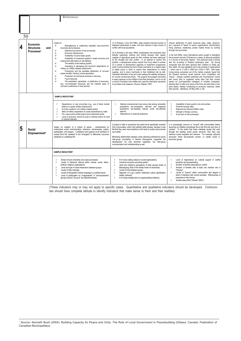|                                                                                                        |                                    | References                                                                                                                                                                                                                                                                                                                                                                                                                                                                                                                                                                                                                                                                                                                                                                                                                                                                                                                                                                                                            |                                                                                                                                                                                                                                                                                                                                                                                                                                                                                                                                                                                                                                                                                                                                                                                                                                                                                                                                                                                                                                                                                                                                                                              |                                                                                                                                                                                                                                                                                                                                                                                                                                                                                                                                                                                                                                                                                                                                                                                                                                                                                                                                                                                                                                                                                                                                                                                                                                                 |  |  |  |
|--------------------------------------------------------------------------------------------------------|------------------------------------|-----------------------------------------------------------------------------------------------------------------------------------------------------------------------------------------------------------------------------------------------------------------------------------------------------------------------------------------------------------------------------------------------------------------------------------------------------------------------------------------------------------------------------------------------------------------------------------------------------------------------------------------------------------------------------------------------------------------------------------------------------------------------------------------------------------------------------------------------------------------------------------------------------------------------------------------------------------------------------------------------------------------------|------------------------------------------------------------------------------------------------------------------------------------------------------------------------------------------------------------------------------------------------------------------------------------------------------------------------------------------------------------------------------------------------------------------------------------------------------------------------------------------------------------------------------------------------------------------------------------------------------------------------------------------------------------------------------------------------------------------------------------------------------------------------------------------------------------------------------------------------------------------------------------------------------------------------------------------------------------------------------------------------------------------------------------------------------------------------------------------------------------------------------------------------------------------------------|-------------------------------------------------------------------------------------------------------------------------------------------------------------------------------------------------------------------------------------------------------------------------------------------------------------------------------------------------------------------------------------------------------------------------------------------------------------------------------------------------------------------------------------------------------------------------------------------------------------------------------------------------------------------------------------------------------------------------------------------------------------------------------------------------------------------------------------------------------------------------------------------------------------------------------------------------------------------------------------------------------------------------------------------------------------------------------------------------------------------------------------------------------------------------------------------------------------------------------------------------|--|--|--|
| 50<br><b>Economic</b><br>$\overline{\mathbf{4}}$<br><b>Structures</b><br>and<br>Processes <sup>1</sup> |                                    | Impact on:<br>⋗<br>Strengthening or weakening equitable socio-economic<br>structures and processes;<br>⋗<br>Distortion/conversion of war economies;<br>$\blacktriangleright$<br>Economic infrastructure:<br>$\blacktriangleright$<br>Availability of scarce basic goods;<br>⋗<br>Availability of investment capital to create economic and<br>employment alternatives to war-fighting;<br>$\blacktriangleright$<br>The stability of the banking system;<br>$\blacktriangleright$<br>Increasing or decreasing the economic dependence on<br>military (or military-related) employment;<br>$\blacktriangleright$<br>Productivity and the equitable distribution of non-war/<br>peace benefits; training; income generation;<br>$\mathbf{\Sigma}$<br>Production of commercial products or services;<br>⋗<br>Food in/security;<br>$\blacktriangleright$<br>The exploitation, generation, or distribution of resources,<br>esp. non-renewable resources and the material basis of<br>economic sustenance or food security. | (1) In Ethiopia, in the mid-1990s, water projects improved access of<br>displaced pastoralists to water, and thus reduced a major source of<br>conflict with local populations.<br>(2) In Somalia in the early 1990s, shopkeepers and merchants were<br>actually supporting violence and looting because their regular<br>supplies of agricultural goods for their markets had been destroyed<br>by the drought and clan conflict. In an attempt to resolve this<br>problem, a development worker named Fred Cuny talked a number<br>of a number of development agencies to implement programmes<br>which involved selling food aid to these merchants on a regular basis<br>at stable prices in order to reduce their dependence on looted<br>supplies, and to return merchants to their traditional role as self-<br>interested defenders of law and order seeking the stability necessary<br>for normal commercial activity. The projects encouraged merchants<br>to apply pressure on the militias to limit their disruption, and to cut off<br>a source of funding to the militias who used the merchants' payments<br>to purchase more weapons. (Source: Natsios 1997) | Uneven distribution of public resources (jobs, water, pensions,<br>etc.); payment of "taxes" to warrior organizations; discriminatory<br>hiring practices; weakening private market forces by working<br>through war economies.<br>In the mid-1990s, many international actors sought to strengthen<br>the economic security of Russia as a means of reducing instability<br>in a country of war-prone regions. One particular area of activity<br>was the re-writing of Russia's bankruptcy laws. By forcing<br>companies that had been ignoring their creditors to finally pay<br>their debts, the new legislation led to big increase in bankruptcies<br>-- which rose to 11,000 in 1999 from 4,300 in 1997. With weak,<br>money-losing companies out of the market, analysts hoped that<br>the Russian economy would become more competitive and<br>"robust." Instead, powerful politicians and "businessmen" (some<br>with murky links to organized crime) often had their cronies<br>named as court-appointed managers of troubled companies,<br>allowing them to take over some of the firms and strip them of any<br>prize assets, thereby contributing to economic insecurity, rather<br>than security. (Macleans, 20 May 2002, p. 65) |  |  |  |
|                                                                                                        |                                    | <b>SAMPLE INDICATORS*</b>                                                                                                                                                                                                                                                                                                                                                                                                                                                                                                                                                                                                                                                                                                                                                                                                                                                                                                                                                                                             |                                                                                                                                                                                                                                                                                                                                                                                                                                                                                                                                                                                                                                                                                                                                                                                                                                                                                                                                                                                                                                                                                                                                                                              |                                                                                                                                                                                                                                                                                                                                                                                                                                                                                                                                                                                                                                                                                                                                                                                                                                                                                                                                                                                                                                                                                                                                                                                                                                                 |  |  |  |
|                                                                                                        |                                    | $\overline{3}$<br>Dependence on war economies (e.g., use of black market;<br>reliance on (para) military employment)<br># of jobs created in non-military related sectors<br>$\overline{\mathbf{3}}$<br>$\overline{\mathbf{3}}$<br>Ratio of military expenditure to social expenditures by state<br>Pre- versus post-conflict export (and investment) levels<br>$\overline{3}$<br>$\overline{\mathbf{3}}$<br>Level of economic control by local or national actors for local<br>or national interests                                                                                                                                                                                                                                                                                                                                                                                                                                                                                                                 | 3<br>National unemployment rate versus rate among vulnerable<br>populations (ex-combatants, returnee and displaced<br>populations, war-disabled, widows, youth, war-affected<br>regions)<br>$\overline{\mathbf{3}}$<br>Dependence on external assistance                                                                                                                                                                                                                                                                                                                                                                                                                                                                                                                                                                                                                                                                                                                                                                                                                                                                                                                     | $\overline{3}$<br>Availability of basic goods to all communities<br>$\overline{\mathbf{3}}$<br>Personal savings rates<br>Regional and national inflation rates<br>$\overline{3}$<br>$\overline{3}$<br>Strength of foreign currency<br>$\overline{\mathbf{3}}$<br># and size of new businesses                                                                                                                                                                                                                                                                                                                                                                                                                                                                                                                                                                                                                                                                                                                                                                                                                                                                                                                                                   |  |  |  |
| 5                                                                                                      | Social<br>Empowerment <sup>1</sup> | Impact on: creation of a culture of peace - characterized by<br>constructive social communication, tolerance, inclusiveness, justice,<br>participation, and respect. Confidence and capacity of all members of<br>society (from the "weakest" to the "strongest") to effectively overcome<br>obstacles to a satisfying life.                                                                                                                                                                                                                                                                                                                                                                                                                                                                                                                                                                                                                                                                                          | A project in Haiti to reconstruct the police force specifically recruited<br>from communities, which had suffered rights abuses, because it was<br>felt that they were most sensitive to the need to protect and promote<br>such rights.<br>Mentoring relationships between urban planning professional across<br>inter-group boundaries in Bosnia Herzegovina supported the<br>development not only technical capacities, but inter-group<br>communication and understanding as well.                                                                                                                                                                                                                                                                                                                                                                                                                                                                                                                                                                                                                                                                                       | It is increasingly common to "consult" with communities before<br>launching an initiative (sometimes this is the first and only time of<br>contact). To the extent that these meetings accept and work<br>through the existing social power structure, then they may<br>reinforce social inequities and tensions. For example, authority<br>structures which dis-empower women, or certain social or<br>economic groups.                                                                                                                                                                                                                                                                                                                                                                                                                                                                                                                                                                                                                                                                                                                                                                                                                        |  |  |  |
|                                                                                                        |                                    | <b>SAMPLE INDICATORS*</b>                                                                                                                                                                                                                                                                                                                                                                                                                                                                                                                                                                                                                                                                                                                                                                                                                                                                                                                                                                                             |                                                                                                                                                                                                                                                                                                                                                                                                                                                                                                                                                                                                                                                                                                                                                                                                                                                                                                                                                                                                                                                                                                                                                                              |                                                                                                                                                                                                                                                                                                                                                                                                                                                                                                                                                                                                                                                                                                                                                                                                                                                                                                                                                                                                                                                                                                                                                                                                                                                 |  |  |  |
|                                                                                                        |                                    | 3<br>Sense of local ownership over peace processes<br>Levels of tolerance/ distrust within cultural, social, ethnic,<br>3<br>political, religious organizations<br>$\overline{\mathbf{3}}$<br>Level and type of social interactions between groups<br>$\overline{\mathbf{3}}$<br>Levels of inter-marriage<br>Levels of bilingualism (where language is a political issue)<br>3<br>Level of participation by "marginalized" or "dis-empowered"<br>$\overline{\mathbf{3}}$<br>groups (women, the poor, the disenfranchised)                                                                                                                                                                                                                                                                                                                                                                                                                                                                                             | 3<br># of cross-cutting cultural or social organizations;<br>3<br>Inclusive/ exclusive schooling system<br>Adult and children's perceptions of other groups/ levels of<br>3<br>Stereotyping; Role of the media/ levels of censorship<br>Levels of trust between groups<br>3<br>$\mathbf{3}$<br>Rejection of a gun culture/ militarized culture (glorification<br>military violence)<br>$\overline{3}$<br># of locally-initiated and run peacebuilding initiatives                                                                                                                                                                                                                                                                                                                                                                                                                                                                                                                                                                                                                                                                                                            | Level of dependence on outside support in conflict<br>3<br>resolution and peacebuilding<br>$\overline{3}$<br>Number of families dislocated by conflict<br>$\overline{3}$<br>Number of families with at least one member who is<br>"missina"<br>3<br>Levels of "trauma" within communities and degree to<br>which it interferes with normal activities. Effectiveness of<br>responses to this trauma.<br>Suicide rates (Who? Where? Why?)<br>$\mathbf{3}$                                                                                                                                                                                                                                                                                                                                                                                                                                                                                                                                                                                                                                                                                                                                                                                        |  |  |  |

(These indicators may or may not apply to specific cases. Quantitative and qualitative indicators should be developed. Communities should have complete latitude to identify indicators that make sense to them and their realities)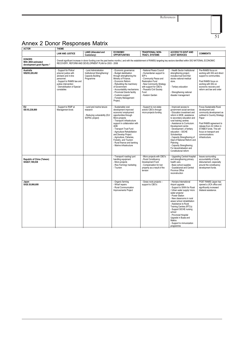References



## Annex 2 Donor Responses Matrix

| <b>ACTOR</b>                                                        | <b>THEME</b>                                                                                                                                                                                                                                                                       |                                                                                         |                                                                                                                                                                                                                                                                                                                                                                                        |                                                                                                                                                                                                                                 |                                                                                                                                                                                                                                                                                                                                                                                                                                                          |                                                                                                                                                                                                                                                                    |  |
|---------------------------------------------------------------------|------------------------------------------------------------------------------------------------------------------------------------------------------------------------------------------------------------------------------------------------------------------------------------|-----------------------------------------------------------------------------------------|----------------------------------------------------------------------------------------------------------------------------------------------------------------------------------------------------------------------------------------------------------------------------------------------------------------------------------------------------------------------------------------|---------------------------------------------------------------------------------------------------------------------------------------------------------------------------------------------------------------------------------|----------------------------------------------------------------------------------------------------------------------------------------------------------------------------------------------------------------------------------------------------------------------------------------------------------------------------------------------------------------------------------------------------------------------------------------------------------|--------------------------------------------------------------------------------------------------------------------------------------------------------------------------------------------------------------------------------------------------------------------|--|
|                                                                     | <b>LAND</b> (Alienated and<br><b>LAW AND JUSTICE</b><br>Customary)                                                                                                                                                                                                                 |                                                                                         | <b>ECONOMIC</b><br><b>OPPORTUNITIES</b>                                                                                                                                                                                                                                                                                                                                                | TRADITIONAL/ NON-<br><b>TRAD'L SYSTEMS</b>                                                                                                                                                                                      | <b>ACCESS TO GOVT AND</b><br><b>GOVT SERVICES</b>                                                                                                                                                                                                                                                                                                                                                                                                        | <b>COMMENTS</b>                                                                                                                                                                                                                                                    |  |
| <b>DONORS</b><br>With 2004 estimated<br>development grant figures 2 | Overall significant increase in donor funding over the past twelve months (and with the establishment of RAMSI) targeting key sectors identified within SIG NATIONAL ECONOMIC<br>RECOVERY, REFORM AND DEVELOPMENT PLAN for 2003 - 2006                                             |                                                                                         |                                                                                                                                                                                                                                                                                                                                                                                        |                                                                                                                                                                                                                                 |                                                                                                                                                                                                                                                                                                                                                                                                                                                          |                                                                                                                                                                                                                                                                    |  |
| Australia<br>SI\$255,226,492                                        | - Support for Police/<br>- Land Administration<br>prisons/ justice with<br>Institutional Strengthening/<br>advisers and in-line<br>Capacity Building<br>personnel.<br>Programme<br>- Support to RAMSI law and<br>justice intervention<br>- Demobilisation of Special<br>constables |                                                                                         | - Economic governance:<br>- Budget stabilisation<br>through strengthening the<br>Ministry of Finance.<br>- Economic Reform<br>- Rebuilding the machinery<br>of Government<br>- Accountability mechanisms<br>- Provincial Grants facility<br>- Customs support<br>- Forestry Management<br>Project,                                                                                     | - National Peace Council<br>- Humanitarian support to<br>IDP's<br>- Community Peace and<br><b>Restoration Fund</b><br>- New Community Strategy<br>with support for CBO's<br>- Peaceful Civil Society<br>Fund<br>- Kastom Garden | - Health Sector Institutional<br>strengthening project,<br>includes trust fund that<br>stocks national medical<br>store.<br>- Tertiary education<br>- Strengthening national<br>disaster management                                                                                                                                                                                                                                                      | Pre-RAMSI focus on<br>working with SIG and direct<br>support to communities.<br>Post RAMSI focus on<br>working with SIG on<br>economic recovery and<br>reform and law and order                                                                                    |  |
| EU<br>SI\$ 93,238,800                                               | - Support to RSIP at<br>Management level.                                                                                                                                                                                                                                          | - Land and marine tenure<br>research<br>- Reducing vulnerability (EU/<br>SOPAC project) | - Sustainable rural<br>development improved<br>economic/ employment<br>opportunities through<br>Micro-projects<br>- Transport/ infrastructure<br>support in collaboration with<br>ADB<br>- Transport Trust Fund<br>- Agriculture Rehabilitation<br>and Develop Project<br>- Agriculture, Fisheries,<br>Forestry, and Tourism<br>- Rural finance and banking<br>- Marine infrastructure | - Support to non-state<br>actors/ CBO's through<br>micro-projects funding                                                                                                                                                       | - Improved access to<br>government social services<br>- Education investment and<br>reform in MOE, assistance<br>to secondary education and<br>rural training centres<br>- Assistance to Curriculum.<br>Development centre<br>- Development .of tertiary<br>education - SICHE<br>Scholarships<br>- Capacity Strengthening of<br>Dept of National Reform and<br>Planning<br>- Capacity Strengthening<br>For decentralisation and<br>Constitutional reform | Focus Sustainable Rural<br>development and<br>community development as<br>outlined in Country Strategy<br>Paper<br>Post RAMSI agreement to<br>release Euro 42 million in<br>STABEX funds. This will<br>focus on transport and<br>communications<br>infrastructure. |  |
| Republic of China (Taiwan)<br>SIG\$37,189,038                       |                                                                                                                                                                                                                                                                                    |                                                                                         | - Transport/ roading/ port<br>handling equipment<br>- Micro-projects<br>- Rice Farming/ marketing<br>- Tourism                                                                                                                                                                                                                                                                         | - Micro projects with CBO's<br>- Rural Constituency<br>Development Fund<br>- Compensation for lost<br>property as a result of the<br>tension                                                                                    | - Upgrading Central Hospital<br>and strengthening primary<br>health care.<br>- Basic school supplies<br>- Guadalcanal and Central<br>Province Office<br>reconstruction                                                                                                                                                                                                                                                                                   | Issues surrounding<br>accountability of funds<br>disbursement, especially<br>around the constituency<br>development funds.                                                                                                                                         |  |
| Japan<br>SIG\$ 20,066,600                                           |                                                                                                                                                                                                                                                                                    |                                                                                         | - Organic farming<br>- Wharf repairs<br>- Rural Communication<br>Improvements Project                                                                                                                                                                                                                                                                                                  | - Grass roots projects -<br>support to CBO's                                                                                                                                                                                    | - Honiara International<br>Airport upgrade<br>- Support to SIWA for Rural<br>/ Urban water supply/ micro<br>water projects/<br>- Power Station<br>- New classrooms in rural<br>areas/ school rehabilitation<br>- Assistance to Rural<br><b>Training Centres (RTCs)</b><br>- Support SICHE nursing<br>school<br>- Provincial Hospital<br>Upgrade in Buala and<br>Makira<br>- Support to immunization<br>programme                                         | POST RAMSI Japan has<br>opened a JICA office and<br>significantly increased<br>bilateral assistance.                                                                                                                                                               |  |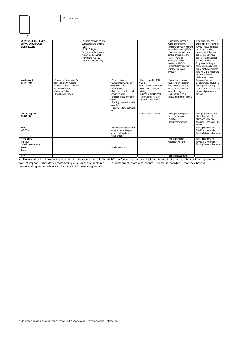| 52                                                               |                                                                                                                                                                 |                                                                                                                                                                                                  |                                                                                                                                                                                                                                                                                    |                                                                                                                                                                                             |                                                                                                                                                                                                                                                                                                       |                                                                                                                                                                                                                                                                                                                                                                   |
|------------------------------------------------------------------|-----------------------------------------------------------------------------------------------------------------------------------------------------------------|--------------------------------------------------------------------------------------------------------------------------------------------------------------------------------------------------|------------------------------------------------------------------------------------------------------------------------------------------------------------------------------------------------------------------------------------------------------------------------------------|---------------------------------------------------------------------------------------------------------------------------------------------------------------------------------------------|-------------------------------------------------------------------------------------------------------------------------------------------------------------------------------------------------------------------------------------------------------------------------------------------------------|-------------------------------------------------------------------------------------------------------------------------------------------------------------------------------------------------------------------------------------------------------------------------------------------------------------------------------------------------------------------|
| UN (WHO, UNICEF, UNDP,<br>UNFPA, UNHCHR, GEF)<br>SIG\$16,699,833 |                                                                                                                                                                 | - National capacity on land<br>degradation and drought<br>(GEF)<br>- SOPAC Regional<br>Programs in plant genetic<br>resources, biodiversity,<br>international waters.<br>national capacity (GEF) |                                                                                                                                                                                                                                                                                    |                                                                                                                                                                                             | - Emergency Support to<br>Health Sector (WHO)<br>- Training for Health workers<br>and malaria control (WHO)<br>- Reproductive health and<br>family planning (UNFPA)<br>- Isabel Provincial<br>Government Office<br>assistance (UNDP)<br>- Integrated management of<br>Childhood illnesses<br>(UNICEF) | Programme has not<br>changed significantly Post<br>RAMSI. Focus on Isabel<br>province as a pilot<br>development planning<br>project that may have<br>applications throughout<br>Solomon Islands, UN<br>Programs are likely to<br>change as the changed<br>donor strategies begin to<br>fund the UN to implement<br>projects on behalf of<br>bilateral aid donors. |
| <b>New Zealand</b><br>SI\$10,739,500                             | - Support to Rove prison (in<br>partnership with Australia)<br>- Support to RAMSI law and<br>justice intervention<br>- Focus on Police<br>Strengthening Project |                                                                                                                                                                                                  | - Assist in fiscal and<br>financial stability, reform of<br>public sector, and<br>infrastructure<br>- Assist with Constitutional<br>Reform Process<br>- Small business enterprise<br>centre<br>- Training for demob special<br>constables<br>- Honey Bee farming in rural<br>areas | - Direct support to CBO/<br>NGO's<br>- Civil society/ Leadership<br>development/ capacity<br>building<br>- Support to the National<br>Peace Council (NPC) in<br>partnership with Australia. | - Education - focus on<br>developing an education<br>plan, universal primary<br>education and focused<br>tertiary training.<br>- Capacity Building in<br>various government sectors                                                                                                                   | Focus on Primary<br>Education, and MOE HRD<br>and capacity building,<br>Support to RAMSI Law and<br>order and governance<br>projects.                                                                                                                                                                                                                             |
| <b>United Kingdom</b><br>SI\$869,760                             |                                                                                                                                                                 |                                                                                                                                                                                                  |                                                                                                                                                                                                                                                                                    | - Small Grants Scheme                                                                                                                                                                       | - Emergency budgetary<br>support to Primary<br>Education<br>- Tertiary scholarships                                                                                                                                                                                                                   | DFID programmes being<br>phased out with UK<br>objectives being met<br>through EU and small FCO<br>grants.                                                                                                                                                                                                                                                        |
| <b>ADB</b><br>(SI\$ TBC)                                         |                                                                                                                                                                 |                                                                                                                                                                                                  | - Infrastructure rehabilitation<br>(schools, roads, bridges,<br>water supply systems,<br>clinics, prisons)                                                                                                                                                                         |                                                                                                                                                                                             |                                                                                                                                                                                                                                                                                                       | Re-engagement Post<br>RAMSI with Australia<br>funding SIG defaulted loans                                                                                                                                                                                                                                                                                         |
| <b>World Bank</b><br>(SI\$TBC)<br>(SIG\$9,300,000 loan)          |                                                                                                                                                                 |                                                                                                                                                                                                  |                                                                                                                                                                                                                                                                                    |                                                                                                                                                                                             | - Health Education<br>Population Planning                                                                                                                                                                                                                                                             | Re-engagement Post<br>RAMSI with Australia<br>funding SIG defaulted loans                                                                                                                                                                                                                                                                                         |
| Kuwait<br>(Loan)                                                 |                                                                                                                                                                 |                                                                                                                                                                                                  | - Honiara main road                                                                                                                                                                                                                                                                |                                                                                                                                                                                             |                                                                                                                                                                                                                                                                                                       |                                                                                                                                                                                                                                                                                                                                                                   |
| <b>FIFA</b>                                                      |                                                                                                                                                                 |                                                                                                                                                                                                  |                                                                                                                                                                                                                                                                                    |                                                                                                                                                                                             | - Sports infrastructure                                                                                                                                                                                                                                                                               |                                                                                                                                                                                                                                                                                                                                                                   |

As illustrated in the introductory sections to this report, there is "a catch" to a focus on these strategic areas: each of them can have either a peace or a conflict impact. Therefore programming must explicitly contain a PCDA component in order to ensure – as far as possible – that they have a peacebuilding impact while avoiding a conflict generating impact.

References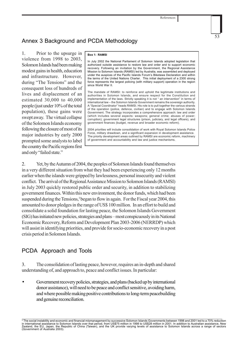## Annex 3 Background and PCDA Methodology

1. Prior to the upsurge in violence from 1998 to 2003, Solomon Islands had been making modest gains in health, education and infrastructure. However, during "The Tensions" and the consequent loss of hundreds of lives and displacement of an estimated 30,000 to 40,000 people (just under 10% of the total population), these gains were swept away. The virtual collapse of the Solomon Islands economy following the closure of most of its major industries by early 2000 prompted some analysts to label the country the Pacific regions first and only "failed state."

### **Box 1: RAMSI**

In July 2002 the National Parliament of Solomon Islands adopted legislation that authorized outside assistance to restore law and order and to support economic recovery. Following an invitation by the Government, the Regional Assistance Mission to Solomon Islands (RAMSI) led by Australia, was assembled and deployed under the auspices of the Pacific Islands Forum's Biketawa Declaration and within the terms of the United Nations Charter. This initial deployment of a 2300 strong force represents the largest policing (with military support) operation in the region since World War II.

The mandate of RAMSI: to reinforce and uphold the legitimate institutions and authorities in Solomon Islands, and ensure respect for the Constitution and implementation of the laws. Strictly speaking it is not " an intervention" in terms of international law – the Solomon Islands Government remains the sovereign authority. A "Special Coordinator" heads RAMSI. His role is to pull together the various strands of the operation (police, defence, civilian) and to engage with Solomon Islands Government. The strategy incorporates a comprehensive approach: law and order (which includes several aspects: weapons; general crime; abuses of power; corruption); government legal structures (prison, judiciary, and legal officers), and government finances (budget, revenue and broader economic reform).

2004 priorities will include consolidation of work with Royal Solomon Islands Police Force, military drawdown, and a significant expansion in development assistance. The priority development areas outlined by RAMSI are economic reform, machinery of government and accountability and law and justice mechanisms.

2. Yet, by the Autumn of 2004, the peoples of Solomon Islands found themselves in a very different situation from what they had been experiencing only 12 months earlier when the islands were gripped by lawlessness, personal insecurity and violent conflict. The arrival of the Regional Assistance Mission to Solomon Islands (RAMSI) in July 2003 quickly restored public order and security, in addition to stabilizing government finances. Within this new environment, the donor funds, which had been suspended during the Tensions,<sup>3</sup> began to flow in again. For the Fiscal year 2004, this amounted to donor pledges in the range of US\$ 100 million. In an effort to build and consolidate a solid foundation for lasting peace, the Solomon Islands Government (SIG) has initiated new policies, strategies and plans – most conspicuously in its National Economic Recovery, Reform and Development Plan 2003-2006 (NERRDP) which will assist in identifying priorities, and provide for socio-economic recovery in a post crisis period in Solomon Islands.

## PCDA Approach and Tools

3. The consolidation of lasting peace, however, requires an in-depth and shared understanding of, and approach to, peace and conflict issues. In particular:

• Government recovery policies, strategies, and plans (backed up by international donor assistance), will need to be peace and conflict sensitive, avoiding harm, and where possible making positive contributions to long-term peacebuilding and genuine reconciliation.

<sup>&</sup>lt;sup>3</sup> The social instability and economic and financial mismanagement by successive Solomon Islands Governments between 1998 and 2001 led to a 70% reduction in international assistance to Solomon Islands over that period, from US\$75 million in 1998 to US\$28 million in 2001. In addition to Australian assistance, New<br>Zealand, the EU, Japan, the Republic of China (Taiwan), and th (Government of Australia 2003).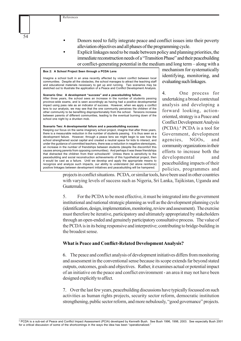- <sup>54</sup> Donors need to fully integrate peace and conflict issues into their poverty alleviation objectives and all phases of the programming cycle.
- Explicit linkages need to be made between policy and planning priorities, the immediate reconstruction needs of a "Transition Phase" and their peacebuilding or conflict-generating potential in the medium and long term – along with a

### **Box 2: A School Project Seen through a PCDA Lens**

Imagine a school built in an area recently affected by violent conflict between local communities. Despite all the obstacles, the school manages to attract the teaching staff and educational materials necessary to get up and running. Two scenarios may be sketched out to illustrate the application of a Peace and Conflict Development Analysis.

**Scenario One: A development "success" and a peacebuilding failure.** After three years, the school sees an increase in the number of students passing province-wide exams, and is seen accordingly as having had a positive developmental impact using pass rate as an indicator of success. However, when we apply a conflict lens to our analysis, we may see that the one community perceives the children of the other community to be benefiting disproportionately from the school. Tensions increase between parents of different communities, leading to the eventual burning down of the school one night by a drunken mob.

### **Scenario Two: A developmental failure and a peacebuilding success**

Keeping our focus on the same imaginary school project, imagine that after three years, there is a measurable reduction in the number of students passing. It is thus seen as a development failure. However, through a peace lens we might begin to see how the school strengthened social capital and created a neutral space for kids to interact, and under the guidance of committed teachers, there was a reduction in negative stereotypes, an increase in the number of friendships between students (despite the discomfort this causes among parents from opposing communities). And perhaps it was these friendships that distracted the children from their schoolwork! Unless there is sensitivity to the peacebuilding and social reconstruction achievements of this hypothetical project, then it would be cast as a failure. Until we develop and apply the appropriate means to recognize and analyze such impacts, our ability to understand (let alone reinforce) positive linkages between development initiatives and peacebuilding will be hampered.

mechanism for systematically identifying, monitoring, and evaluating such linkages.

4. One process for undertaking a broad contextual analysis and developing a forward looking, actionoriented, strategy is a Peace and Conflict Development Analysis (PCDA).4 PCDA is a tool for Government, development agencies, NGOs, and community organizations in their efforts to increase both the developmental and peacebuilding impacts of their policies, programmes and

projects in conflict situations. PCDA, or similar tools, have been used in other countries with varying levels of success such as Nigeria, Sri Lanka, Tajikistan, Uganda and Guatemala.

5. For the PCDA to be most effective, it must be integrated into the government institutional and national strategic planning as well as the development planning cycle (identification, design, implementation, monitoring, review and assessment). The exercise must therefore be iterative, participatory and ultimately appropriated by stakeholders through an open-ended and genuinely participatory consultative process. The value of the PCDA is in its being responsive and interpretive; contributing to bridge-building in the broadest sense.

### **What is Peace and Conflict-Related Development Analysis?**

6. The peace and conflict analysis of development initiatives differs from monitoring and assessment in the conventional sense because its scope extends far beyond stated outputs, outcomes, goals and objectives. Rather, it examines actual or potential impact of an initiative on the peace and conflict environment - an area it may not have been designed explicitly to affect.

7. Over the last few years, peacebuilding discussions have typically focussed on such activities as human rights projects, security sector reform, democratic institution strengthening, public sector reform, and more nebulously, "good governance" projects.

<sup>4</sup> PCDA is a sub-set of Peace and Conflict Impact Assessment (PCIA) developed by Kenneth Bush. See Bush 1996, 1998, 2003. See especially Bush 2001 for a critical discussion of some of the shortcomings in the ways the idea has been "operationalized."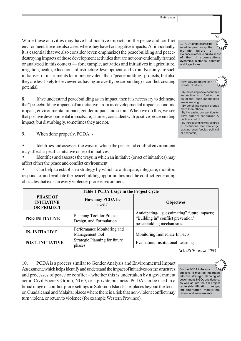While these activities may have had positive impacts on the peace and conflict environment, there are also cases where they have had negative impacts. As importantly, it is essential that we also consider (even emphasize) the peacebuilding and peacedestroying impacts of those development activities that are not conventionally framed or analyzed in this context — for example, activities and initiatives in agriculture, irrigation, health, education, infrastructure development, and so on. Not only are such initiatives or instruments far more prevalent than "peacebuilding" projects, but also they are less likely to be viewed as having an overtly peace building or conflict-creating potential.

8. If we understand peacebuilding as an impact, then it is necessary to delineate the "peacebuilding impact" of an initiative, from its developmental impact, economic impact, environmental impact, gender impact and so on. When we do this, we see that positive developmental impacts are, at times, coincident with positive peacebuilding impact, but disturbingly, sometimes they are not.

9. When done properly, PCDA: -

• Identifies and assesses the ways in which the peace and conflict environment may affect a specific initiative or set of initiatives

• Identifies and assesses the ways in which an initiative (or set of initiatives) may affect either the peace and conflict environment

• Can help to establish a strategy by which to anticipate, integrate, monitor, respond to, and evaluate the peacebuilding opportunities and the conflict-generating obstacles that exist in every violence-prone environment.

| Table 1 PCDA Usage in the Project Cycle                   |                                                      |                                                                                                                 |  |  |  |
|-----------------------------------------------------------|------------------------------------------------------|-----------------------------------------------------------------------------------------------------------------|--|--|--|
| <b>PHASE OF</b><br><b>INITIATIVE</b><br><b>OR PROJECT</b> | How may PCDA be<br>used?                             | <b>Objectives</b>                                                                                               |  |  |  |
| PRE-INITIATIVE                                            | Planning Tool for Project<br>Design, and Formulation | Anticipating/ "guesstimating" future impacts;<br>"Building in" conflict prevention/<br>peacebuilding mechanisms |  |  |  |
| <b>IN-INITIATIVE</b>                                      | Performance Monitoring and<br>Management tool        | Monitoring Immediate Impacts                                                                                    |  |  |  |
| <b>POST-INITIATIVE</b>                                    | Strategic Planning for future<br>phases              | Evaluation, Institutional Learning                                                                              |  |  |  |

*SOURCE: Bush 2003* 

10. PCDA is a process similar to Gender Analysis and Environmental Impact Assessment, which helps identify and understand the impact of initiatives on the structures and processes of peace or conflict – whether this is undertaken by a government actor, Civil Society Group, NGO, or a private business. PCDA can be used in a broad range of conflict-prone settings in Solomon Islands, i.e. places beyond the focus on Guadalcanal and Malaita; places where there is a risk that non-violent conflict may turn violent, or return to violence (for example Western Province).

For the PCDA to be most effective, it must be integrated into the strategic planning of government, NGOs and donors, as well as into the full project cycle (identification, design, implementation, monitoring, review and assessment).

… PCDA underscores the need to peel away the multiple layers of violence in order to build a sense of their interconnections, dynamics, histories, contexts, and trajectories.



· By increasing socio-economic inequalities – or fuelling the belief that such inequalities are increasing

Create Conflict?

· By benefiting certain groups more than others

· By increasing competition for development resources & political control

· By introducing new structures & institutions that challenge existing ones (social, political or economic)

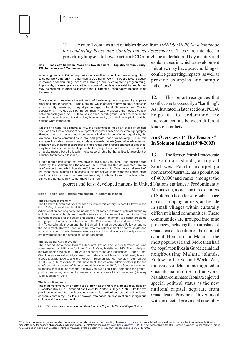11. Annex 1 contains a set of tables drawn from *HANDS-ON PCIA: a handbook for conducting Peace and Conflict Impact Assessments.* These are intended to provide a glimpse into how exactly a PCDA might be undertaken. They identify and

### Box 3: **Trade offs between Peace and Development — Equality versus Equity; Efficiency versus Effectiveness**

A housing project in Sri Lanka provides an excellent example of how we might have to do our work differently – rather than to do different work – if we are to consciously reinforce peacebuilding incentives through our development programming. Importantly, the example also points to some of the developmental trade-offs that may be required in order to increase the likelihood of constructive peacebuilding trade-offs.

The example is one where the arithmetic of the development programming appears clear and straightforward. It was a project, which sought to provide 3000 houses in a community consisting of equal percentage of Tamil, Sinhalese, and Muslim populations. The decision by the community was to allocate the houses equally between each group, *i.e.*, 1000 houses to each identity group. While there were the normal complaints about this decision, the community as a whole accepted it and the houses were introduced.

On the one hand, this illustrates how the communities made an explicitly political decision about the allocation of development resources based on the ethnic geography. However, here is the rub: each community had not been affected equally by the violence. Some communities in fact had greater need for housing. Thus, this example illustrates how our standard developmental criteria (needs-based decisions; efficiency-driven decisions; product-oriented rather than process oriented approaches) may have to be subordinated to peacebuilding objectives. In this case, the principle of equity (needs-based allocation) was subordinated by the politically expedient of equality (arithmetic allocation).

It gets more complicated yet: We have to ask ourselves, even if the decision was made by the communities themselves (as it was), did this development project reinforce politicised ethnic boundaries? In some ways it did. Was there an alternative? Perhaps the full example of success in this project would be when the communities itself made its own decision based on the straight criteria of need. The task, which still confronts us, is how to get there from here.

poorest and least developed nations in United Nations statistics.<sup>7</sup> Predominantly

#### **Box 4: Social and Political Movements in Solomon Islands**

#### **The Fallowes Movement**

The Fallowes Movement, spearheaded by former missionary Richard Fallowes in the late 1930s, claimed that the British

Administration had neglected the needs of rural people in terms of political autonomy including better schools and health services and better working conditions. The movement pushed for the establishment of a 'Native Parliament' to discuss problems and prepare demands for submission to the British administration (Laracy 1983:13- 14). To contain this movement, the British administration deported Fallowes ending the movement. However one outcome was the establishment of native courts and sub-district councils, which were viewed as a major historical move toward promoting empowerment and the emancipation of rural areas.

#### **The Ma'asina Ruru Movement**

The second movement towards decentralization and self-determination was spearheaded by Aliki Nono'ohimae from Are'are, Malaita in 1945. The underlying motives behind Ma'asina Ruru were decentralization and localization (Gegeo 1994: 69). The movement rapidly spread from Malaita to Ulawa, Guadalcanal, Marau, Isabel, Makira, Neggla, and the Western Solomon Islands (Worsley 1968, Laracy 1983:21-22). In response to this movement, the colonial administrators jailed the chiefs and other leaders of the movement. However, in 1947, the Government came to realize that it must respond positively to Ma'asina Ruru demands for greater political autonomy in order to prevent another socio-political movement (Worsley 1968, Mamaloni 1981).

#### **The Moro Movement**

The third movement, which came to be known as the Moro Movement, took place on Guadalcanal in 1957 (Davenport and Coker 1967 cited in Gegeo, 1994). Like the two previous movements, the Moro movement also articulated social, political and economic autonomy. The focus however, was based on preservation of indigenous culture and the environment.

SOURCE: *Solomon Islands Human Development Report 2002: Building a Nation*

explain areas in which a development initiative may have peacebuilding or conflict-generating impacts, as well as provide examples and sample indicators.5

12. This report recognizes that conflict is not necessarily a "bad thing". As illustrated in later sections, PCDA helps us to understand the interconnections between different kinds of conflicts**.**

## **An Overview of "The Tensions" In Solomon Islands (1998-2003)**

13. The former British Protectorate of Solomon Islands, a tropical Southwest Pacific archipelago northeast of Australia, has a population of 409,0006 and ranks amongst the

Melanesian, more than three quarters of Solomon Islanders are subsistence or cash cropping farmers, and reside in small villages within culturally different island communities. These communities are grouped into nine provinces, including the main island of Guadalcanal (location of the national capital, Honiara) and Malaita - the most populous island. More than half the population lives in Guadalcanal and neighbouring Malaita islands. Following the Second World War, thousands of Malaitans migrated to Guadalcanal in order to find work. Malaitan-dominated Honiara enjoyed special political status as the new national capital, separate from Guadalcanal Provincial Government with an elected provincial assembly

<sup>5</sup> The Handbook provides greater detail and includes a capacity building exercise consisting of a case study upon which to apply the tools introduced in the handbook, as well as a facilitator's<br>manual to guide the conduct manual to guide the conduct of a capacity building workshop. For electronic copies:http://www.lgsp.org.ph/pdf/COP-PCIA.pd 175 countries on the Human Development index, measured by life expectancy, literacy, GDP per capita, and so on. UNDP 2002.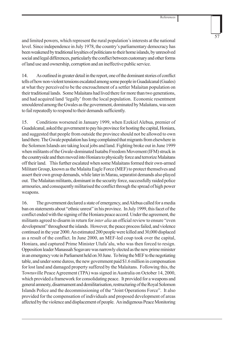and limited powers, which represent the rural population's interests at the national level. Since independence in July 1978, the country's parliamentary democracy has been weakened by traditional loyalties of politicians to their home islands, by unresolved social and legal differences, particularly the conflict between customary and other forms of land use and ownership, corruption and an ineffective public service.

14. As outlined in greater detail in the report, one of the dominant stories of conflict tells of how non-violent tensions escalated among some people in Guadalcanal (Guales) at what they perceived to be the encroachment of a settler Malaitan population on their traditional lands. Some Malaitans had lived there for more than two generations, and had acquired land 'legally' from the local population. Economic resentment smouldered among the Gwales as the government, dominated by Malaitans, was seen to fail repeatedly to respond to their demands sufficiently.

15. Conditions worsened in January 1999, when Ezekiel Alebua, premier of Guadalcanal, asked the government to pay his province for hosting the capital, Honiara, and suggested that people from outside the province should not be allowed to own land there. The Gwale population has long complained that migrants from elsewhere in the Solomon Islands are taking local jobs and land. Fighting broke out in June 1999 when militants of the Gwale-dominated Isatabu Freedom Movement (IFM) struck in the countryside and then moved into Honiara to physically force and terrorize Malaitans off their land. This further escalated when some Malaitans formed their own-armed Militant Group, known as the Malaita Eagle Force (MEF) to protect themselves and assert their own group demands, while later in Marau, separatist demands also played out. The Malaitan militants, dominant in the security force, successfully raided police armouries, and consequently militarised the conflict through the spread of high power weapons.

16. The government declared a state of emergency, and Alebua called for a media ban on statements about "ethnic unrest" in his province. In July 1999, this facet of the conflict ended with the signing of the Honiara peace accord. Under the agreement, the militants agreed to disarm in return for *inter alia* an official review to ensure "even development" throughout the islands. However, the peace process failed, and violence continued in the year 2000. An estimated 200 people were killed and 30,000 displaced as a result of the conflict. In June 2000, an MEF-led coup took over the capital, Honiara, and captured Prime Minister Ulufa'alu, who was then forced to resign. Opposition leader Manassah Sogavare was narrowly elected as the new prime minister in an emergency vote in Parliament held on 30 June. To bring the MEF to the negotiating table, and under some duress, the new government paid \$1.6 million in compensation for lost land and damaged property suffered by the Malaitans. Following this, the Townsville Peace Agreement (TPA) was signed in Australia on October 14, 2000, which provided a framework for consolidating peace. It provided for a weapons and general amnesty, disarmament and demilitarisation, restructuring of the Royal Solomon Islands Police and the decommissioning of the "Joint Operations Force". It also provided for the compensation of individuals and proposed development of areas affected by the violence and displacement of people. An indigenous Peace Monitoring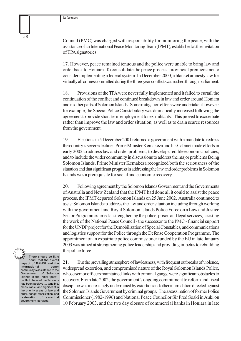Council (PMC) was charged with responsibility for monitoring the peace, with the assistance of an International Peace Monitoring Team (IPMT), established at the invitation of TPA signatories.

17. However, peace remained tenuous and the police were unable to bring law and order back to Honiara. To consolidate the peace process, provincial premiers met to consider implementing a federal system. In December 2000, a blanket amnesty law for virtually all crimes committed during the three-year conflict was rushed through parliament.

18. Provisions of the TPA were never fully implemented and it failed to curtail the continuation of the conflict and continued breakdown in law and order around Honiara and in other parts of Solomon Islands. Some mitigation efforts were undertaken however: for example, the Special Police Constabulary was dramatically increased following the agreement to provide short-term employment for ex-militants. This proved to exacerbate rather than improve the law and order situation, as well as to drain scarce resources from the government.

19. Elections in 5 December 2001 returned a government with a mandate to redress the country's severe decline. Prime Minister Kemakeza and his Cabinet made efforts in early 2002 to address law and order problems, to develop credible economic policies, and to include the wider community in discussions to address the major problems facing Solomon Islands. Prime Minister Kemakeza recognized both the seriousness of the situation and that significant progress in addressing the law and order problems in Solomon Islands was a prerequisite for social and economic recovery.

20. Following agreement by the Solomon Islands Government and the Governments of Australia and New Zealand that the IPMT had done all it could to assist the peace process, the IPMT departed Solomon Islands on 25 June 2002. Australia continued to assist Solomon Islands to address the law and order situation including through working with the government and Royal Solomon Islands Police Force on a Law and Justice Sector Programme aimed at strengthening the police, prison and legal services, assisting the work of the National Peace Council - the successor to the PMC - financial support for the UNDP project for the Demobilization of Special Constables, and communications and logistics support for the Police through the Defense Cooperation Programme. The appointment of an expatriate police commissioner funded by the EU in late January 2003 was aimed at strengthening police leadership and providing impetus to rebuilding the police force.



doubt that the overall impact of RAMSI and the international donor community's assistance to the Government of Solomon Islands in the initial "post"– conflict phase of the Tensions has been positive…. tangible, measurable, and significant in the priority areas of law and order, budget stabilization, and restoration of essential government services.

21. But the prevailing atmosphere of lawlessness, with frequent outbreaks of violence, widespread extortion, and compromised nature of the Royal Solomon Islands Police, whose senior officers maintained links with criminal gangs, were significant obstacles to recovery. From late 2002, the government's ongoing commitment to reform and fiscal discipline was increasingly undermined by extortion and other intimidation directed against the Solomon Islands Government by criminal groups. The assassination of former Police Commissioner (1982-1996) and National Peace Councilor Sir Fred Soaki in Auki on 10 February 2003, and the two day closure of commercial banks in Honiara in late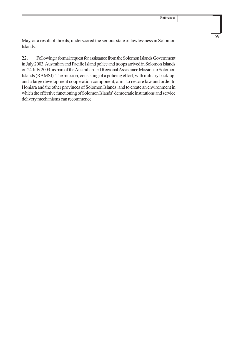May, as a result of threats, underscored the serious state of lawlessness in Solomon Islands.

22. Following a formal request for assistance from the Solomon Islands Government in July 2003, Australian and Pacific Island police and troops arrived in Solomon Islands on 24 July 2003, as part of the Australian-led Regional Assistance Mission to Solomon Islands (RAMSI). The mission, consisting of a policing effort, with military back-up, and a large development cooperation component, aims to restore law and order to Honiara and the other provinces of Solomon Islands, and to create an environment in which the effective functioning of Solomon Islands' democratic institutions and service delivery mechanisms can recommence.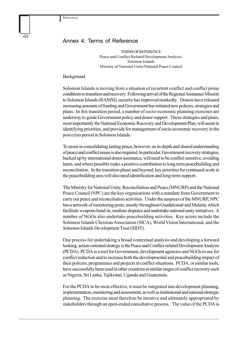## Annex 4: Terms of Reference

TERMS OF REFERENCE Peace and Conflict-Related Development Analysis: Solomon Islands Ministry of National Unity/National Peace Council

### Background

Solomon Islands is moving from a situation of recurrent conflict and conflict prone conditions to transition and recovery. Following arrival of the Regional Assistance Mission to Solomon Islands (RAMSI), security has improved markedly. Donors have released increasing amounts of funding and Government has initiated new policies, strategies and plans. In this transition period, a number of socio-economic planning exercises are underway to guide Government policy and donor support. These strategies and plans, most importantly the National Economic Recovery and Development Plan, will assist in identifying priorities, and provide for management of socio-economic recovery in the post crisis period in Solomon Islands.

To assist in consolidating lasting peace, however, an in-depth and shared understanding of peace and conflict issues is also required. In particular, Government recovery strategies, backed up by international donor assistance, will need to be conflict sensitive, avoiding harm, and where possible make a positive contribution to long term peacebuilding and reconciliation. In the transition phase and beyond, key priorities for continued work in the peacebuilding area will also need identification and long-term support.

The Ministry for National Unity, Reconciliation and Peace (MNURP) and the National Peace Council (NPC) are the key organisations with a mandate from Government to carry out peace and reconciliation activities. Under the auspices of the MNURP, NPC has a network of monitoring posts, mostly throughout Guadalcanal and Malaita, which facilitate weapons hand-in, mediate disputes and undertake national unity initiatives. A number of NGOs also undertake peacebuilding activities. Key actors include the Solomon Islands Christian Association (SICA), World Vision International, and the Solomon Islands Development Trust (SIDT).

One process for undertaking a broad contextual analysis and developing a forward looking, action-oriented strategy is the Peace and Conflict-related Development Analysis (PCDA). PCDA is a tool for Government, development agencies and NGOs to use for conflict reduction and to increase both the developmental and peacebuilding impact of their policies, programmes and projects in conflict situations. PCDA, or similar tools, have successfully been used in other countries at similar stages of conflict recovery such as Nigeria, Sri Lanka, Tajikistan, Uganda and Guatemala.

For the PCDA to be most effective, it must be integrated into development planning, implementation, monitoring and assessment, as well as institutional and national strategic planning. The exercise must therefore be iterative and ultimately appropriated by stakeholders through an open-ended consultative process. The value of the PCDA is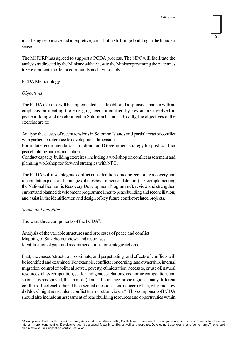in its being responsive and interpretive; contributing to bridge-building in the broadest sense.

The MNURP has agreed to support a PCDA process. The NPC will facilitate the analysis as directed by the Ministry with a view to the Minister presenting the outcomes to Government, the donor community and civil society.

### PCDA Methodology

### *Objectives*

The PCDA exercise will be implemented in a flexible and responsive manner with an emphasis on meeting the emerging needs identified by key actors involved in peacebuilding and development in Solomon Islands. Broadly, the objectives of the exercise are to:

Analyse the causes of recent tensions in Solomon Islands and partial areas of conflict with particular reference to development dimensions

Formulate recommendations for donor and Government strategy for post-conflict peacebuilding and reconciliation

Conduct capacity building exercises, including a workshop on conflict assessment and planning workshop for forward strategies with NPC.

The PCDA will also integrate conflict considerations into the economic recovery and rehabilitation plans and strategies of the Government and donors (e.g. complementing the National Economic Recovery Development Programme); review and strengthen current and planned development programme links to peacebuilding and reconciliation; and assist in the identification and design of key future conflict-related projects.

### *Scope and activities*

There are three components of the PCDA<sup>8</sup>:

Analysis of the variable structures and processes of peace and conflict Mapping of Stakeholder views and responses Identification of gaps and recommendations for strategic actions

First, the causes (structural, proximate, and perpetuating) and effects of conflicts will be identified and examined. For example, conflicts concerning land ownership, internal migration, control of political power, poverty, ethnicization, access to, or use of, natural resources, class competition, settler-indigenous relations, economic competition, and so on. It is recognized, that in most (if not all) violence-prone regions, many different conflicts affect each other. The essential questions here concern when, why and how did/does/ might non-violent conflict turn or return violent? This component of PCDA should also include an assessment of peacebuilding resources and opportunities within

<sup>8</sup> Assumptions: Each conflict is unique: analysis should be conflict-specific; Conflicts are exacerbated by multiple connected causes; Some actors have an interest in promoting conflict; Development can be a causal factor in conflict as well as a response; Development agencies should 'do no harm';They should also maximise their impact on conflict reduction.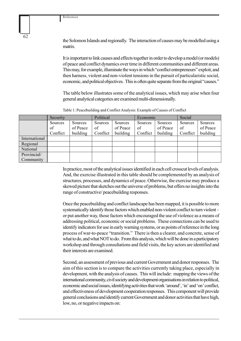the Solomon Islands and regionally. The interaction of causes may be modelled using a matrix.

It is important to link causes and effects together in order to develop a model (or models) of peace and conflict dynamics over time in different communities and different areas. This may, for example, illuminate the ways in which "conflict entrepreneurs" exploit, and then harness, violent and non-violent tensions in the pursuit of particularistic social, economic, and political objectives. This is often quite separate from the original "causes."

The table below illustrates some of the analytical issues, which may arise when four general analytical categories are examined multi-dimensionally.

| Table 1: Peacebuilding and Conflict Analysis: Example of Causes of Conflict |
|-----------------------------------------------------------------------------|
|-----------------------------------------------------------------------------|

|               | Security |          | Political |          | Economic |          | Social   |          |
|---------------|----------|----------|-----------|----------|----------|----------|----------|----------|
|               | Sources  | Sources  | Sources   | Sources  | Sources  | Sources  | Sources  | Sources  |
|               | of       | of Peace | of        | of Peace | of       | of Peace | of       | of Peace |
|               | Conflict | building | Conflict  | building | Conflict | building | Conflict | building |
| International |          |          |           |          |          |          |          |          |
| Regional      |          |          |           |          |          |          |          |          |
| National      |          |          |           |          |          |          |          |          |
| Provincial/   |          |          |           |          |          |          |          |          |
| Community     |          |          |           |          |          |          |          |          |

In practice, most of the analytical issues identified in each cell crosscut levels of analysis. And, the exercise illustrated in this table should be complemented by an analysis of structures, processes, and dynamics of peace. Otherwise, the exercise may produce a skewed picture that sketches out the universe of problems, but offers no insights into the range of constructive/ peacebuilding responses.

Once the peacebuilding and conflict landscape has been mapped, it is possible to more systematically identify those factors which enabled non-violent conflict to turn violent – or put another way, those factors which encouraged the use of violence as a means of addressing political, economic or social problems. These connections can be used to identify indicators for use in early warning systems, or as points of reference in the long process of war-to-peace "transition." There is then a clearer, and concrete, sense of what to do, and what NOT to do. From this analysis, which will be done in a participatory workshop and through consultations and field visits, the key actors are identified and their interests are examined.

Second, an assessment of previous and current Government and donor responses. The aim of this section is to compare the activities currently taking place, especially in development, with the analysis of causes. This will include: mapping the views of the international community, civil society and development organisations in relation to political, economic and social issues, identifying activities that work 'around', 'in' and 'on' conflict, and effectiveness of development cooperation responses. This component will provide general conclusions and identify current Government and donor activities that have high, low, no, or negative impacts on: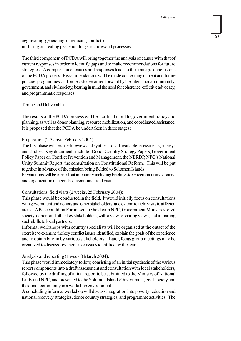aggravating, generating, or reducing conflict; or nurturing or creating peacebuilding structures and processes.

The third component of PCDA will bring together the analysis of causes with that of current responses in order to identify gaps and to make recommendations for future strategies. A comparison of causes and responses leads to the strategic conclusions of the PCDA process. Recommendations will be made concerning current and future policies, programmes, and projects to be carried forward by the international community, government, and civil society, bearing in mind the need for coherence, effective advocacy, and programmatic responses.

## Timing and Deliverables

The results of the PCDA process will be a critical input to government policy and planning, as well as donor planning, resource mobilization, and coordinated assistance. It is proposed that the PCDA be undertaken in three stages:

## Preparation (2-3 days, February 2004):

The first phase will be a desk review and synthesis of all available assessments; surveys and studies. Key documents include: Donor Country Strategy Papers, Government Policy Paper on Conflict Prevention and Management, the NERDP, NPC's National Unity Summit Report, the consultation on Constitutional Reform. This will be put together in advance of the mission being fielded to Solomon Islands.

Preparations will be carried out in-country including briefings to Government and donors, and organization of agendas, events and field visits.

## Consultations, field visits (2 weeks, 25 February 2004):

This phase would be conducted in the field. It would initially focus on consultations with government and donors and other stakeholders, and extend to field visits to affected areas. A Peacebuilding Forum will be held with NPC, Government Ministries, civil society, donors and other key stakeholders, with a view to sharing views, and imparting such skills to local partners.

Informal workshops with country specialists will be organised at the outset of the exercise to examine the key conflict issues identified, explain the goals of the experience and to obtain buy-in by various stakeholders. Later, focus group meetings may be organized to discuss key themes or issues identified by the team.

## Analysis and reporting (1 week 8 March 2004):

This phase would immediately follow, consisting of an initial synthesis of the various report components into a draft assessment and consultation with local stakeholders, followed by the drafting of a final report to be submitted to the Ministry of National Unity and NPC, and presented to the Solomon Islands Government, civil society and the donor community in a workshop environment.

A concluding informal workshop will discuss integration into poverty reduction and national recovery strategies, donor country strategies, and programme activities. The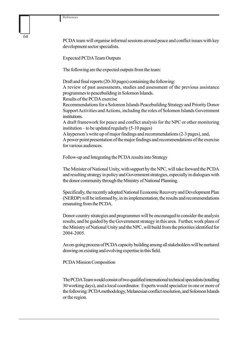PCDA team will organise informal sessions around peace and conflict issues with key development sector specialists.

Expected PCDA Team Outputs

The following are the expected outputs from the team:

Draft and final reports (20-30 pages) containing the following:

A review of past assessments, studies and assessment of the previous assistance programmes to peacebuilding in Solomon Islands.

Results of the PCDA exercise

Recommendations for a Solomon Islands Peacebuilding Strategy and Priority Donor Support Activities and Actions, including the roles of Solomon Islands Government institutions.

A draft framework for peace and conflict analysis for the NPC or other monitoring institution – to be updated regularly (5-10 pages)

A layperson's write up of major findings and recommendations (2-3 pages), and, A power point presentation of the major findings and recommendations of the exercise for various audiences.

Follow-up and Integrating the PCDA results into Strategy

The Minister of National Unity, with support by the NPC, will take forward the PCDA and resulting strategy in policy and Government strategies, especially in dialogues with the donor community through the Ministry of National Planning.

Specifically, the recently adopted National Economic Recovery and Development Plan (NERDP) will be informed by, in its implementation, the results and recommendations emanating from the PCDA.

Donor country strategies and programmes will be encouraged to consider the analysis results, and be guided by the Government strategy in this area. Further, work plans of the Ministry of National Unity and the NPC, will build from the priorities identified for 2004-2005.

An on-going process of PCDA capacity building among all stakeholders will be nurtured drawing on existing and evolving expertise in this field.

PCDA Mission Composition

The PCDA Team would consist of two qualified international technical specialists (totalling 30 working days), and a local coordinator. Experts would specialize in one or more of the following: PCDA methodology, Melanesian conflict resolution, and Solomon Islands or the region.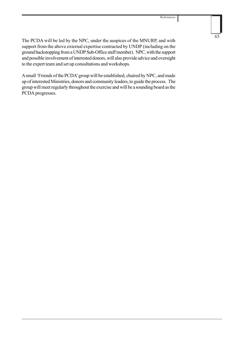65

The PCDA will be led by the NPC, under the auspices of the MNURP, and with support from the above external expertise contracted by UNDP (including on the ground backstopping from a UNDP Sub-Office staff member). NPC, with the support and possible involvement of interested donors, will also provide advice and oversight to the expert team and set up consultations and workshops.

A small 'Friends of the PCDA' group will be established, chaired by NPC, and made up of interested Ministries, donors and community leaders, to guide the process. The group will meet regularly throughout the exercise and will be a sounding board as the PCDA progresses.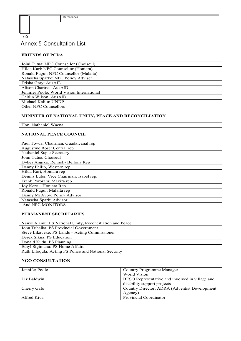#### 66

# Annex 5 Consultation List

## **FRIENDS OF PCDA**

Joini Tutua: NPC Counsellor (Choiseul) Hilda Kari: NPC Counsellor (Honiara) Ronald Fugui: NPC Counsellor (Malaita) Natascha Sparke: NPC Policy Adviser Trisha Gray: AusAID Alison Chartres: AusAID Jennifer Poole: World Vision International Caitlin Wilson: AusAID Michael Kalilu: UNDP Other NPC Counsellors

## **MINISTER OF NATIONAL UNITY, PEACE AND RECONCILIATION**

Hon. Nathaniel Waena

## **NATIONAL PEACE COUNCIL**

| Paul Tovua: Chairman, Guadalcanal rep    |
|------------------------------------------|
| Augustine Rose: Central rep              |
| Nathaniel Supa: Secretary                |
| Joini Tutua, Choiseul                    |
| Dykes Angika: Rennell- Bellona Rep       |
| Danny Philip, Western rep                |
| Hilda Kari, Honiara rep                  |
| Dennis Lulei: Vice Chairman: Isabel rep. |
| Frank Pororara: Makira rep               |
| Joy Kere - Honiara Rep                   |
| Ronald Fugui: Malaita rep                |
| Danny McAvoy: Policy Advisor             |
| Natascha Spark: Advisor                  |
| And NPC MONITORS                         |
|                                          |

#### **PERMANENT SECRETARIES**

| Nairie Alamu: PS National Unity, Reconciliation and Peace |
|-----------------------------------------------------------|
| John Tuhaika: PS Provincial Government                    |
| Steve Likaveke: PS Lands – Acting Commissioner            |
| Derek Sikua: PS Education                                 |
| Donald Kudu: PS Planning                                  |
| Ethyl Sigimanu: PS Home Affairs                           |
| Ruth Liloqula: Acting PS Police and National Security     |
|                                                           |

### **NGO CONSULTATION**

| Country Programme Manager                       |
|-------------------------------------------------|
| World Vision                                    |
| BESO Representative and involved in village and |
| disability support projects                     |
| Country Director, ADRA (Adventist Development)  |
| Agency)                                         |
| Provincial Coordinator                          |
|                                                 |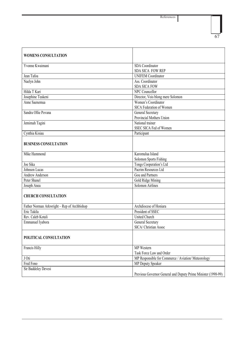References

| ×<br>۰, |
|---------|

| <b>WOMENS CONSULTATION</b>                  |                                                               |
|---------------------------------------------|---------------------------------------------------------------|
| Yvonne Kwaimani                             | <b>SDA</b> Coordinator                                        |
|                                             | <b>SDA SICA FOW REP</b>                                       |
| Jean Tafoa                                  | <b>UNIFEM Coordinator</b>                                     |
| Naelyn John                                 | Ass. Coordinator                                              |
|                                             | <b>SDA SICA FOW</b>                                           |
| Hilda T Kari                                | NPC Councellor                                                |
| Josephine Teakeni                           | Director, Vois blong mere Solomon                             |
| Anne Saenemua                               | Women's Coordinator<br><b>SICA Federation of Women</b>        |
| Sandra Ollie Povana                         | General Secretary                                             |
|                                             | Provincial Mothers Union                                      |
| Jemimah Tagini                              | National trainer                                              |
|                                             | SSEC SICA Fed of Women                                        |
| Cynthia Kisiau                              | Participant                                                   |
| <b>BUSINESS CONSULTATION</b>                |                                                               |
| Mike Hammond                                | Karomulua Island                                              |
|                                             | <b>Solomon Sports Fishing</b>                                 |
| Joe Sika                                    | Tongs Cooperation's Ltd                                       |
| Johnson Lucas                               | Pacrim Resources Ltd                                          |
| Andrew Anderson                             | Gou and Partners                                              |
| Peter Shanel                                | Gold Ridge Mining                                             |
| Joseph Anea                                 | <b>Solomon Airlines</b>                                       |
| <b>CHURCH CONSULTATION</b>                  |                                                               |
| Father Norman Arkwright - Rep of Archbishop | Archdiocese of Honiara                                        |
| Eric Takila                                 | President of SSEC                                             |
| Rev. Caleb Kotali                           | <b>United Church</b>                                          |
| Emmanuel Iyabora                            | General Secretary                                             |
|                                             | SICA/ Christian Assoc                                         |
| POLITICAL CONSULTATION                      |                                                               |
| Francis Hilly                               | MP Western                                                    |
|                                             | Task Force Law and Order                                      |
| $J \overline{0}t\overline{i}$               | MP Responsible for Commerce / Aviation/ Meteorology           |
| Fred Fono                                   | <b>MP</b> Deputy Speaker                                      |
| Sir Baddeley Devesi                         |                                                               |
|                                             | Previous Governor General and Deputy Prime Minister (1998-99) |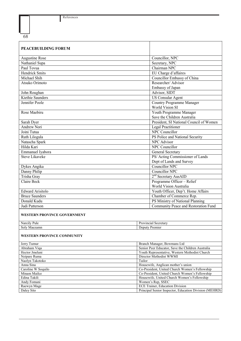I

| 68                                 |                                                                                                  |  |
|------------------------------------|--------------------------------------------------------------------------------------------------|--|
| <b>PEACEBUILDING FORUM</b>         |                                                                                                  |  |
| Augustine Rose                     | Councillor, NPC                                                                                  |  |
| Nathaniel Supa                     | Secretary, NPC                                                                                   |  |
| Paul Tovua                         | Chairman NPC                                                                                     |  |
| <b>Hendrick Smits</b>              | EU Charge d'affaires                                                                             |  |
| Michael Shih                       | <b>Councillor Embassy of China</b>                                                               |  |
| Atsuko Orimoto                     | Researcher/Advisor                                                                               |  |
|                                    | Embassy of Japan                                                                                 |  |
| John Roughan                       | Advisor, SIDT                                                                                    |  |
| Kiethie Saunders                   | <b>US</b> Consular Agent                                                                         |  |
| Jennifer Poole                     | <b>Country Programme Manager</b><br>World Vision SI                                              |  |
| Rose Maebiru                       | Youth Programme Manager                                                                          |  |
|                                    | Save the Children Australia                                                                      |  |
| Sarah Dyer                         | President, SI National Council of Women                                                          |  |
| <b>Andrew Nori</b>                 | Legal Practitioner                                                                               |  |
| Joini Tutua                        | <b>NPC Councillor</b>                                                                            |  |
| Ruth Lilogula                      | PS Police and National Security                                                                  |  |
| Natascha Spark                     | <b>NPC</b> Advisor                                                                               |  |
| Hilda Kari                         | <b>NPC</b> Councillor                                                                            |  |
| Emmanuel Iyabora                   | General Secretary                                                                                |  |
| <b>Steve Likaveke</b>              | PS/ Acting Commissioner of Lands                                                                 |  |
|                                    | Dept of Lands and Survey                                                                         |  |
| Dykes Angika                       | <b>Councillor NPC</b>                                                                            |  |
| Danny Philip                       | <b>Councillor NPC</b>                                                                            |  |
| Trisha Gray                        | 2 <sup>nd</sup> Secretary AusAID                                                                 |  |
| Claire Beck                        | Programme Officer - Relief                                                                       |  |
|                                    | World Vision Australia                                                                           |  |
| <b>Edward Arisitolo</b>            | Youth Officer, Dep't. Home Affairs                                                               |  |
| <b>Bruce Saunders</b>              | Chamber of Commerce Rep.                                                                         |  |
| Donald Kudu                        | PS Ministry of National Planning                                                                 |  |
| Judi Patterson                     | Community Peace and Restoration Fund                                                             |  |
| <b>WESTERN PROVINCE GOVERNMENT</b> |                                                                                                  |  |
| Narcily Pule                       | Provincial Secretary                                                                             |  |
| Soly Maezamn                       | Deputy Premier                                                                                   |  |
| <b>WESTERN PROVINCE COMMUNITY</b>  |                                                                                                  |  |
| Jerry Tumur                        | Branch Manager, Bowmans Ltd                                                                      |  |
| Abraham Viqa                       | Senior Peer Educator, Save the Children Australia                                                |  |
| Hector Jmelani                     | Youth Representative, Western Methodist Church                                                   |  |
| Neipare Ruma<br>Naolyn Takotoko    | Director Methodist WWMI<br>Tailor                                                                |  |
| Anna Sina                          | Housewife, Anglican mother's union                                                               |  |
| Caroline W Soquilo                 | Co-President, United Church Women's Fellowship                                                   |  |
| Minam Mailce                       | Co-President, United Church Women's Fellowship                                                   |  |
| Edina Takili                       | Housewife, United Church Women's Fellowship                                                      |  |
| Andy Fomani                        | Women's Rep, SSEC                                                                                |  |
| Raewyn Mage<br>Daley Sito          | <b>ECE Trainer, Education Division</b><br>Principal Senior Inspector, Education Division (MEHRD) |  |
|                                    |                                                                                                  |  |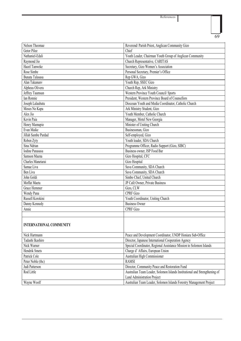References

ı

| ٠<br>۰.<br>$\overline{\phantom{a}}$<br>v |  |
|------------------------------------------|--|

| Nelson Theomae                 | Reverend/ Parish Priest, Anglican Community Gizo                           |  |
|--------------------------------|----------------------------------------------------------------------------|--|
| Getor Pilee                    | Chief                                                                      |  |
| Nathaniel-Edali                | Youth Leader, Chairman Youth Group of Anglican Community                   |  |
| Raymond Jio                    | Church Representative, CARITAS                                             |  |
| Hazel Tanweke                  | Secretary, Gizo Women's Association                                        |  |
| Rose Simbe                     | Personal Secretary, Premier's Office                                       |  |
| Bunata Talasasa                | Rep GWA, Gizo                                                              |  |
| Alan Takanunv                  | Youth Rep, SSEC Gizo                                                       |  |
| Alpheus Olivera                | Church Rep, Ark Ministry                                                   |  |
| Jeffrey Taumsan                | Western Province Youth Council/ Sports                                     |  |
| <b>Ian Ronnie</b>              | President, Western Province Board of Counsellors                           |  |
| Joseph Lalaubatu               | Diocesan Youth and Media Coordinator, Catholic Church                      |  |
| Moses No Kapa                  | Ark Ministry Student, Gizo                                                 |  |
| Alex Jio                       | Youth Member, Catholic Church                                              |  |
| Kevin Paia                     | Manager, Motel New Georgia                                                 |  |
| Henry Mamupio                  | Minister of Uniting Church                                                 |  |
| Evan Maike                     | Businessman, Gizo                                                          |  |
| Jillah Sambe Pardad            | Self-employed, Gizo                                                        |  |
| Roben Zyty                     | Youth leader, SDA Church                                                   |  |
| Sina Ndrian                    | Programme Officer, Radio Support (Gizo, SIBC)                              |  |
| <b>Iodine Panasasa</b>         | Business owner, ISP Food Bar                                               |  |
| Samson Maena                   | Gizo Hospital, CFC                                                         |  |
| Charles Manetarai              | Gizo Hospital                                                              |  |
| Samae Liva                     | Suva Community, SDA Church                                                 |  |
| Ben Liva                       | Suva Community, SDA Church                                                 |  |
| John Goldi                     | Simbo Chief, United Church                                                 |  |
| Moffat Maeta                   | JP Café Owner, Private Business                                            |  |
| Grace Hemmer                   | Gizo, CLW                                                                  |  |
| Wendy Pana                     | <b>CPRF</b> Gizo                                                           |  |
| Russell Korokini               | Youth Coordinator, Uniting Church                                          |  |
| Danny Kennedy                  | <b>Business Owner</b>                                                      |  |
| Annie                          | <b>CPRF Gizo</b>                                                           |  |
|                                |                                                                            |  |
|                                |                                                                            |  |
| <b>INTERNATIONAL COMMUNITY</b> |                                                                            |  |
|                                |                                                                            |  |
| Nick Hartmann                  | Peace and Development Coordinator, UNDP Honiara Sub-Office                 |  |
| Tadashi Ikashiro               | Director, Japanese International Cooperation Agency                        |  |
| Nick Warner                    | Special Coordinator, Regional Assistance Mission to Solomon Islands        |  |
| Hendrik Smets                  | Charge d' Affairs, European Union                                          |  |
| Patrick Cole                   | Australian High Commissioner                                               |  |
| Peter Noble (tbc)              | <b>RAMSI</b>                                                               |  |
| Judi Patterson                 | Director, Community Peace and Restoration Fund                             |  |
| Rod Little                     | Australian Team Leader, Solomon Islands Institutional and Strengthening of |  |
|                                | <b>Land Administration Project</b>                                         |  |
| Wayne Woolf                    | Australian Team Leader, Solomon Islands Forestry Management Project        |  |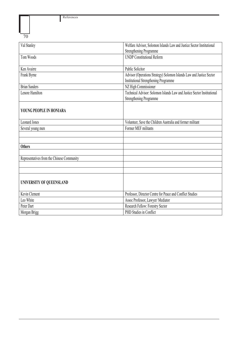I

| 70                                         |                                                                         |
|--------------------------------------------|-------------------------------------------------------------------------|
| Val Stanley                                | Welfare Advisor, Solomon Islands Law and Justice Sector Institutional   |
|                                            | <b>Strengthening Programme</b>                                          |
| Tom Woods                                  | <b>UNDP</b> Constitutional Reform                                       |
| Ken Avairre                                | <b>Public Solicitor</b>                                                 |
| Frank Byrne                                | Advisor (Operations Strategy) Solomon Islands Law and Justice Sector    |
|                                            | Institutional Strengthening Programme                                   |
| <b>Brian Sanders</b>                       | NZ High Commissioner                                                    |
| Lenore Hamilton                            | Technical Advisor: Solomon Islands Law and Justice Sector Institutional |
|                                            | <b>Strengthening Programme</b>                                          |
| YOUNG PEOPLE IN HONIARA                    |                                                                         |
| <b>Leonard Jones</b>                       | Volunteer, Save the Children Australia and former militant              |
| Several young men                          | Former MEF militants                                                    |
|                                            |                                                                         |
| <b>Others</b>                              |                                                                         |
|                                            |                                                                         |
| Representatives from the Chinese Community |                                                                         |
|                                            |                                                                         |
| UNIVERSITY OF QUEENSLAND                   |                                                                         |
| Kevin Clement                              | Professor, Director Centre for Peace and Conflict Studies               |
| Leo White                                  | Assoc Professor, Lawyer/ Mediator                                       |
| Peter Dart                                 | Research Fellow: Forestry Sector                                        |
| Morgan Brigg                               | PHD Studies in Conflict                                                 |
|                                            |                                                                         |